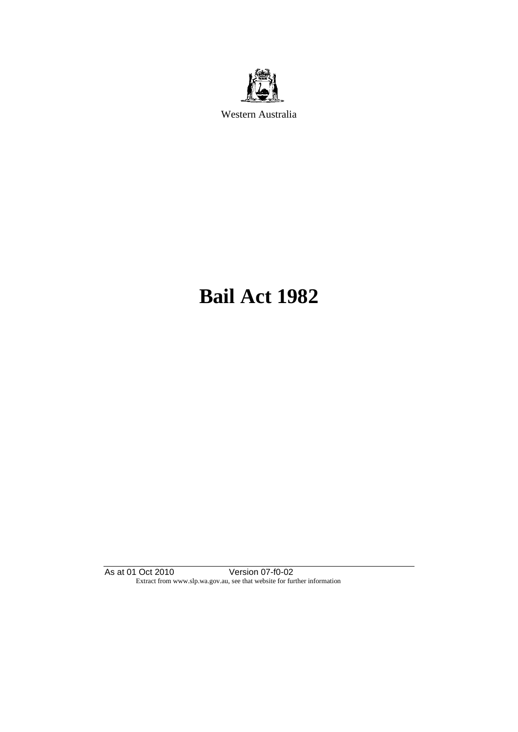

Western Australia

# **Bail Act 1982**

As at 01 Oct 2010 Version 07-f0-02 Extract from www.slp.wa.gov.au, see that website for further information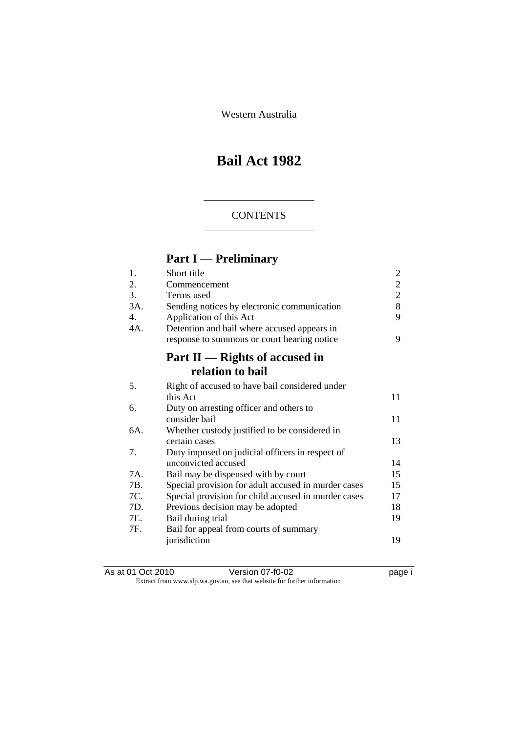Western Australia

## **Bail Act 1982**

#### **CONTENTS**

## **Part I — Preliminary**

| 1.  | Short title                                         | $\overline{c}$ |
|-----|-----------------------------------------------------|----------------|
| 2.  | Commencement                                        | $\overline{c}$ |
| 3.  | Terms used                                          | $\overline{2}$ |
| 3A. | Sending notices by electronic communication         | 8              |
| 4.  | Application of this Act                             | 9              |
| 4A. | Detention and bail where accused appears in         |                |
|     | response to summons or court hearing notice         | 9              |
|     | Part $II$ — Rights of accused in                    |                |
|     | relation to bail                                    |                |
| 5.  | Right of accused to have bail considered under      |                |
|     | this Act                                            | 11             |
| 6.  | Duty on arresting officer and others to             |                |
|     | consider bail                                       | 11             |
| 6A. | Whether custody justified to be considered in       |                |
|     | certain cases                                       | 13             |
| 7.  | Duty imposed on judicial officers in respect of     |                |
|     | unconvicted accused                                 | 14             |
| 7A. | Bail may be dispensed with by court                 | 15             |
| 7B. | Special provision for adult accused in murder cases | 15             |
| 7C. | Special provision for child accused in murder cases | 17             |
| 7D. | Previous decision may be adopted                    | 18             |
| 7E. | Bail during trial                                   | 19             |
| 7F. | Bail for appeal from courts of summary              |                |
|     | jurisdiction                                        | 19             |
|     |                                                     |                |

| As at 01 Oct 2010 | Version 07-f0-02                                                         | page i |
|-------------------|--------------------------------------------------------------------------|--------|
|                   | Extract from www.slp.wa.gov.au, see that website for further information |        |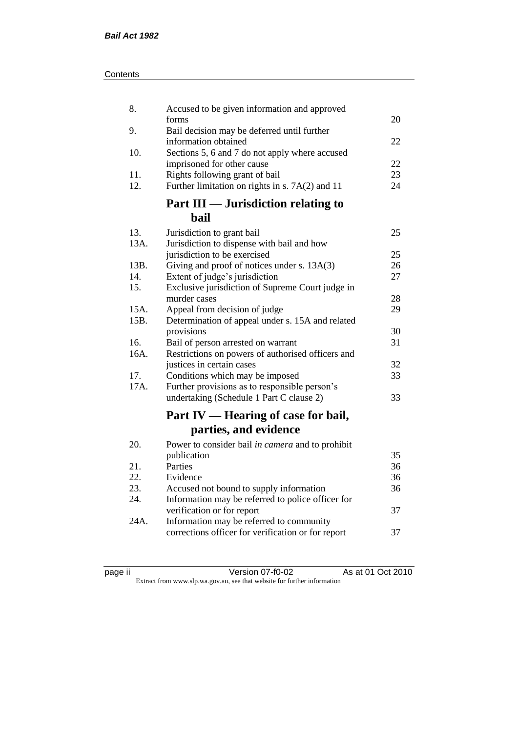| Contents |
|----------|
|----------|

| 8.           | Accused to be given information and approved                                      |    |
|--------------|-----------------------------------------------------------------------------------|----|
|              | forms                                                                             | 20 |
| 9.           | Bail decision may be deferred until further<br>information obtained               | 22 |
| 10.          | Sections 5, 6 and 7 do not apply where accused                                    |    |
|              | imprisoned for other cause                                                        | 22 |
| 11.          | Rights following grant of bail                                                    | 23 |
| 12.          | Further limitation on rights in s. 7A(2) and 11                                   | 24 |
|              | Part III — Jurisdiction relating to                                               |    |
|              | bail                                                                              |    |
| 13.          | Jurisdiction to grant bail                                                        | 25 |
| 13A.         | Jurisdiction to dispense with bail and how                                        |    |
|              | jurisdiction to be exercised                                                      | 25 |
| 13B.         | Giving and proof of notices under s. 13A(3)                                       | 26 |
| 14.          | Extent of judge's jurisdiction                                                    | 27 |
| 15.          | Exclusive jurisdiction of Supreme Court judge in                                  |    |
|              | murder cases                                                                      | 28 |
| 15A.<br>15B. | Appeal from decision of judge<br>Determination of appeal under s. 15A and related | 29 |
|              | provisions                                                                        | 30 |
| 16.          | Bail of person arrested on warrant                                                | 31 |
| 16A.         | Restrictions on powers of authorised officers and                                 |    |
|              | justices in certain cases                                                         | 32 |
| 17.          | Conditions which may be imposed                                                   | 33 |
| 17A.         | Further provisions as to responsible person's                                     |    |
|              | undertaking (Schedule 1 Part C clause 2)                                          | 33 |
|              | Part IV — Hearing of case for bail,                                               |    |
|              | parties, and evidence                                                             |    |
| 20.          | Power to consider bail in camera and to prohibit                                  |    |
|              | publication                                                                       | 35 |
| 21.          | Parties                                                                           | 36 |
| 22.          | Evidence                                                                          | 36 |
| 23.          | Accused not bound to supply information                                           | 36 |
| 24.          | Information may be referred to police officer for                                 |    |
|              | verification or for report                                                        | 37 |
| 24A.         | Information may be referred to community                                          |    |
|              | corrections officer for verification or for report                                | 37 |
|              |                                                                                   |    |

| ıC<br>ı<br>и |  |
|--------------|--|
|              |  |

page ii Version 07-f0-02 As at 01 Oct 2010 Extract from www.slp.wa.gov.au, see that website for further information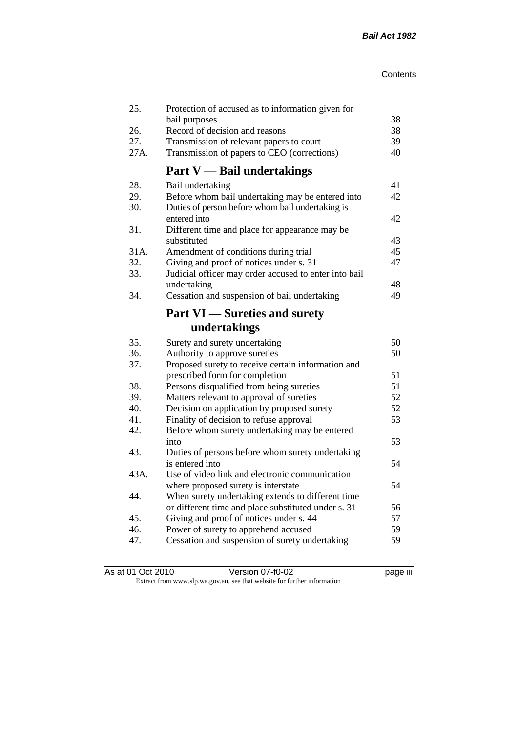| 25.        | Protection of accused as to information given for                                                    |          |
|------------|------------------------------------------------------------------------------------------------------|----------|
| 26.        | bail purposes                                                                                        | 38       |
| 27.        | Record of decision and reasons                                                                       | 38<br>39 |
|            | Transmission of relevant papers to court                                                             |          |
| 27A.       | Transmission of papers to CEO (corrections)                                                          | 40       |
|            | <b>Part V</b> - Bail undertakings                                                                    |          |
| 28.        | Bail undertaking                                                                                     | 41       |
| 29.<br>30. | Before whom bail undertaking may be entered into<br>Duties of person before whom bail undertaking is | 42       |
|            | entered into                                                                                         | 42       |
| 31.        | Different time and place for appearance may be                                                       |          |
| 31A.       | substituted                                                                                          | 43       |
| 32.        | Amendment of conditions during trial<br>Giving and proof of notices under s. 31                      | 45<br>47 |
| 33.        | Judicial officer may order accused to enter into bail                                                |          |
|            | undertaking                                                                                          | 48       |
| 34.        | Cessation and suspension of bail undertaking                                                         | 49       |
|            |                                                                                                      |          |
|            | <b>Part VI</b> — Sureties and surety                                                                 |          |
|            | undertakings                                                                                         |          |
| 35.        | Surety and surety undertaking                                                                        | 50       |
| 36.        | Authority to approve sureties                                                                        | 50       |
| 37.        | Proposed surety to receive certain information and                                                   |          |
|            | prescribed form for completion                                                                       | 51       |
| 38.        | Persons disqualified from being sureties                                                             | 51       |
| 39.        | Matters relevant to approval of sureties                                                             | 52       |
| 40.        | Decision on application by proposed surety                                                           | 52       |
| 41.        | Finality of decision to refuse approval                                                              | 53       |
| 42.        | Before whom surety undertaking may be entered                                                        |          |
|            | into                                                                                                 | 53       |
| 43.        | Duties of persons before whom surety undertaking                                                     |          |
|            | is entered into                                                                                      | 54       |
| 43A.       | Use of video link and electronic communication                                                       |          |
|            | where proposed surety is interstate                                                                  | 54       |
| 44.        | When surety undertaking extends to different time                                                    |          |
|            | or different time and place substituted under s. 31                                                  | 56       |
| 45.        | Giving and proof of notices under s. 44                                                              | 57       |
| 46.        | Power of surety to apprehend accused                                                                 | 59       |
| 47.        | Cessation and suspension of surety undertaking                                                       | 59       |
|            |                                                                                                      |          |

| As at 01 Oct 2010 | Version 07-f0-02                                                         | <br>page III |
|-------------------|--------------------------------------------------------------------------|--------------|
|                   | Extract from www.slp.wa.gov.au, see that website for further information |              |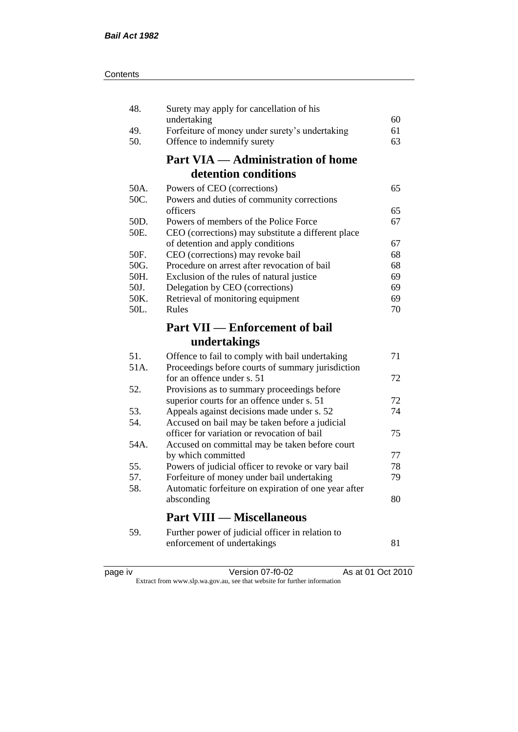| 48.        | Surety may apply for cancellation of his                                        |    |
|------------|---------------------------------------------------------------------------------|----|
|            | undertaking                                                                     | 60 |
| 49.        | Forfeiture of money under surety's undertaking                                  | 61 |
| 50.        | Offence to indemnify surety                                                     | 63 |
|            | <b>Part VIA — Administration of home</b>                                        |    |
|            | detention conditions                                                            |    |
| 50A.       | Powers of CEO (corrections)                                                     | 65 |
| 50C.       | Powers and duties of community corrections                                      |    |
|            | officers                                                                        | 65 |
| 50D.       | Powers of members of the Police Force                                           | 67 |
| 50E.       | CEO (corrections) may substitute a different place                              |    |
|            | of detention and apply conditions                                               | 67 |
| 50F.       | CEO (corrections) may revoke bail                                               | 68 |
| 50G.       | Procedure on arrest after revocation of bail                                    | 68 |
| 50H.       | Exclusion of the rules of natural justice                                       | 69 |
| 50J.       | Delegation by CEO (corrections)                                                 | 69 |
| 50K.       | Retrieval of monitoring equipment                                               | 69 |
| 50L.       | Rules                                                                           | 70 |
|            | <b>Part VII — Enforcement of bail</b>                                           |    |
|            |                                                                                 |    |
|            |                                                                                 |    |
|            | undertakings                                                                    |    |
| 51.        | Offence to fail to comply with bail undertaking                                 | 71 |
| 51A.       | Proceedings before courts of summary jurisdiction                               |    |
|            | for an offence under s. 51                                                      | 72 |
| 52.        | Provisions as to summary proceedings before                                     |    |
|            | superior courts for an offence under s. 51                                      | 72 |
| 53.        | Appeals against decisions made under s. 52                                      | 74 |
| 54.        | Accused on bail may be taken before a judicial                                  |    |
| 54A.       | officer for variation or revocation of bail                                     | 75 |
|            | Accused on committal may be taken before court                                  | 77 |
|            | by which committed                                                              | 78 |
| 55.<br>57. | Powers of judicial officer to revoke or vary bail                               | 79 |
| 58.        | Forfeiture of money under bail undertaking                                      |    |
|            | Automatic forfeiture on expiration of one year after<br>absconding              | 80 |
|            | <b>Part VIII — Miscellaneous</b>                                                |    |
|            |                                                                                 |    |
| 59.        | Further power of judicial officer in relation to<br>enforcement of undertakings | 81 |

| د،<br>חאנ |  |
|-----------|--|
|           |  |
|           |  |
|           |  |

page iv Version 07-f0-02 As at 01 Oct 2010

Extract from www.slp.wa.gov.au, see that website for further information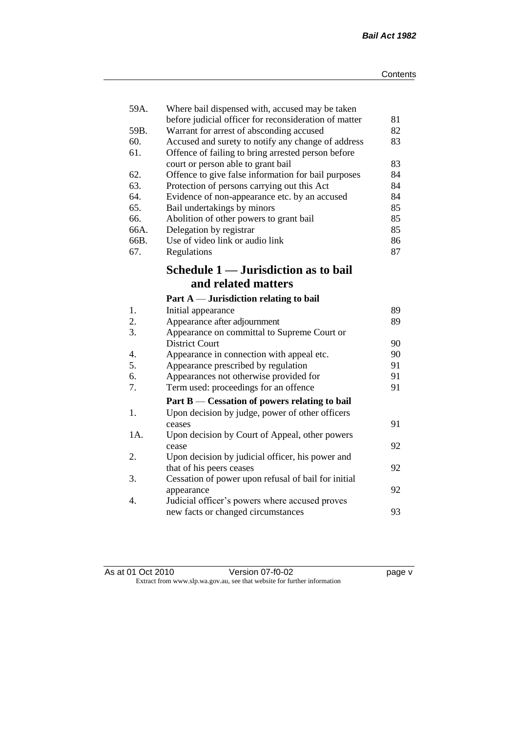| 59A. | Where bail dispensed with, accused may be taken       |    |
|------|-------------------------------------------------------|----|
|      | before judicial officer for reconsideration of matter | 81 |
| 59B. | Warrant for arrest of absconding accused              | 82 |
| 60.  | Accused and surety to notify any change of address    | 83 |
| 61.  | Offence of failing to bring arrested person before    |    |
|      | court or person able to grant bail                    | 83 |
| 62.  | Offence to give false information for bail purposes   | 84 |
| 63.  | Protection of persons carrying out this Act           | 84 |
| 64.  | Evidence of non-appearance etc. by an accused         | 84 |
| 65.  | Bail undertakings by minors                           | 85 |
| 66.  | Abolition of other powers to grant bail               | 85 |
| 66A. | Delegation by registrar                               | 85 |
| 66B. | Use of video link or audio link                       | 86 |
| 67.  | Regulations                                           | 87 |
|      | Schedule 1 — Jurisdiction as to bail                  |    |
|      | and related matters                                   |    |
|      | Part $A$ — Jurisdiction relating to bail              |    |
| 1.   | Initial appearance                                    | 89 |
| 2.   | Appearance after adjournment                          | 89 |
| 3.   | Appearance on committal to Supreme Court or           |    |
|      | <b>District Court</b>                                 | 90 |
| 4.   | Appearance in connection with appeal etc.             | 90 |
| 5.   | Appearance prescribed by regulation                   | 91 |
| 6.   | Appearances not otherwise provided for                | 91 |
| 7.   | Term used: proceedings for an offence                 | 91 |
|      | Part B — Cessation of powers relating to bail         |    |
| 1.   | Upon decision by judge, power of other officers       |    |
|      | ceases                                                | 91 |
| 1A.  | Upon decision by Court of Appeal, other powers        |    |
|      | cease                                                 | 92 |
| 2.   | Upon decision by judicial officer, his power and      |    |
|      | that of his peers ceases                              | 92 |
| 3.   | Cessation of power upon refusal of bail for initial   |    |
|      | appearance                                            | 92 |
| 4.   | Judicial officer's powers where accused proves        |    |
|      | new facts or changed circumstances                    | 93 |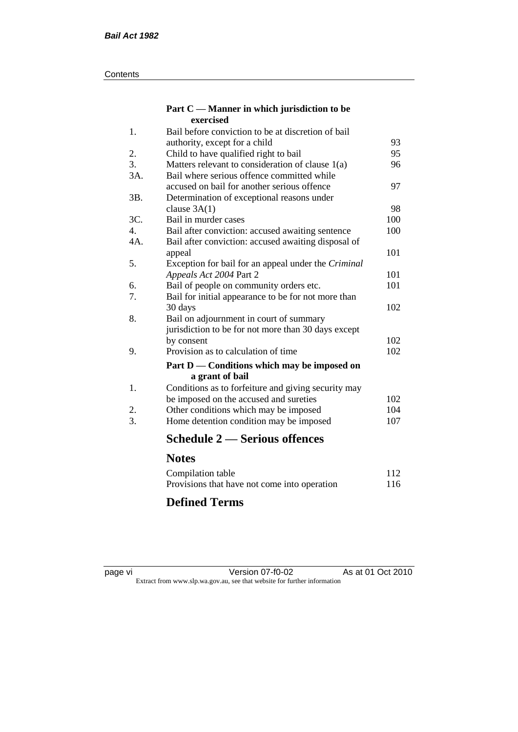#### **Contents**

#### **Part C — Manner in which jurisdiction to be exercised**

| 1.  | Bail before conviction to be at discretion of bail  |     |
|-----|-----------------------------------------------------|-----|
|     | authority, except for a child                       | 93  |
| 2.  | Child to have qualified right to bail               | 95  |
| 3.  | Matters relevant to consideration of clause $1(a)$  | 96  |
| 3A. | Bail where serious offence committed while          |     |
|     | accused on bail for another serious offence         | 97  |
| 3B. | Determination of exceptional reasons under          |     |
|     | clause $3A(1)$                                      | 98  |
| 3C. | Bail in murder cases                                | 100 |
| 4.  | Bail after conviction: accused awaiting sentence    | 100 |
| 4A. | Bail after conviction: accused awaiting disposal of |     |
|     | appeal                                              | 101 |
| 5.  | Exception for bail for an appeal under the Criminal |     |
|     | Appeals Act 2004 Part 2                             | 101 |
| 6.  | Bail of people on community orders etc.             | 101 |
| 7.  | Bail for initial appearance to be for not more than |     |
|     | 30 days                                             | 102 |
| 8.  | Bail on adjournment in court of summary             |     |
|     | jurisdiction to be for not more than 30 days except |     |
|     | by consent                                          | 102 |
| 9.  | Provision as to calculation of time                 | 102 |
|     | Part D — Conditions which may be imposed on         |     |
|     | a grant of bail                                     |     |
| 1.  | Conditions as to forfeiture and giving security may |     |
|     | be imposed on the accused and sureties              | 102 |
| 2.  | Other conditions which may be imposed               | 104 |
| 3.  | Home detention condition may be imposed             | 107 |
|     | <b>Schedule 2 — Serious offences</b>                |     |
|     | <b>Notes</b>                                        |     |
|     | Compilation table                                   | 112 |
|     |                                                     |     |

#### Provisions that have not come into operation 116 **Defined Terms**

page vi Version 07-f0-02 As at 01 Oct 2010 Extract from www.slp.wa.gov.au, see that website for further information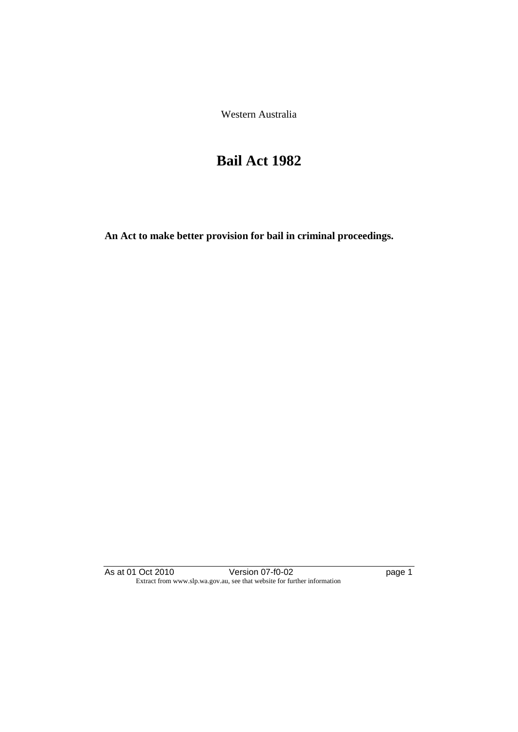Western Australia

## **Bail Act 1982**

**An Act to make better provision for bail in criminal proceedings.** 

As at 01 Oct 2010 **Version 07-f0-02 page 1** Extract from www.slp.wa.gov.au, see that website for further information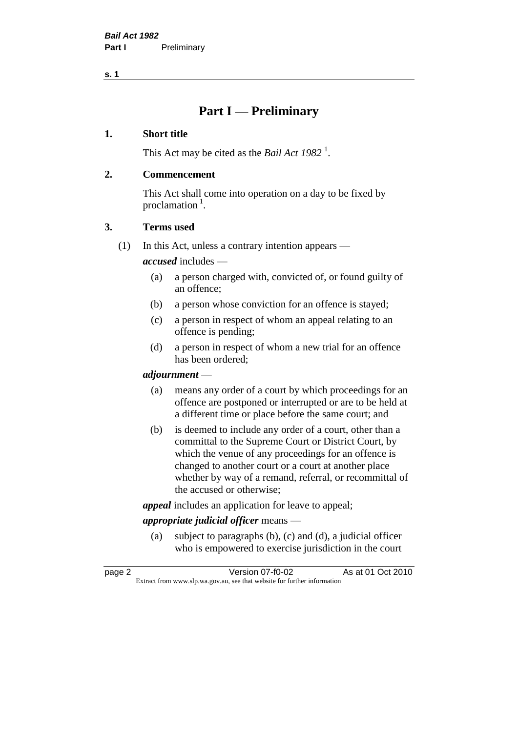**s. 1**

### **Part I — Preliminary**

#### **1. Short title**

This Act may be cited as the *Bail Act* 1982<sup>1</sup>.

#### **2. Commencement**

This Act shall come into operation on a day to be fixed by proclamation  $<sup>1</sup>$ .</sup>

#### **3. Terms used**

(1) In this Act, unless a contrary intention appears —

*accused* includes —

- (a) a person charged with, convicted of, or found guilty of an offence;
- (b) a person whose conviction for an offence is stayed;
- (c) a person in respect of whom an appeal relating to an offence is pending;
- (d) a person in respect of whom a new trial for an offence has been ordered;

#### *adjournment* —

- (a) means any order of a court by which proceedings for an offence are postponed or interrupted or are to be held at a different time or place before the same court; and
- (b) is deemed to include any order of a court, other than a committal to the Supreme Court or District Court, by which the venue of any proceedings for an offence is changed to another court or a court at another place whether by way of a remand, referral, or recommittal of the accused or otherwise;

*appeal* includes an application for leave to appeal;

#### *appropriate judicial officer* means —

(a) subject to paragraphs (b), (c) and (d), a judicial officer who is empowered to exercise jurisdiction in the court

| page 2 | Version 07-f0-02                                                         | As at 01 Oct 2010 |
|--------|--------------------------------------------------------------------------|-------------------|
|        | Extract from www.slp.wa.gov.au, see that website for further information |                   |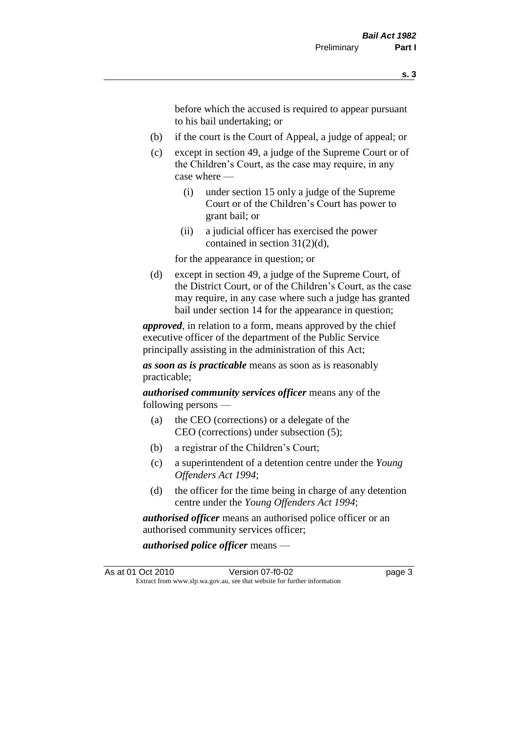before which the accused is required to appear pursuant to his bail undertaking; or

- (b) if the court is the Court of Appeal, a judge of appeal; or
- (c) except in section 49, a judge of the Supreme Court or of the Children's Court, as the case may require, in any case where —
	- (i) under section 15 only a judge of the Supreme Court or of the Children's Court has power to grant bail; or
	- (ii) a judicial officer has exercised the power contained in section 31(2)(d),

for the appearance in question; or

(d) except in section 49, a judge of the Supreme Court, of the District Court, or of the Children's Court, as the case may require, in any case where such a judge has granted bail under section 14 for the appearance in question;

*approved*, in relation to a form, means approved by the chief executive officer of the department of the Public Service principally assisting in the administration of this Act;

*as soon as is practicable* means as soon as is reasonably practicable;

*authorised community services officer* means any of the following persons —

- (a) the CEO (corrections) or a delegate of the CEO (corrections) under subsection (5);
- (b) a registrar of the Children's Court;
- (c) a superintendent of a detention centre under the *Young Offenders Act 1994*;
- (d) the officer for the time being in charge of any detention centre under the *Young Offenders Act 1994*;

*authorised officer* means an authorised police officer or an authorised community services officer;

*authorised police officer* means —

As at 01 Oct 2010 Version 07-f0-02 page 3 Extract from www.slp.wa.gov.au, see that website for further information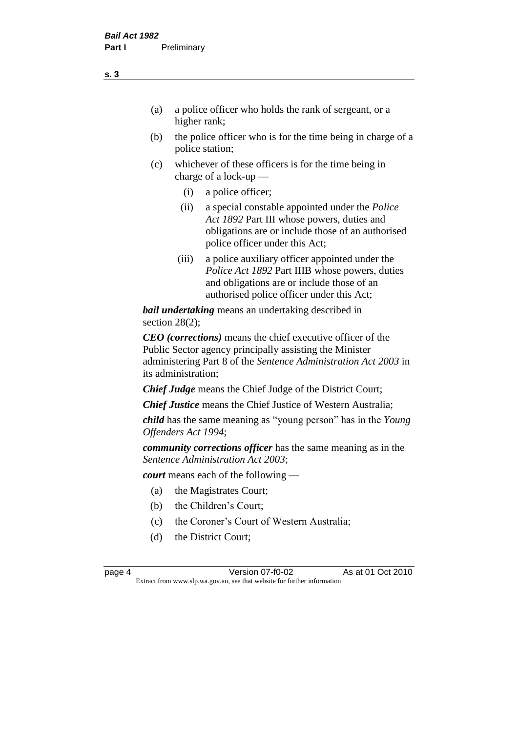- (a) a police officer who holds the rank of sergeant, or a higher rank;
- (b) the police officer who is for the time being in charge of a police station;
- (c) whichever of these officers is for the time being in charge of a lock-up —
	- (i) a police officer;
	- (ii) a special constable appointed under the *Police Act 1892* Part III whose powers, duties and obligations are or include those of an authorised police officer under this Act;
	- (iii) a police auxiliary officer appointed under the *Police Act 1892* Part IIIB whose powers, duties and obligations are or include those of an authorised police officer under this Act;

*bail undertaking* means an undertaking described in section 28(2);

*CEO (corrections)* means the chief executive officer of the Public Sector agency principally assisting the Minister administering Part 8 of the *Sentence Administration Act 2003* in its administration;

*Chief Judge* means the Chief Judge of the District Court;

*Chief Justice* means the Chief Justice of Western Australia;

*child* has the same meaning as "young person" has in the *Young Offenders Act 1994*;

*community corrections officer* has the same meaning as in the *Sentence Administration Act 2003*;

*court* means each of the following —

- (a) the Magistrates Court;
- (b) the Children's Court;
- (c) the Coroner's Court of Western Australia;
- (d) the District Court;

**s. 3**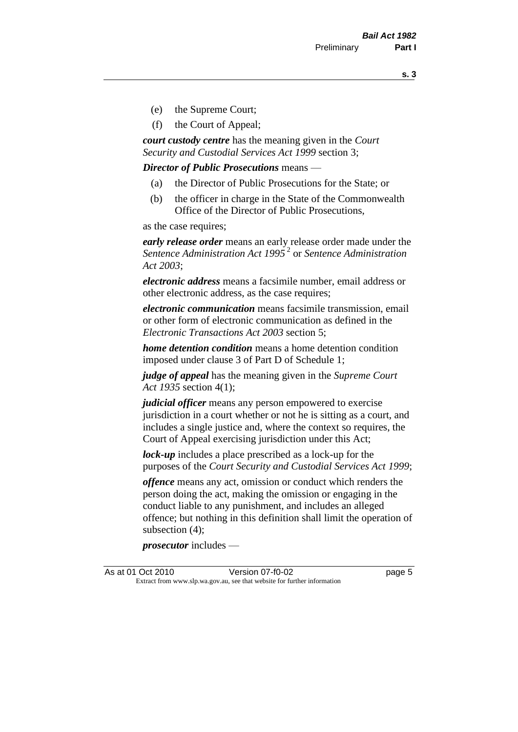**s. 3**

- (e) the Supreme Court;
- (f) the Court of Appeal;

*court custody centre* has the meaning given in the *Court Security and Custodial Services Act 1999* section 3;

*Director of Public Prosecutions* means —

- (a) the Director of Public Prosecutions for the State; or
- (b) the officer in charge in the State of the Commonwealth Office of the Director of Public Prosecutions,

as the case requires;

*early release order* means an early release order made under the *Sentence Administration Act 1995* <sup>2</sup> or *Sentence Administration Act 2003*;

*electronic address* means a facsimile number, email address or other electronic address, as the case requires;

*electronic communication* means facsimile transmission, email or other form of electronic communication as defined in the *Electronic Transactions Act 2003* section 5;

*home detention condition* means a home detention condition imposed under clause 3 of Part D of Schedule 1;

*judge of appeal* has the meaning given in the *Supreme Court Act 1935* section 4(1);

*judicial officer* means any person empowered to exercise jurisdiction in a court whether or not he is sitting as a court, and includes a single justice and, where the context so requires, the Court of Appeal exercising jurisdiction under this Act;

*lock-up* includes a place prescribed as a lock-up for the purposes of the *Court Security and Custodial Services Act 1999*;

*offence* means any act, omission or conduct which renders the person doing the act, making the omission or engaging in the conduct liable to any punishment, and includes an alleged offence; but nothing in this definition shall limit the operation of subsection (4);

*prosecutor* includes —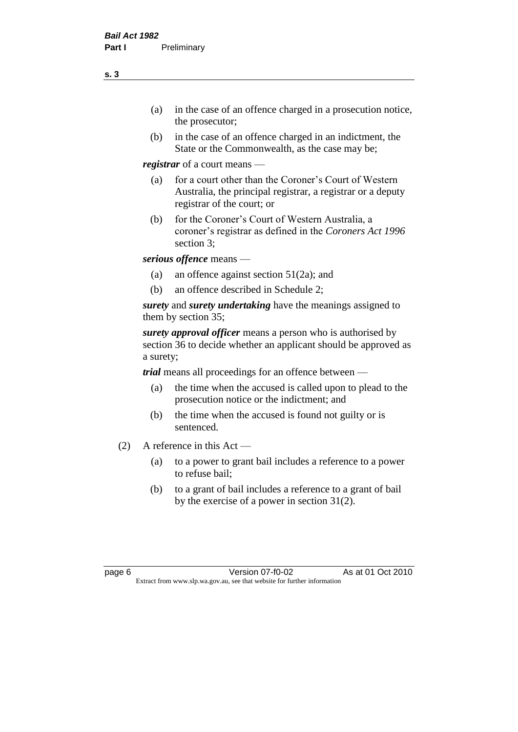- (a) in the case of an offence charged in a prosecution notice, the prosecutor;
- (b) in the case of an offence charged in an indictment, the State or the Commonwealth, as the case may be;

*registrar* of a court means —

- (a) for a court other than the Coroner's Court of Western Australia, the principal registrar, a registrar or a deputy registrar of the court; or
- (b) for the Coroner's Court of Western Australia, a coroner's registrar as defined in the *Coroners Act 1996* section 3;

*serious offence* means —

- (a) an offence against section 51(2a); and
- (b) an offence described in Schedule 2;

*surety* and *surety undertaking* have the meanings assigned to them by section 35;

*surety approval officer* means a person who is authorised by section 36 to decide whether an applicant should be approved as a surety;

*trial* means all proceedings for an offence between —

- (a) the time when the accused is called upon to plead to the prosecution notice or the indictment; and
- (b) the time when the accused is found not guilty or is sentenced.
- (2) A reference in this Act
	- (a) to a power to grant bail includes a reference to a power to refuse bail;
	- (b) to a grant of bail includes a reference to a grant of bail by the exercise of a power in section 31(2).

**s. 3**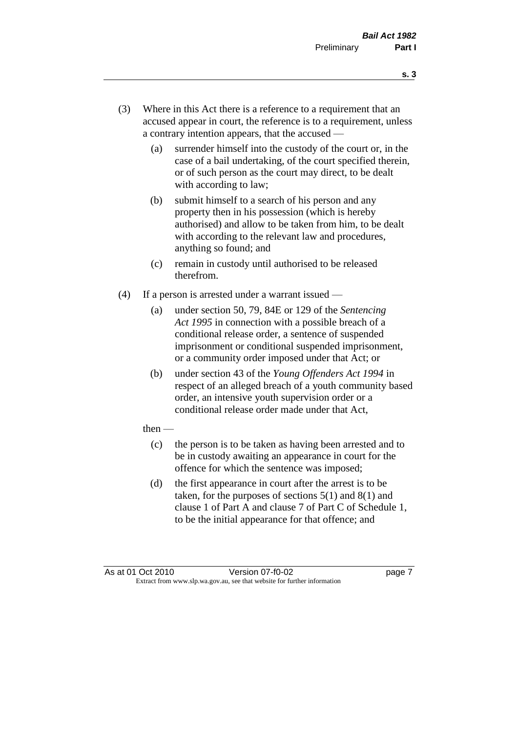- **s. 3**
- (3) Where in this Act there is a reference to a requirement that an accused appear in court, the reference is to a requirement, unless a contrary intention appears, that the accused —
	- (a) surrender himself into the custody of the court or, in the case of a bail undertaking, of the court specified therein, or of such person as the court may direct, to be dealt with according to law;
	- (b) submit himself to a search of his person and any property then in his possession (which is hereby authorised) and allow to be taken from him, to be dealt with according to the relevant law and procedures, anything so found; and
	- (c) remain in custody until authorised to be released therefrom.
- (4) If a person is arrested under a warrant issued
	- (a) under section 50, 79, 84E or 129 of the *Sentencing Act 1995* in connection with a possible breach of a conditional release order, a sentence of suspended imprisonment or conditional suspended imprisonment, or a community order imposed under that Act; or
	- (b) under section 43 of the *Young Offenders Act 1994* in respect of an alleged breach of a youth community based order, an intensive youth supervision order or a conditional release order made under that Act,
	- then
		- (c) the person is to be taken as having been arrested and to be in custody awaiting an appearance in court for the offence for which the sentence was imposed;
		- (d) the first appearance in court after the arrest is to be taken, for the purposes of sections  $5(1)$  and  $8(1)$  and clause 1 of Part A and clause 7 of Part C of Schedule 1, to be the initial appearance for that offence; and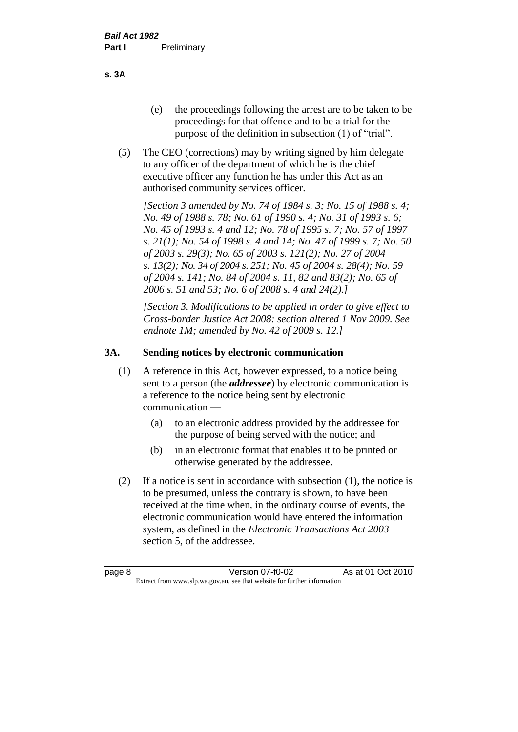- (e) the proceedings following the arrest are to be taken to be proceedings for that offence and to be a trial for the purpose of the definition in subsection (1) of "trial".
- (5) The CEO (corrections) may by writing signed by him delegate to any officer of the department of which he is the chief executive officer any function he has under this Act as an authorised community services officer.

*[Section 3 amended by No. 74 of 1984 s. 3; No. 15 of 1988 s. 4; No. 49 of 1988 s. 78; No. 61 of 1990 s. 4; No. 31 of 1993 s. 6; No. 45 of 1993 s. 4 and 12; No. 78 of 1995 s. 7; No. 57 of 1997 s. 21(1); No. 54 of 1998 s. 4 and 14; No. 47 of 1999 s. 7; No. 50 of 2003 s. 29(3); No. 65 of 2003 s. 121(2); No. 27 of 2004 s. 13(2); No. 34 of 2004 s. 251; No. 45 of 2004 s. 28(4); No. 59 of 2004 s. 141; No. 84 of 2004 s. 11, 82 and 83(2); No. 65 of 2006 s. 51 and 53; No. 6 of 2008 s. 4 and 24(2).]* 

*[Section 3. Modifications to be applied in order to give effect to Cross-border Justice Act 2008: section altered 1 Nov 2009. See endnote 1M; amended by No. 42 of 2009 s. 12.]*

#### **3A. Sending notices by electronic communication**

- (1) A reference in this Act, however expressed, to a notice being sent to a person (the *addressee*) by electronic communication is a reference to the notice being sent by electronic communication —
	- (a) to an electronic address provided by the addressee for the purpose of being served with the notice; and
	- (b) in an electronic format that enables it to be printed or otherwise generated by the addressee.
- (2) If a notice is sent in accordance with subsection (1), the notice is to be presumed, unless the contrary is shown, to have been received at the time when, in the ordinary course of events, the electronic communication would have entered the information system, as defined in the *Electronic Transactions Act 2003* section 5, of the addressee.

**s. 3A**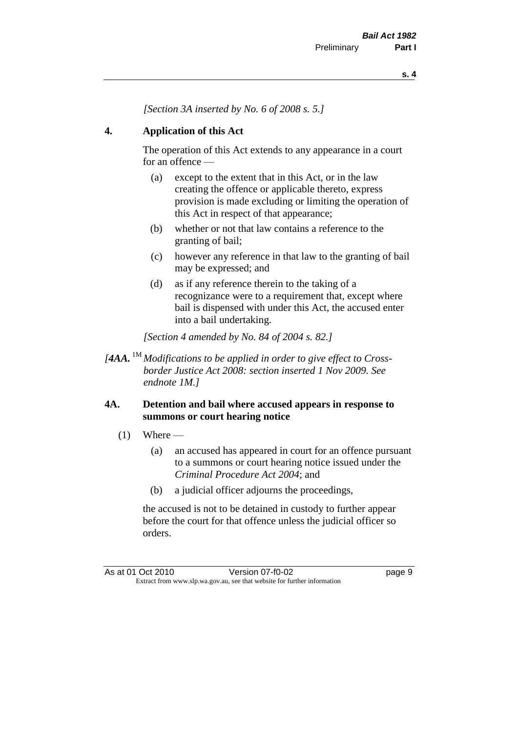*[Section 3A inserted by No. 6 of 2008 s. 5.]*

#### **4. Application of this Act**

The operation of this Act extends to any appearance in a court for an offence —

- (a) except to the extent that in this Act, or in the law creating the offence or applicable thereto, express provision is made excluding or limiting the operation of this Act in respect of that appearance;
- (b) whether or not that law contains a reference to the granting of bail;
- (c) however any reference in that law to the granting of bail may be expressed; and
- (d) as if any reference therein to the taking of a recognizance were to a requirement that, except where bail is dispensed with under this Act, the accused enter into a bail undertaking.

*[Section 4 amended by No. 84 of 2004 s. 82.]*

*[4AA.* 1M *Modifications to be applied in order to give effect to Crossborder Justice Act 2008: section inserted 1 Nov 2009. See endnote 1M.]*

#### **4A. Detention and bail where accused appears in response to summons or court hearing notice**

- $(1)$  Where
	- (a) an accused has appeared in court for an offence pursuant to a summons or court hearing notice issued under the *Criminal Procedure Act 2004*; and
	- (b) a judicial officer adjourns the proceedings,

the accused is not to be detained in custody to further appear before the court for that offence unless the judicial officer so orders.

As at 01 Oct 2010 Version 07-f0-02 Page 9 Extract from www.slp.wa.gov.au, see that website for further information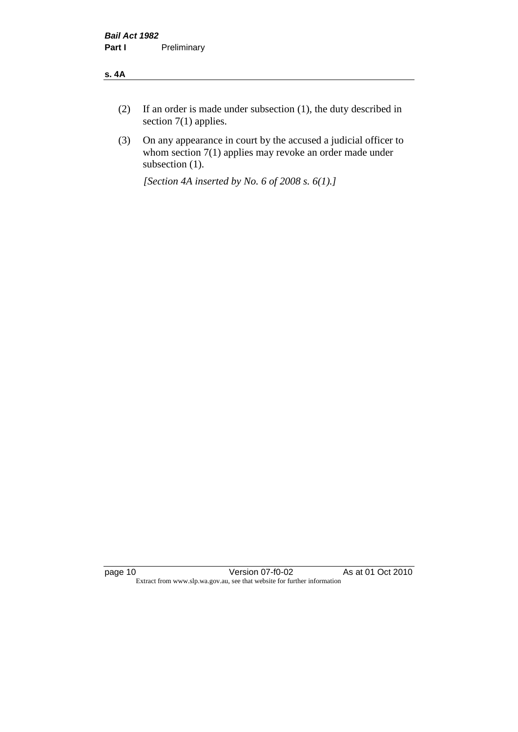#### **s. 4A**

- (2) If an order is made under subsection (1), the duty described in section 7(1) applies.
- (3) On any appearance in court by the accused a judicial officer to whom section 7(1) applies may revoke an order made under subsection (1).

*[Section 4A inserted by No. 6 of 2008 s. 6(1).]*

page 10 Version 07-f0-02 As at 01 Oct 2010 Extract from www.slp.wa.gov.au, see that website for further information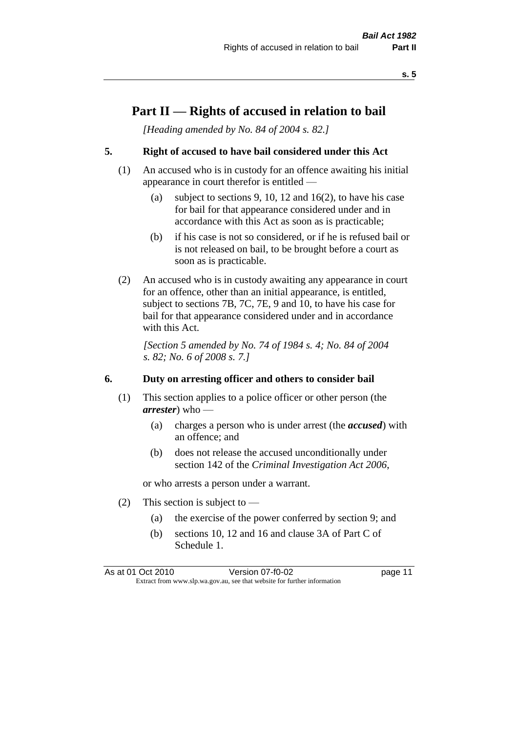#### **Part II — Rights of accused in relation to bail**

*[Heading amended by No. 84 of 2004 s. 82.]* 

#### **5. Right of accused to have bail considered under this Act**

- (1) An accused who is in custody for an offence awaiting his initial appearance in court therefor is entitled —
	- (a) subject to sections 9, 10, 12 and 16(2), to have his case for bail for that appearance considered under and in accordance with this Act as soon as is practicable;
	- (b) if his case is not so considered, or if he is refused bail or is not released on bail, to be brought before a court as soon as is practicable.
- (2) An accused who is in custody awaiting any appearance in court for an offence, other than an initial appearance, is entitled, subject to sections 7B, 7C, 7E, 9 and 10, to have his case for bail for that appearance considered under and in accordance with this Act.

*[Section 5 amended by No. 74 of 1984 s. 4; No. 84 of 2004 s. 82; No. 6 of 2008 s. 7.]* 

#### **6. Duty on arresting officer and others to consider bail**

- (1) This section applies to a police officer or other person (the *arrester*) who —
	- (a) charges a person who is under arrest (the *accused*) with an offence; and
	- (b) does not release the accused unconditionally under section 142 of the *Criminal Investigation Act 2006*,

or who arrests a person under a warrant.

- (2) This section is subject to  $-$ 
	- (a) the exercise of the power conferred by section 9; and
	- (b) sections 10, 12 and 16 and clause 3A of Part C of Schedule 1.

As at 01 Oct 2010 Version 07-f0-02 page 11 Extract from www.slp.wa.gov.au, see that website for further information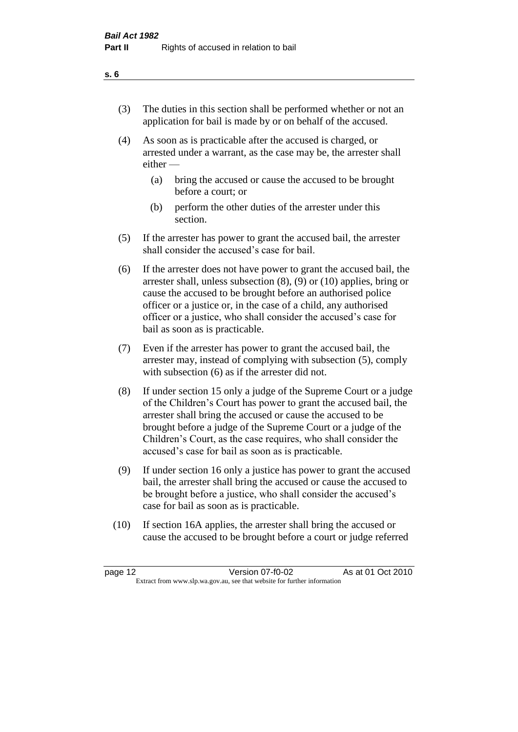- (3) The duties in this section shall be performed whether or not an application for bail is made by or on behalf of the accused.
- (4) As soon as is practicable after the accused is charged, or arrested under a warrant, as the case may be, the arrester shall either —
	- (a) bring the accused or cause the accused to be brought before a court; or
	- (b) perform the other duties of the arrester under this section.
- (5) If the arrester has power to grant the accused bail, the arrester shall consider the accused's case for bail.
- (6) If the arrester does not have power to grant the accused bail, the arrester shall, unless subsection (8), (9) or (10) applies, bring or cause the accused to be brought before an authorised police officer or a justice or, in the case of a child, any authorised officer or a justice, who shall consider the accused's case for bail as soon as is practicable.
- (7) Even if the arrester has power to grant the accused bail, the arrester may, instead of complying with subsection (5), comply with subsection (6) as if the arrester did not.
- (8) If under section 15 only a judge of the Supreme Court or a judge of the Children's Court has power to grant the accused bail, the arrester shall bring the accused or cause the accused to be brought before a judge of the Supreme Court or a judge of the Children's Court, as the case requires, who shall consider the accused's case for bail as soon as is practicable.
- (9) If under section 16 only a justice has power to grant the accused bail, the arrester shall bring the accused or cause the accused to be brought before a justice, who shall consider the accused's case for bail as soon as is practicable.
- (10) If section 16A applies, the arrester shall bring the accused or cause the accused to be brought before a court or judge referred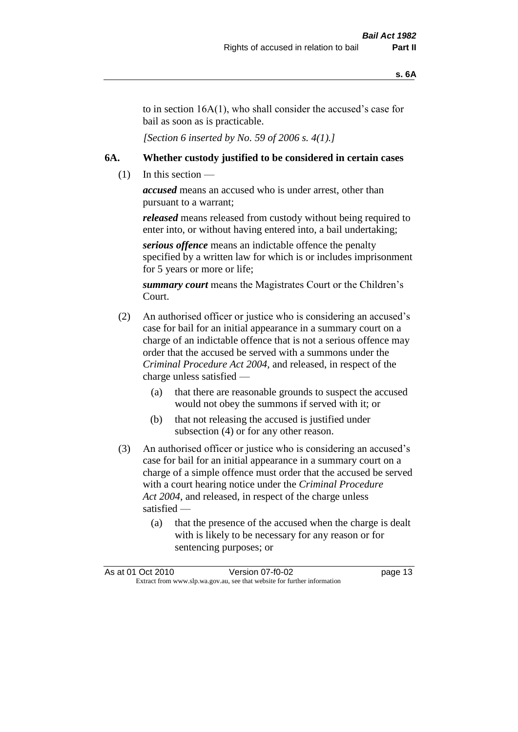to in section 16A(1), who shall consider the accused's case for bail as soon as is practicable.

*[Section 6 inserted by No. 59 of 2006 s. 4(1).]* 

#### **6A. Whether custody justified to be considered in certain cases**

 $(1)$  In this section —

*accused* means an accused who is under arrest, other than pursuant to a warrant;

*released* means released from custody without being required to enter into, or without having entered into, a bail undertaking;

*serious offence* means an indictable offence the penalty specified by a written law for which is or includes imprisonment for 5 years or more or life;

*summary court* means the Magistrates Court or the Children's Court.

- (2) An authorised officer or justice who is considering an accused's case for bail for an initial appearance in a summary court on a charge of an indictable offence that is not a serious offence may order that the accused be served with a summons under the *Criminal Procedure Act 2004*, and released, in respect of the charge unless satisfied —
	- (a) that there are reasonable grounds to suspect the accused would not obey the summons if served with it; or
	- (b) that not releasing the accused is justified under subsection (4) or for any other reason.
- (3) An authorised officer or justice who is considering an accused's case for bail for an initial appearance in a summary court on a charge of a simple offence must order that the accused be served with a court hearing notice under the *Criminal Procedure Act 2004*, and released, in respect of the charge unless satisfied —
	- (a) that the presence of the accused when the charge is dealt with is likely to be necessary for any reason or for sentencing purposes; or

|                                                                          | As at 01 Oct 2010 | Version 07-f0-02 | page 13 |
|--------------------------------------------------------------------------|-------------------|------------------|---------|
| Extract from www.slp.wa.gov.au, see that website for further information |                   |                  |         |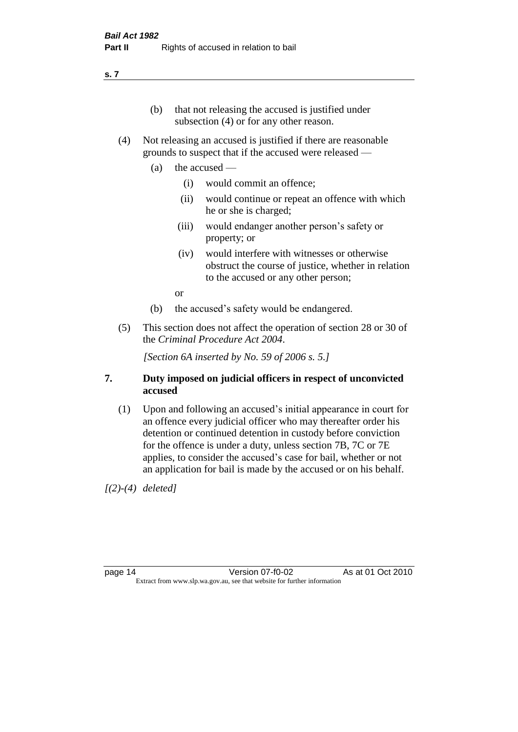#### **s. 7**

- (b) that not releasing the accused is justified under subsection (4) or for any other reason.
- (4) Not releasing an accused is justified if there are reasonable grounds to suspect that if the accused were released —
	- (a) the accused
		- (i) would commit an offence;
		- (ii) would continue or repeat an offence with which he or she is charged;
		- (iii) would endanger another person's safety or property; or
		- (iv) would interfere with witnesses or otherwise obstruct the course of justice, whether in relation to the accused or any other person;

or

- (b) the accused's safety would be endangered.
- (5) This section does not affect the operation of section 28 or 30 of the *Criminal Procedure Act 2004*.

*[Section 6A inserted by No. 59 of 2006 s. 5.]* 

#### **7. Duty imposed on judicial officers in respect of unconvicted accused**

(1) Upon and following an accused's initial appearance in court for an offence every judicial officer who may thereafter order his detention or continued detention in custody before conviction for the offence is under a duty, unless section 7B, 7C or 7E applies, to consider the accused's case for bail, whether or not an application for bail is made by the accused or on his behalf.

*[(2)-(4) deleted]*

page 14 Version 07-f0-02 As at 01 Oct 2010 Extract from www.slp.wa.gov.au, see that website for further information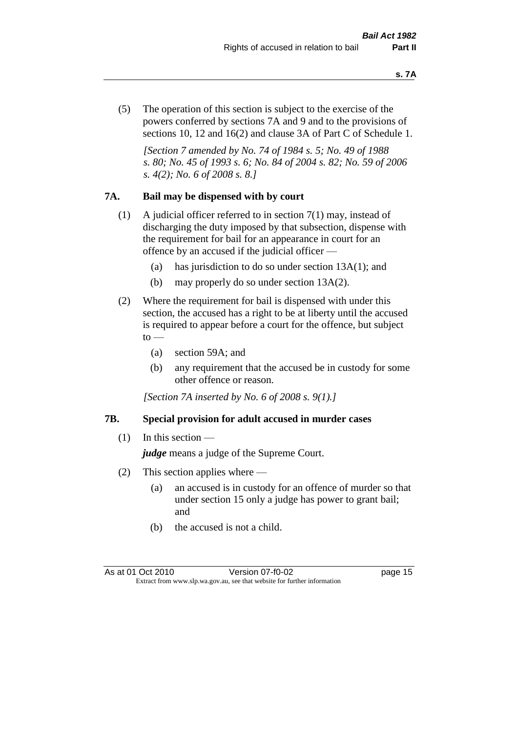(5) The operation of this section is subject to the exercise of the powers conferred by sections 7A and 9 and to the provisions of sections 10, 12 and 16(2) and clause 3A of Part C of Schedule 1.

*[Section 7 amended by No. 74 of 1984 s. 5; No. 49 of 1988 s. 80; No. 45 of 1993 s. 6; No. 84 of 2004 s. 82; No. 59 of 2006 s. 4(2); No. 6 of 2008 s. 8.]* 

#### **7A. Bail may be dispensed with by court**

- (1) A judicial officer referred to in section 7(1) may, instead of discharging the duty imposed by that subsection, dispense with the requirement for bail for an appearance in court for an offence by an accused if the judicial officer —
	- (a) has jurisdiction to do so under section 13A(1); and
	- (b) may properly do so under section 13A(2).
- (2) Where the requirement for bail is dispensed with under this section, the accused has a right to be at liberty until the accused is required to appear before a court for the offence, but subject  $\mathrm{to}$  —
	- (a) section 59A; and
	- (b) any requirement that the accused be in custody for some other offence or reason.

*[Section 7A inserted by No. 6 of 2008 s. 9(1).]*

#### **7B. Special provision for adult accused in murder cases**

 $(1)$  In this section —

*judge* means a judge of the Supreme Court.

- (2) This section applies where
	- (a) an accused is in custody for an offence of murder so that under section 15 only a judge has power to grant bail; and
	- (b) the accused is not a child.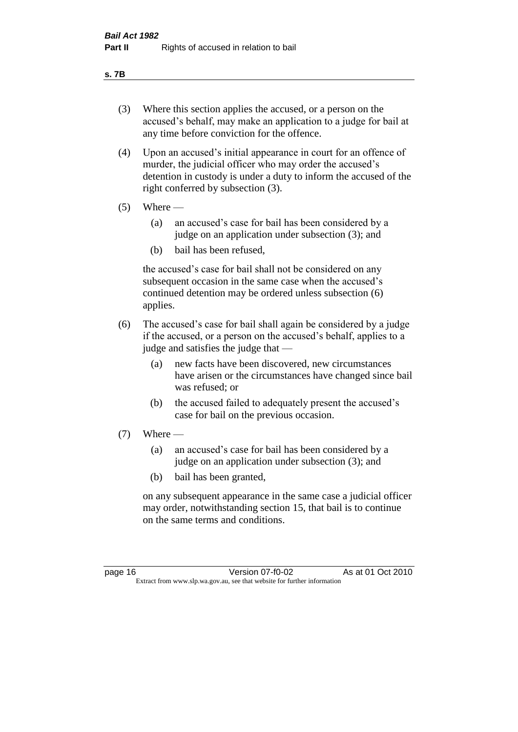#### **s. 7B**

- (3) Where this section applies the accused, or a person on the accused's behalf, may make an application to a judge for bail at any time before conviction for the offence.
- (4) Upon an accused's initial appearance in court for an offence of murder, the judicial officer who may order the accused's detention in custody is under a duty to inform the accused of the right conferred by subsection (3).
- $(5)$  Where
	- (a) an accused's case for bail has been considered by a judge on an application under subsection (3); and
	- (b) bail has been refused,

the accused's case for bail shall not be considered on any subsequent occasion in the same case when the accused's continued detention may be ordered unless subsection (6) applies.

- (6) The accused's case for bail shall again be considered by a judge if the accused, or a person on the accused's behalf, applies to a judge and satisfies the judge that —
	- (a) new facts have been discovered, new circumstances have arisen or the circumstances have changed since bail was refused; or
	- (b) the accused failed to adequately present the accused's case for bail on the previous occasion.
- $(7)$  Where
	- (a) an accused's case for bail has been considered by a judge on an application under subsection (3); and
	- (b) bail has been granted,

on any subsequent appearance in the same case a judicial officer may order, notwithstanding section 15, that bail is to continue on the same terms and conditions.

page 16 Version 07-f0-02 As at 01 Oct 2010 Extract from www.slp.wa.gov.au, see that website for further information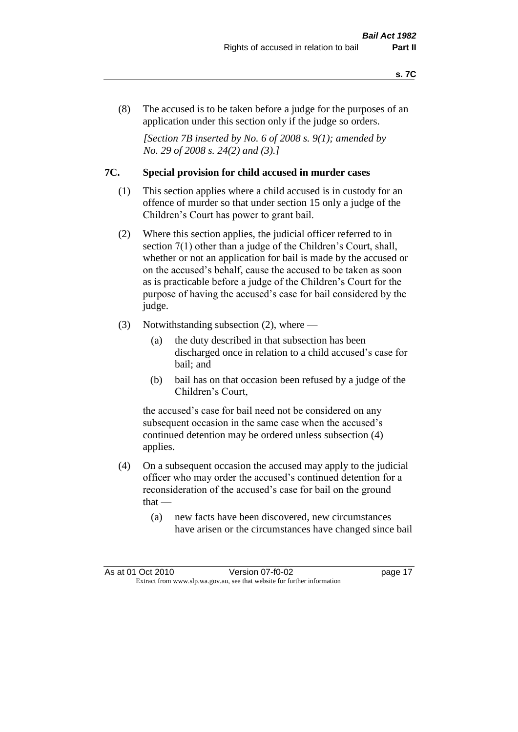(8) The accused is to be taken before a judge for the purposes of an application under this section only if the judge so orders.

*[Section 7B inserted by No. 6 of 2008 s. 9(1); amended by No. 29 of 2008 s. 24(2) and (3).]*

#### **7C. Special provision for child accused in murder cases**

- (1) This section applies where a child accused is in custody for an offence of murder so that under section 15 only a judge of the Children's Court has power to grant bail.
- (2) Where this section applies, the judicial officer referred to in section 7(1) other than a judge of the Children's Court, shall, whether or not an application for bail is made by the accused or on the accused's behalf, cause the accused to be taken as soon as is practicable before a judge of the Children's Court for the purpose of having the accused's case for bail considered by the judge.
- (3) Notwithstanding subsection (2), where
	- (a) the duty described in that subsection has been discharged once in relation to a child accused's case for bail; and
	- (b) bail has on that occasion been refused by a judge of the Children's Court,

the accused's case for bail need not be considered on any subsequent occasion in the same case when the accused's continued detention may be ordered unless subsection (4) applies.

- (4) On a subsequent occasion the accused may apply to the judicial officer who may order the accused's continued detention for a reconsideration of the accused's case for bail on the ground  $that -$ 
	- (a) new facts have been discovered, new circumstances have arisen or the circumstances have changed since bail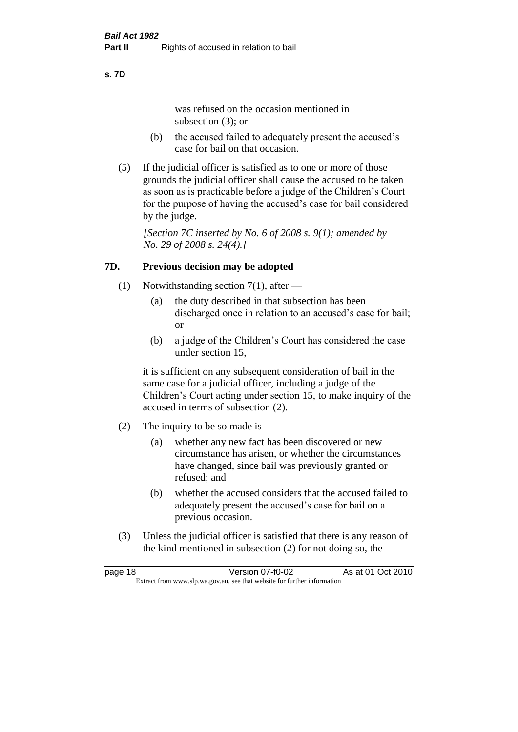#### **s. 7D**

was refused on the occasion mentioned in subsection (3); or

- (b) the accused failed to adequately present the accused's case for bail on that occasion.
- (5) If the judicial officer is satisfied as to one or more of those grounds the judicial officer shall cause the accused to be taken as soon as is practicable before a judge of the Children's Court for the purpose of having the accused's case for bail considered by the judge.

*[Section 7C inserted by No. 6 of 2008 s. 9(1); amended by No. 29 of 2008 s. 24(4).]*

#### **7D. Previous decision may be adopted**

- (1) Notwithstanding section 7(1), after
	- (a) the duty described in that subsection has been discharged once in relation to an accused's case for bail; or
	- (b) a judge of the Children's Court has considered the case under section 15,

it is sufficient on any subsequent consideration of bail in the same case for a judicial officer, including a judge of the Children's Court acting under section 15, to make inquiry of the accused in terms of subsection (2).

- (2) The inquiry to be so made is  $-$ 
	- (a) whether any new fact has been discovered or new circumstance has arisen, or whether the circumstances have changed, since bail was previously granted or refused; and
	- (b) whether the accused considers that the accused failed to adequately present the accused's case for bail on a previous occasion.
- (3) Unless the judicial officer is satisfied that there is any reason of the kind mentioned in subsection (2) for not doing so, the

page 18 Version 07-f0-02 As at 01 Oct 2010 Extract from www.slp.wa.gov.au, see that website for further information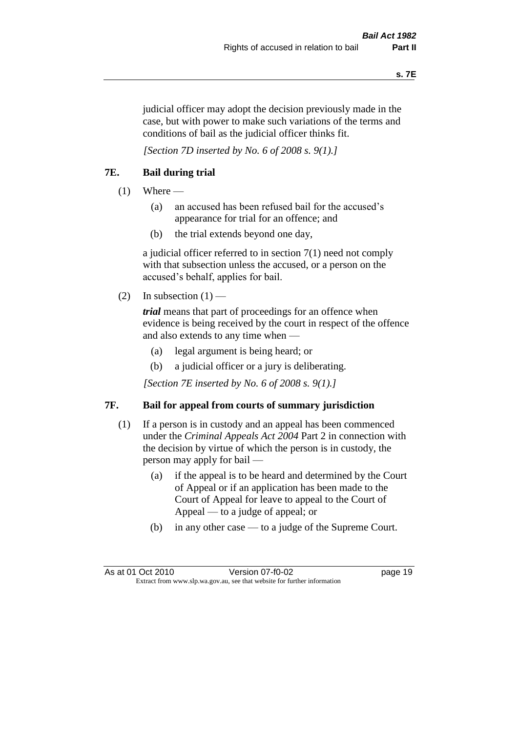judicial officer may adopt the decision previously made in the case, but with power to make such variations of the terms and conditions of bail as the judicial officer thinks fit.

*[Section 7D inserted by No. 6 of 2008 s. 9(1).]*

#### **7E. Bail during trial**

- $(1)$  Where
	- (a) an accused has been refused bail for the accused's appearance for trial for an offence; and
	- (b) the trial extends beyond one day,

a judicial officer referred to in section 7(1) need not comply with that subsection unless the accused, or a person on the accused's behalf, applies for bail.

(2) In subsection  $(1)$  —

*trial* means that part of proceedings for an offence when evidence is being received by the court in respect of the offence and also extends to any time when —

- (a) legal argument is being heard; or
- (b) a judicial officer or a jury is deliberating.

*[Section 7E inserted by No. 6 of 2008 s. 9(1).]*

#### **7F. Bail for appeal from courts of summary jurisdiction**

- (1) If a person is in custody and an appeal has been commenced under the *Criminal Appeals Act 2004* Part 2 in connection with the decision by virtue of which the person is in custody, the person may apply for bail —
	- (a) if the appeal is to be heard and determined by the Court of Appeal or if an application has been made to the Court of Appeal for leave to appeal to the Court of Appeal — to a judge of appeal; or
	- (b) in any other case to a judge of the Supreme Court.

As at 01 Oct 2010 Version 07-f0-02 Page 19 Extract from www.slp.wa.gov.au, see that website for further information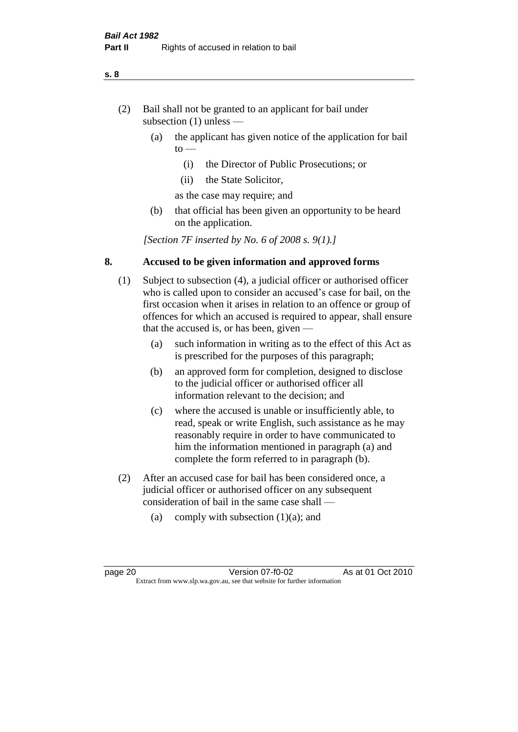- (2) Bail shall not be granted to an applicant for bail under subsection (1) unless —
	- (a) the applicant has given notice of the application for bail  $to -$ 
		- (i) the Director of Public Prosecutions; or
		- (ii) the State Solicitor,
		- as the case may require; and
	- (b) that official has been given an opportunity to be heard on the application.

*[Section 7F inserted by No. 6 of 2008 s. 9(1).]*

#### **8. Accused to be given information and approved forms**

- (1) Subject to subsection (4), a judicial officer or authorised officer who is called upon to consider an accused's case for bail, on the first occasion when it arises in relation to an offence or group of offences for which an accused is required to appear, shall ensure that the accused is, or has been, given —
	- (a) such information in writing as to the effect of this Act as is prescribed for the purposes of this paragraph;
	- (b) an approved form for completion, designed to disclose to the judicial officer or authorised officer all information relevant to the decision; and
	- (c) where the accused is unable or insufficiently able, to read, speak or write English, such assistance as he may reasonably require in order to have communicated to him the information mentioned in paragraph (a) and complete the form referred to in paragraph (b).
- (2) After an accused case for bail has been considered once, a judicial officer or authorised officer on any subsequent consideration of bail in the same case shall —
	- (a) comply with subsection  $(1)(a)$ ; and

#### **s. 8**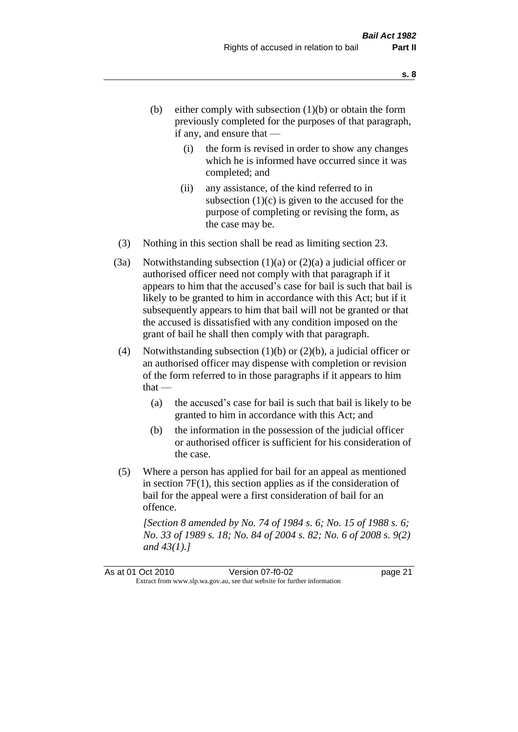- (b) either comply with subsection  $(1)(b)$  or obtain the form previously completed for the purposes of that paragraph, if any, and ensure that —
	- (i) the form is revised in order to show any changes which he is informed have occurred since it was completed; and
	- (ii) any assistance, of the kind referred to in subsection  $(1)(c)$  is given to the accused for the purpose of completing or revising the form, as the case may be.
- (3) Nothing in this section shall be read as limiting section 23.
- (3a) Notwithstanding subsection  $(1)(a)$  or  $(2)(a)$  a judicial officer or authorised officer need not comply with that paragraph if it appears to him that the accused's case for bail is such that bail is likely to be granted to him in accordance with this Act; but if it subsequently appears to him that bail will not be granted or that the accused is dissatisfied with any condition imposed on the grant of bail he shall then comply with that paragraph.
- (4) Notwithstanding subsection (1)(b) or (2)(b), a judicial officer or an authorised officer may dispense with completion or revision of the form referred to in those paragraphs if it appears to him  $that -$ 
	- (a) the accused's case for bail is such that bail is likely to be granted to him in accordance with this Act; and
	- (b) the information in the possession of the judicial officer or authorised officer is sufficient for his consideration of the case.
- (5) Where a person has applied for bail for an appeal as mentioned in section 7F(1), this section applies as if the consideration of bail for the appeal were a first consideration of bail for an offence.

*[Section 8 amended by No. 74 of 1984 s. 6; No. 15 of 1988 s. 6; No. 33 of 1989 s. 18; No. 84 of 2004 s. 82; No. 6 of 2008 s. 9(2) and 43(1).]*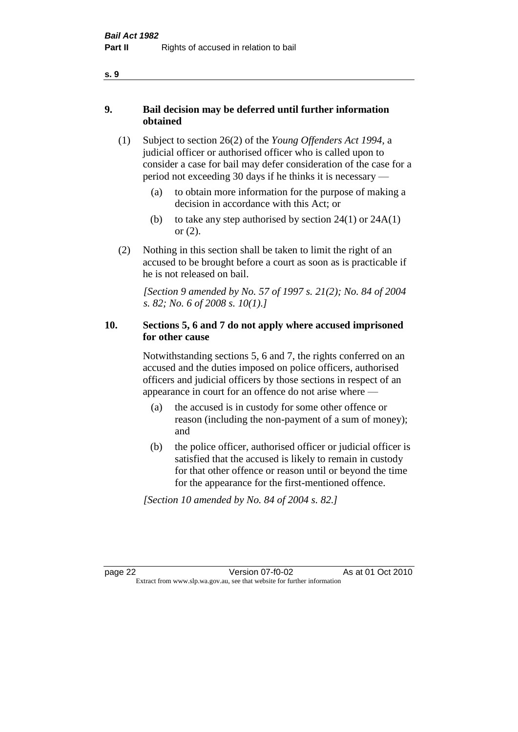- **9. Bail decision may be deferred until further information obtained**
	- (1) Subject to section 26(2) of the *Young Offenders Act 1994*, a judicial officer or authorised officer who is called upon to consider a case for bail may defer consideration of the case for a period not exceeding 30 days if he thinks it is necessary —
		- (a) to obtain more information for the purpose of making a decision in accordance with this Act; or
		- (b) to take any step authorised by section  $24(1)$  or  $24A(1)$ or (2).
	- (2) Nothing in this section shall be taken to limit the right of an accused to be brought before a court as soon as is practicable if he is not released on bail.

*[Section 9 amended by No. 57 of 1997 s. 21(2); No. 84 of 2004 s. 82; No. 6 of 2008 s. 10(1).]*

#### **10. Sections 5, 6 and 7 do not apply where accused imprisoned for other cause**

Notwithstanding sections 5, 6 and 7, the rights conferred on an accused and the duties imposed on police officers, authorised officers and judicial officers by those sections in respect of an appearance in court for an offence do not arise where —

- (a) the accused is in custody for some other offence or reason (including the non-payment of a sum of money); and
- (b) the police officer, authorised officer or judicial officer is satisfied that the accused is likely to remain in custody for that other offence or reason until or beyond the time for the appearance for the first-mentioned offence.

*[Section 10 amended by No. 84 of 2004 s. 82.]*

page 22 Version 07-f0-02 As at 01 Oct 2010 Extract from www.slp.wa.gov.au, see that website for further information

**s. 9**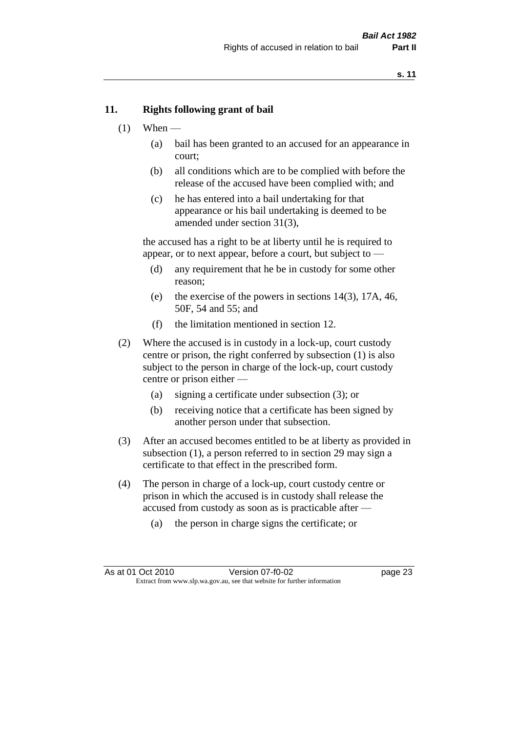#### **11. Rights following grant of bail**

- $(1)$  When
	- (a) bail has been granted to an accused for an appearance in court;
	- (b) all conditions which are to be complied with before the release of the accused have been complied with; and
	- (c) he has entered into a bail undertaking for that appearance or his bail undertaking is deemed to be amended under section 31(3),

the accused has a right to be at liberty until he is required to appear, or to next appear, before a court, but subject to —

- (d) any requirement that he be in custody for some other reason;
- (e) the exercise of the powers in sections 14(3), 17A, 46, 50F, 54 and 55; and
- (f) the limitation mentioned in section 12.
- (2) Where the accused is in custody in a lock-up, court custody centre or prison, the right conferred by subsection (1) is also subject to the person in charge of the lock-up, court custody centre or prison either —
	- (a) signing a certificate under subsection (3); or
	- (b) receiving notice that a certificate has been signed by another person under that subsection.
- (3) After an accused becomes entitled to be at liberty as provided in subsection (1), a person referred to in section 29 may sign a certificate to that effect in the prescribed form.
- (4) The person in charge of a lock-up, court custody centre or prison in which the accused is in custody shall release the accused from custody as soon as is practicable after —
	- (a) the person in charge signs the certificate; or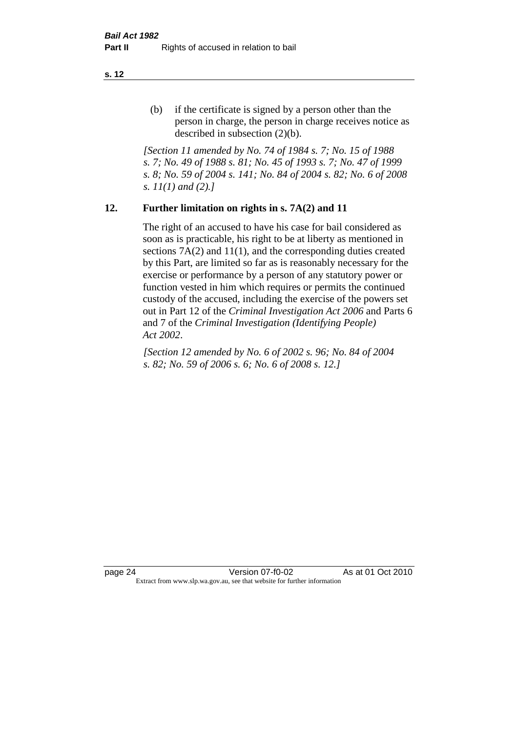(b) if the certificate is signed by a person other than the person in charge, the person in charge receives notice as described in subsection (2)(b).

*[Section 11 amended by No. 74 of 1984 s. 7; No. 15 of 1988 s. 7; No. 49 of 1988 s. 81; No. 45 of 1993 s. 7; No. 47 of 1999 s. 8; No. 59 of 2004 s. 141; No. 84 of 2004 s. 82; No. 6 of 2008 s. 11(1) and (2).]* 

#### **12. Further limitation on rights in s. 7A(2) and 11**

The right of an accused to have his case for bail considered as soon as is practicable, his right to be at liberty as mentioned in sections 7A(2) and 11(1), and the corresponding duties created by this Part, are limited so far as is reasonably necessary for the exercise or performance by a person of any statutory power or function vested in him which requires or permits the continued custody of the accused, including the exercise of the powers set out in Part 12 of the *Criminal Investigation Act 2006* and Parts 6 and 7 of the *Criminal Investigation (Identifying People) Act 2002*.

*[Section 12 amended by No. 6 of 2002 s. 96; No. 84 of 2004 s. 82; No. 59 of 2006 s. 6; No. 6 of 2008 s. 12.]*

page 24 Version 07-f0-02 As at 01 Oct 2010 Extract from www.slp.wa.gov.au, see that website for further information

**s. 12**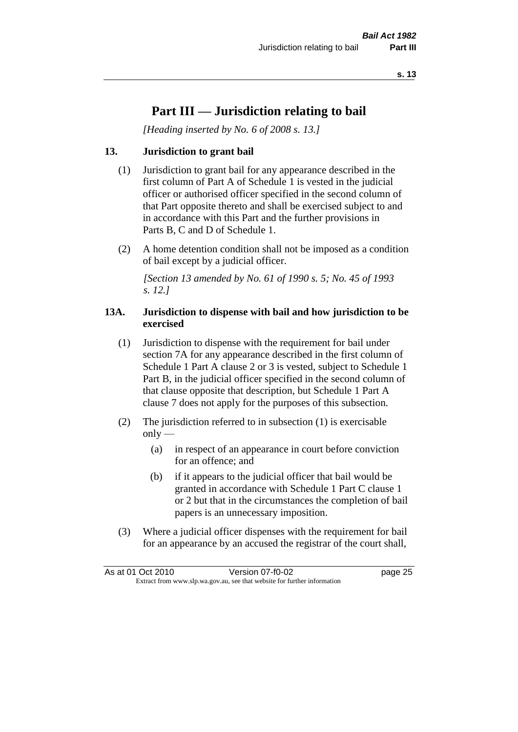#### **Part III — Jurisdiction relating to bail**

*[Heading inserted by No. 6 of 2008 s. 13.]*

#### **13. Jurisdiction to grant bail**

- (1) Jurisdiction to grant bail for any appearance described in the first column of Part A of Schedule 1 is vested in the judicial officer or authorised officer specified in the second column of that Part opposite thereto and shall be exercised subject to and in accordance with this Part and the further provisions in Parts B, C and D of Schedule 1.
- (2) A home detention condition shall not be imposed as a condition of bail except by a judicial officer.

*[Section 13 amended by No. 61 of 1990 s. 5; No. 45 of 1993 s. 12.]* 

#### **13A. Jurisdiction to dispense with bail and how jurisdiction to be exercised**

- (1) Jurisdiction to dispense with the requirement for bail under section 7A for any appearance described in the first column of Schedule 1 Part A clause 2 or 3 is vested, subject to Schedule 1 Part B, in the judicial officer specified in the second column of that clause opposite that description, but Schedule 1 Part A clause 7 does not apply for the purposes of this subsection.
- (2) The jurisdiction referred to in subsection (1) is exercisable  $only$ —
	- (a) in respect of an appearance in court before conviction for an offence; and
	- (b) if it appears to the judicial officer that bail would be granted in accordance with Schedule 1 Part C clause 1 or 2 but that in the circumstances the completion of bail papers is an unnecessary imposition.
- (3) Where a judicial officer dispenses with the requirement for bail for an appearance by an accused the registrar of the court shall,

|                                                                          | As at 01 Oct 2010 | Version 07-f0-02 | page 25 |
|--------------------------------------------------------------------------|-------------------|------------------|---------|
| Extract from www.slp.wa.gov.au, see that website for further information |                   |                  |         |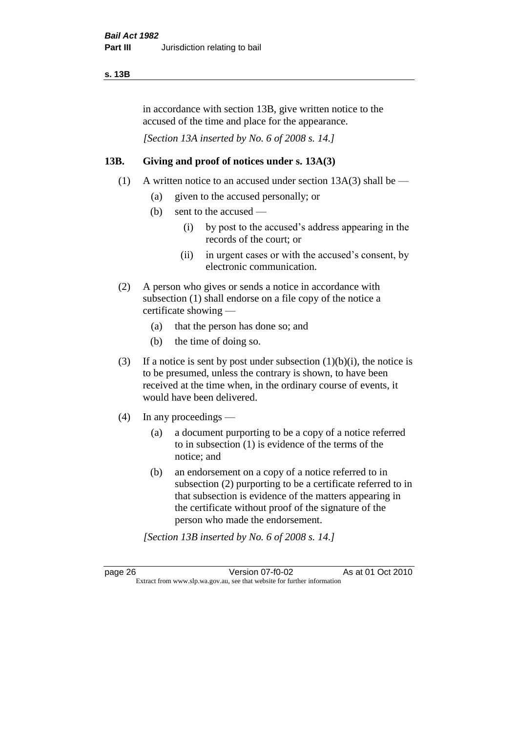#### **s. 13B**

in accordance with section 13B, give written notice to the accused of the time and place for the appearance.

*[Section 13A inserted by No. 6 of 2008 s. 14.]*

#### **13B. Giving and proof of notices under s. 13A(3)**

- (1) A written notice to an accused under section 13A(3) shall be
	- (a) given to the accused personally; or
	- (b) sent to the accused
		- (i) by post to the accused's address appearing in the records of the court; or
		- (ii) in urgent cases or with the accused's consent, by electronic communication.
- (2) A person who gives or sends a notice in accordance with subsection (1) shall endorse on a file copy of the notice a certificate showing —
	- (a) that the person has done so; and
	- (b) the time of doing so.
- (3) If a notice is sent by post under subsection  $(1)(b)(i)$ , the notice is to be presumed, unless the contrary is shown, to have been received at the time when, in the ordinary course of events, it would have been delivered.
- (4) In any proceedings
	- (a) a document purporting to be a copy of a notice referred to in subsection (1) is evidence of the terms of the notice; and
	- (b) an endorsement on a copy of a notice referred to in subsection (2) purporting to be a certificate referred to in that subsection is evidence of the matters appearing in the certificate without proof of the signature of the person who made the endorsement.

*[Section 13B inserted by No. 6 of 2008 s. 14.]*

page 26 Version 07-f0-02 As at 01 Oct 2010 Extract from www.slp.wa.gov.au, see that website for further information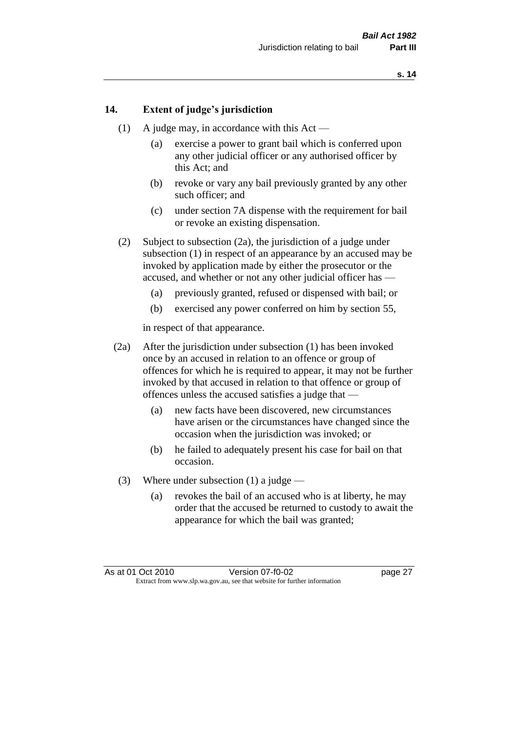#### **14. Extent of judge's jurisdiction**

- (1) A judge may, in accordance with this  $Act -$ 
	- (a) exercise a power to grant bail which is conferred upon any other judicial officer or any authorised officer by this Act; and
	- (b) revoke or vary any bail previously granted by any other such officer; and
	- (c) under section 7A dispense with the requirement for bail or revoke an existing dispensation.
- (2) Subject to subsection (2a), the jurisdiction of a judge under subsection (1) in respect of an appearance by an accused may be invoked by application made by either the prosecutor or the accused, and whether or not any other judicial officer has —
	- (a) previously granted, refused or dispensed with bail; or
	- (b) exercised any power conferred on him by section 55,

in respect of that appearance.

- (2a) After the jurisdiction under subsection (1) has been invoked once by an accused in relation to an offence or group of offences for which he is required to appear, it may not be further invoked by that accused in relation to that offence or group of offences unless the accused satisfies a judge that —
	- (a) new facts have been discovered, new circumstances have arisen or the circumstances have changed since the occasion when the jurisdiction was invoked; or
	- (b) he failed to adequately present his case for bail on that occasion.
- (3) Where under subsection (1) a judge
	- (a) revokes the bail of an accused who is at liberty, he may order that the accused be returned to custody to await the appearance for which the bail was granted;

As at 01 Oct 2010 Version 07-f0-02 page 27 Extract from www.slp.wa.gov.au, see that website for further information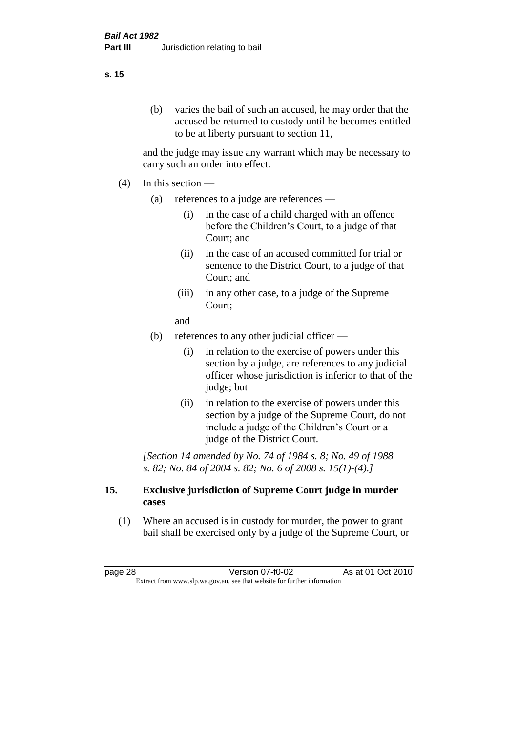#### **s. 15**

(b) varies the bail of such an accused, he may order that the accused be returned to custody until he becomes entitled to be at liberty pursuant to section 11,

and the judge may issue any warrant which may be necessary to carry such an order into effect.

- $(4)$  In this section
	- (a) references to a judge are references
		- (i) in the case of a child charged with an offence before the Children's Court, to a judge of that Court; and
		- (ii) in the case of an accused committed for trial or sentence to the District Court, to a judge of that Court; and
		- (iii) in any other case, to a judge of the Supreme Court;
		- and
	- (b) references to any other judicial officer
		- (i) in relation to the exercise of powers under this section by a judge, are references to any judicial officer whose jurisdiction is inferior to that of the judge; but
		- (ii) in relation to the exercise of powers under this section by a judge of the Supreme Court, do not include a judge of the Children's Court or a judge of the District Court.

*[Section 14 amended by No. 74 of 1984 s. 8; No. 49 of 1988 s. 82; No. 84 of 2004 s. 82; No. 6 of 2008 s. 15(1)-(4).]* 

#### **15. Exclusive jurisdiction of Supreme Court judge in murder cases**

(1) Where an accused is in custody for murder, the power to grant bail shall be exercised only by a judge of the Supreme Court, or

page 28 Version 07-f0-02 As at 01 Oct 2010 Extract from www.slp.wa.gov.au, see that website for further information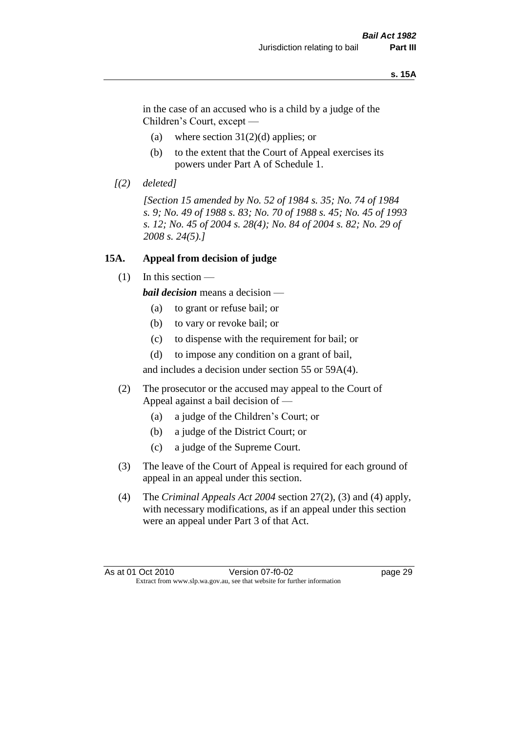#### **s. 15A**

in the case of an accused who is a child by a judge of the Children's Court, except —

- (a) where section  $31(2)(d)$  applies; or
- (b) to the extent that the Court of Appeal exercises its powers under Part A of Schedule 1.
- *[(2) deleted]*

*[Section 15 amended by No. 52 of 1984 s. 35; No. 74 of 1984 s. 9; No. 49 of 1988 s. 83; No. 70 of 1988 s. 45; No. 45 of 1993 s. 12; No. 45 of 2004 s. 28(4); No. 84 of 2004 s. 82; No. 29 of 2008 s. 24(5).]* 

#### **15A. Appeal from decision of judge**

(1) In this section —

*bail decision* means a decision —

- (a) to grant or refuse bail; or
- (b) to vary or revoke bail; or
- (c) to dispense with the requirement for bail; or
- (d) to impose any condition on a grant of bail,

and includes a decision under section 55 or 59A(4).

- (2) The prosecutor or the accused may appeal to the Court of Appeal against a bail decision of —
	- (a) a judge of the Children's Court; or
	- (b) a judge of the District Court; or
	- (c) a judge of the Supreme Court.
- (3) The leave of the Court of Appeal is required for each ground of appeal in an appeal under this section.
- (4) The *Criminal Appeals Act 2004* section 27(2), (3) and (4) apply, with necessary modifications, as if an appeal under this section were an appeal under Part 3 of that Act.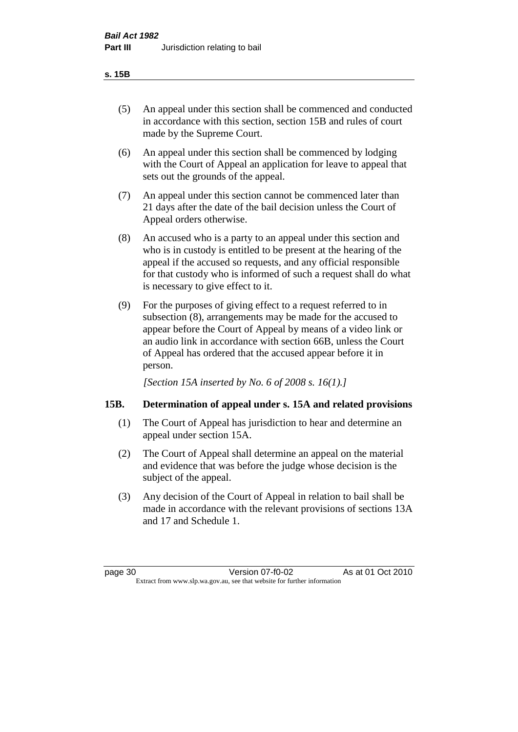#### **s. 15B**

- (5) An appeal under this section shall be commenced and conducted in accordance with this section, section 15B and rules of court made by the Supreme Court.
- (6) An appeal under this section shall be commenced by lodging with the Court of Appeal an application for leave to appeal that sets out the grounds of the appeal.
- (7) An appeal under this section cannot be commenced later than 21 days after the date of the bail decision unless the Court of Appeal orders otherwise.
- (8) An accused who is a party to an appeal under this section and who is in custody is entitled to be present at the hearing of the appeal if the accused so requests, and any official responsible for that custody who is informed of such a request shall do what is necessary to give effect to it.
- (9) For the purposes of giving effect to a request referred to in subsection (8), arrangements may be made for the accused to appear before the Court of Appeal by means of a video link or an audio link in accordance with section 66B, unless the Court of Appeal has ordered that the accused appear before it in person.

*[Section 15A inserted by No. 6 of 2008 s. 16(1).]*

# **15B. Determination of appeal under s. 15A and related provisions**

- (1) The Court of Appeal has jurisdiction to hear and determine an appeal under section 15A.
- (2) The Court of Appeal shall determine an appeal on the material and evidence that was before the judge whose decision is the subject of the appeal.
- (3) Any decision of the Court of Appeal in relation to bail shall be made in accordance with the relevant provisions of sections 13A and 17 and Schedule 1.

page 30 Version 07-f0-02 As at 01 Oct 2010 Extract from www.slp.wa.gov.au, see that website for further information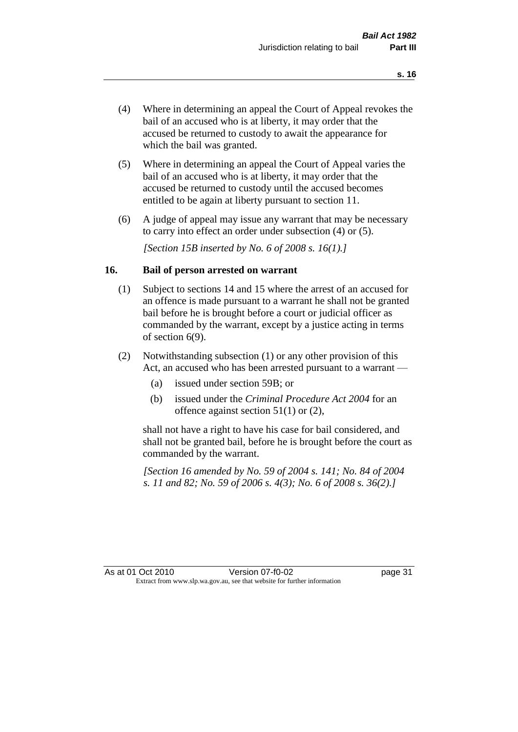- (4) Where in determining an appeal the Court of Appeal revokes the bail of an accused who is at liberty, it may order that the accused be returned to custody to await the appearance for which the bail was granted.
- (5) Where in determining an appeal the Court of Appeal varies the bail of an accused who is at liberty, it may order that the accused be returned to custody until the accused becomes entitled to be again at liberty pursuant to section 11.
- (6) A judge of appeal may issue any warrant that may be necessary to carry into effect an order under subsection (4) or (5).

*[Section 15B inserted by No. 6 of 2008 s. 16(1).]*

#### **16. Bail of person arrested on warrant**

- (1) Subject to sections 14 and 15 where the arrest of an accused for an offence is made pursuant to a warrant he shall not be granted bail before he is brought before a court or judicial officer as commanded by the warrant, except by a justice acting in terms of section 6(9).
- (2) Notwithstanding subsection (1) or any other provision of this Act, an accused who has been arrested pursuant to a warrant —
	- (a) issued under section 59B; or
	- (b) issued under the *Criminal Procedure Act 2004* for an offence against section 51(1) or (2),

shall not have a right to have his case for bail considered, and shall not be granted bail, before he is brought before the court as commanded by the warrant.

*[Section 16 amended by No. 59 of 2004 s. 141; No. 84 of 2004 s. 11 and 82; No. 59 of 2006 s. 4(3); No. 6 of 2008 s. 36(2).]*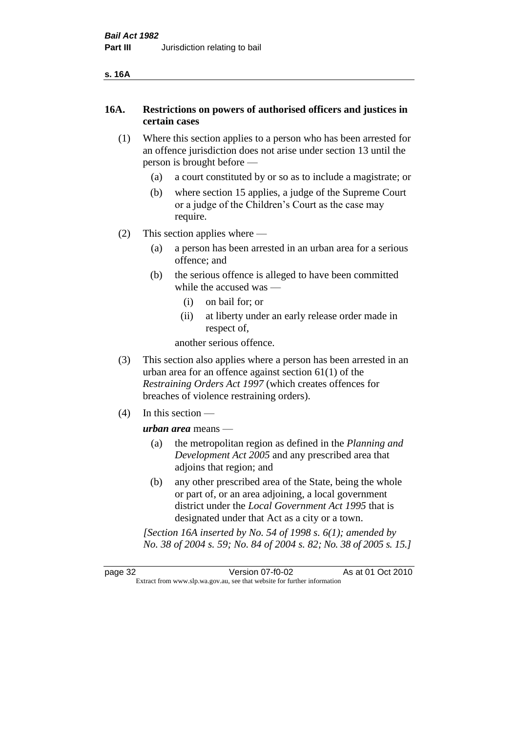| ۰, | ۰. |
|----|----|
|----|----|

# **16A. Restrictions on powers of authorised officers and justices in certain cases**

- (1) Where this section applies to a person who has been arrested for an offence jurisdiction does not arise under section 13 until the person is brought before —
	- (a) a court constituted by or so as to include a magistrate; or
	- (b) where section 15 applies, a judge of the Supreme Court or a judge of the Children's Court as the case may require.
- (2) This section applies where
	- (a) a person has been arrested in an urban area for a serious offence; and
	- (b) the serious offence is alleged to have been committed while the accused was —
		- (i) on bail for; or
		- (ii) at liberty under an early release order made in respect of,

another serious offence.

- (3) This section also applies where a person has been arrested in an urban area for an offence against section 61(1) of the *Restraining Orders Act 1997* (which creates offences for breaches of violence restraining orders).
- (4) In this section —

*urban area* means —

- (a) the metropolitan region as defined in the *Planning and Development Act 2005* and any prescribed area that adjoins that region; and
- (b) any other prescribed area of the State, being the whole or part of, or an area adjoining, a local government district under the *Local Government Act 1995* that is designated under that Act as a city or a town.

*[Section 16A inserted by No. 54 of 1998 s. 6(1); amended by No. 38 of 2004 s. 59; No. 84 of 2004 s. 82; No. 38 of 2005 s. 15.]*

page 32 Version 07-f0-02 As at 01 Oct 2010 Extract from www.slp.wa.gov.au, see that website for further information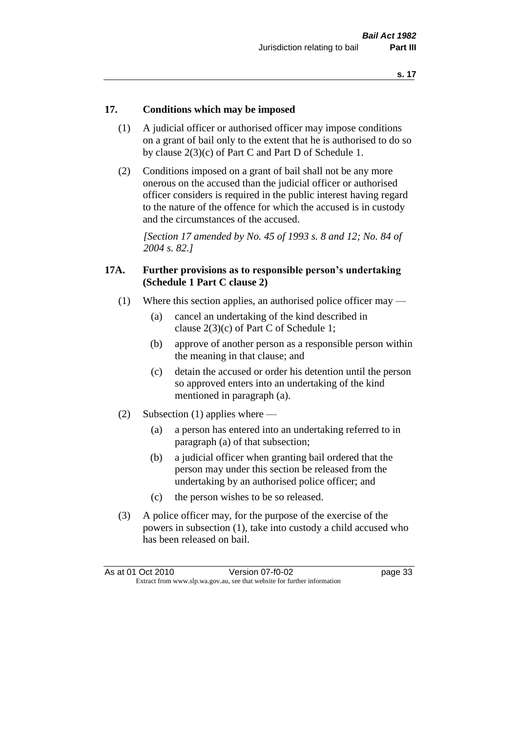#### **17. Conditions which may be imposed**

- (1) A judicial officer or authorised officer may impose conditions on a grant of bail only to the extent that he is authorised to do so by clause 2(3)(c) of Part C and Part D of Schedule 1.
- (2) Conditions imposed on a grant of bail shall not be any more onerous on the accused than the judicial officer or authorised officer considers is required in the public interest having regard to the nature of the offence for which the accused is in custody and the circumstances of the accused.

*[Section 17 amended by No. 45 of 1993 s. 8 and 12; No. 84 of 2004 s. 82.]* 

#### **17A. Further provisions as to responsible person's undertaking (Schedule 1 Part C clause 2)**

- (1) Where this section applies, an authorised police officer may
	- (a) cancel an undertaking of the kind described in clause 2(3)(c) of Part C of Schedule 1;
	- (b) approve of another person as a responsible person within the meaning in that clause; and
	- (c) detain the accused or order his detention until the person so approved enters into an undertaking of the kind mentioned in paragraph (a).
- (2) Subsection (1) applies where
	- (a) a person has entered into an undertaking referred to in paragraph (a) of that subsection;
	- (b) a judicial officer when granting bail ordered that the person may under this section be released from the undertaking by an authorised police officer; and
	- (c) the person wishes to be so released.
- (3) A police officer may, for the purpose of the exercise of the powers in subsection (1), take into custody a child accused who has been released on bail.

| As at 01 Oct 2010 | Version 07-f0-02                                                         | page 33 |
|-------------------|--------------------------------------------------------------------------|---------|
|                   | Extract from www.slp.wa.gov.au, see that website for further information |         |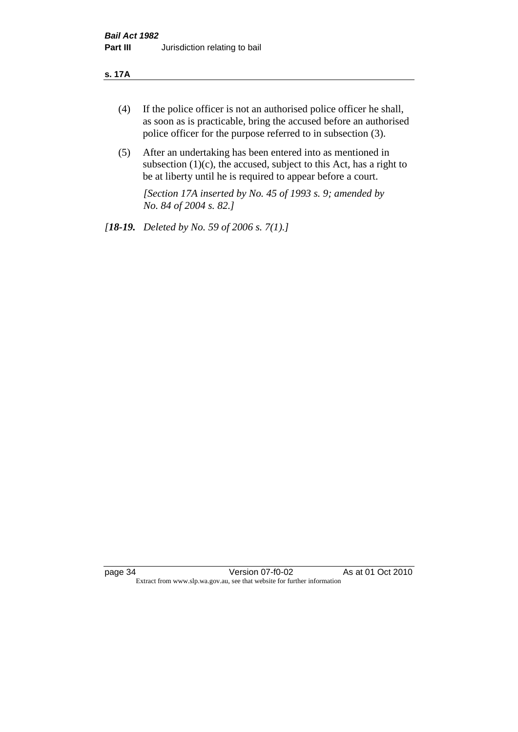#### **s. 17A**

- (4) If the police officer is not an authorised police officer he shall, as soon as is practicable, bring the accused before an authorised police officer for the purpose referred to in subsection (3).
- (5) After an undertaking has been entered into as mentioned in subsection  $(1)(c)$ , the accused, subject to this Act, has a right to be at liberty until he is required to appear before a court.

*[Section 17A inserted by No. 45 of 1993 s. 9; amended by No. 84 of 2004 s. 82.]* 

*[18-19. Deleted by No. 59 of 2006 s. 7(1).]*

page 34 Version 07-f0-02 As at 01 Oct 2010 Extract from www.slp.wa.gov.au, see that website for further information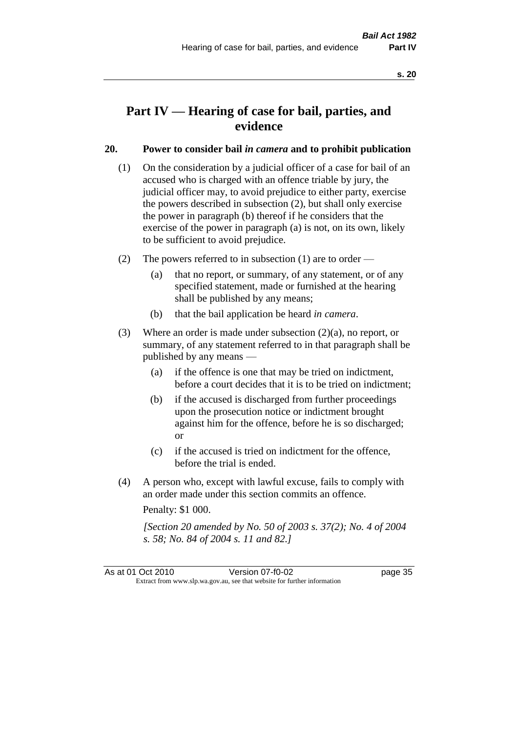# **Part IV — Hearing of case for bail, parties, and evidence**

# **20. Power to consider bail** *in camera* **and to prohibit publication**

- (1) On the consideration by a judicial officer of a case for bail of an accused who is charged with an offence triable by jury, the judicial officer may, to avoid prejudice to either party, exercise the powers described in subsection (2), but shall only exercise the power in paragraph (b) thereof if he considers that the exercise of the power in paragraph (a) is not, on its own, likely to be sufficient to avoid prejudice.
- (2) The powers referred to in subsection (1) are to order
	- (a) that no report, or summary, of any statement, or of any specified statement, made or furnished at the hearing shall be published by any means;
	- (b) that the bail application be heard *in camera*.
- (3) Where an order is made under subsection (2)(a), no report, or summary, of any statement referred to in that paragraph shall be published by any means —
	- (a) if the offence is one that may be tried on indictment, before a court decides that it is to be tried on indictment;
	- (b) if the accused is discharged from further proceedings upon the prosecution notice or indictment brought against him for the offence, before he is so discharged; or
	- (c) if the accused is tried on indictment for the offence, before the trial is ended.
- (4) A person who, except with lawful excuse, fails to comply with an order made under this section commits an offence.

Penalty: \$1 000.

*[Section 20 amended by No. 50 of 2003 s. 37(2); No. 4 of 2004 s. 58; No. 84 of 2004 s. 11 and 82.]*

As at 01 Oct 2010 Version 07-f0-02 page 35 Extract from www.slp.wa.gov.au, see that website for further information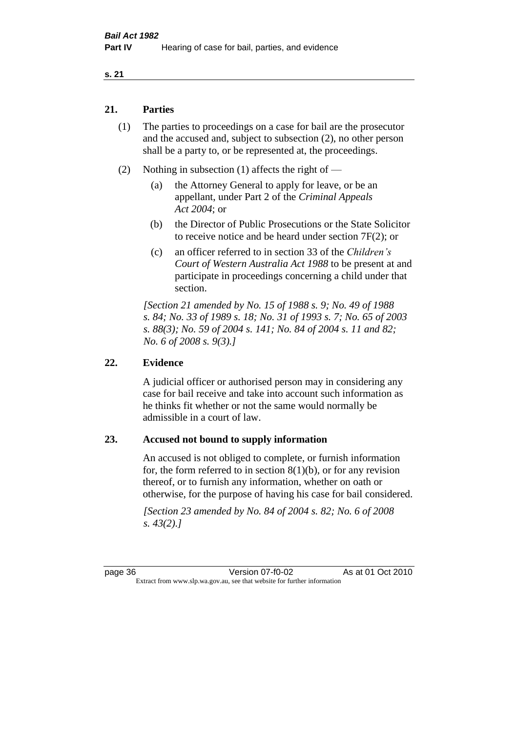#### **s. 21**

# **21. Parties**

- (1) The parties to proceedings on a case for bail are the prosecutor and the accused and, subject to subsection (2), no other person shall be a party to, or be represented at, the proceedings.
- (2) Nothing in subsection (1) affects the right of
	- (a) the Attorney General to apply for leave, or be an appellant, under Part 2 of the *Criminal Appeals Act 2004*; or
	- (b) the Director of Public Prosecutions or the State Solicitor to receive notice and be heard under section 7F(2); or
	- (c) an officer referred to in section 33 of the *Children's Court of Western Australia Act 1988* to be present at and participate in proceedings concerning a child under that section.

*[Section 21 amended by No. 15 of 1988 s. 9; No. 49 of 1988 s. 84; No. 33 of 1989 s. 18; No. 31 of 1993 s. 7; No. 65 of 2003 s. 88(3); No. 59 of 2004 s. 141; No. 84 of 2004 s. 11 and 82; No. 6 of 2008 s. 9(3).]* 

#### **22. Evidence**

A judicial officer or authorised person may in considering any case for bail receive and take into account such information as he thinks fit whether or not the same would normally be admissible in a court of law.

#### **23. Accused not bound to supply information**

An accused is not obliged to complete, or furnish information for, the form referred to in section  $8(1)(b)$ , or for any revision thereof, or to furnish any information, whether on oath or otherwise, for the purpose of having his case for bail considered.

*[Section 23 amended by No. 84 of 2004 s. 82; No. 6 of 2008 s. 43(2).]* 

page 36 Version 07-f0-02 As at 01 Oct 2010 Extract from www.slp.wa.gov.au, see that website for further information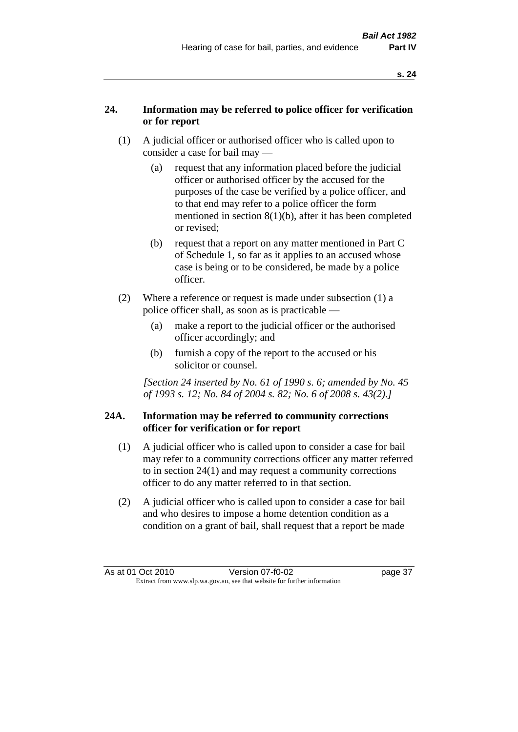# **24. Information may be referred to police officer for verification or for report**

- (1) A judicial officer or authorised officer who is called upon to consider a case for bail may —
	- (a) request that any information placed before the judicial officer or authorised officer by the accused for the purposes of the case be verified by a police officer, and to that end may refer to a police officer the form mentioned in section 8(1)(b), after it has been completed or revised;
	- (b) request that a report on any matter mentioned in Part C of Schedule 1, so far as it applies to an accused whose case is being or to be considered, be made by a police officer.
- (2) Where a reference or request is made under subsection (1) a police officer shall, as soon as is practicable —
	- (a) make a report to the judicial officer or the authorised officer accordingly; and
	- (b) furnish a copy of the report to the accused or his solicitor or counsel.

*[Section 24 inserted by No. 61 of 1990 s. 6; amended by No. 45 of 1993 s. 12; No. 84 of 2004 s. 82; No. 6 of 2008 s. 43(2).]* 

# **24A. Information may be referred to community corrections officer for verification or for report**

- (1) A judicial officer who is called upon to consider a case for bail may refer to a community corrections officer any matter referred to in section 24(1) and may request a community corrections officer to do any matter referred to in that section.
- (2) A judicial officer who is called upon to consider a case for bail and who desires to impose a home detention condition as a condition on a grant of bail, shall request that a report be made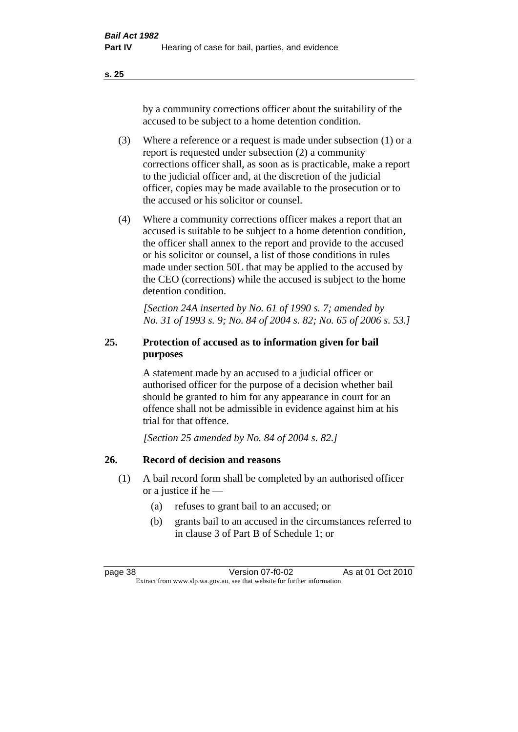**s. 25**

by a community corrections officer about the suitability of the accused to be subject to a home detention condition.

- (3) Where a reference or a request is made under subsection (1) or a report is requested under subsection (2) a community corrections officer shall, as soon as is practicable, make a report to the judicial officer and, at the discretion of the judicial officer, copies may be made available to the prosecution or to the accused or his solicitor or counsel.
- (4) Where a community corrections officer makes a report that an accused is suitable to be subject to a home detention condition, the officer shall annex to the report and provide to the accused or his solicitor or counsel, a list of those conditions in rules made under section 50L that may be applied to the accused by the CEO (corrections) while the accused is subject to the home detention condition.

*[Section 24A inserted by No. 61 of 1990 s. 7; amended by No. 31 of 1993 s. 9; No. 84 of 2004 s. 82; No. 65 of 2006 s. 53.]* 

# **25. Protection of accused as to information given for bail purposes**

A statement made by an accused to a judicial officer or authorised officer for the purpose of a decision whether bail should be granted to him for any appearance in court for an offence shall not be admissible in evidence against him at his trial for that offence.

*[Section 25 amended by No. 84 of 2004 s. 82.]* 

# **26. Record of decision and reasons**

- (1) A bail record form shall be completed by an authorised officer or a justice if he —
	- (a) refuses to grant bail to an accused; or
	- (b) grants bail to an accused in the circumstances referred to in clause 3 of Part B of Schedule 1; or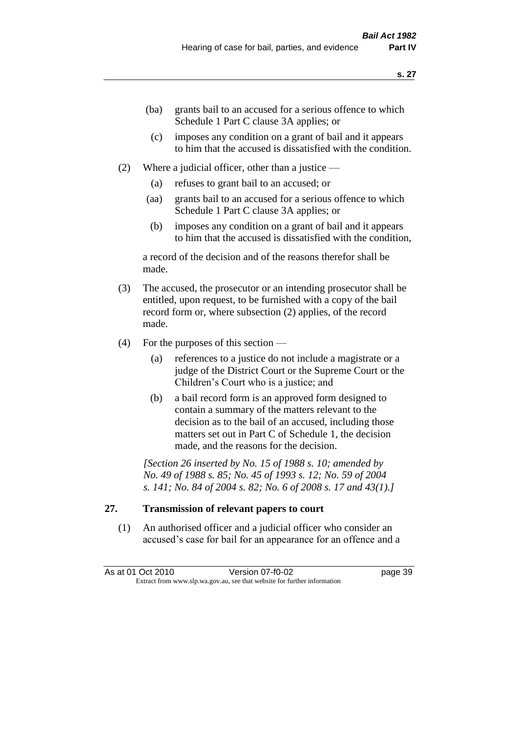- (ba) grants bail to an accused for a serious offence to which Schedule 1 Part C clause 3A applies; or
- (c) imposes any condition on a grant of bail and it appears to him that the accused is dissatisfied with the condition.
- (2) Where a judicial officer, other than a justice
	- (a) refuses to grant bail to an accused; or
	- (aa) grants bail to an accused for a serious offence to which Schedule 1 Part C clause 3A applies; or
	- (b) imposes any condition on a grant of bail and it appears to him that the accused is dissatisfied with the condition,

a record of the decision and of the reasons therefor shall be made.

- (3) The accused, the prosecutor or an intending prosecutor shall be entitled, upon request, to be furnished with a copy of the bail record form or, where subsection (2) applies, of the record made.
- (4) For the purposes of this section
	- (a) references to a justice do not include a magistrate or a judge of the District Court or the Supreme Court or the Children's Court who is a justice; and
	- (b) a bail record form is an approved form designed to contain a summary of the matters relevant to the decision as to the bail of an accused, including those matters set out in Part C of Schedule 1, the decision made, and the reasons for the decision.

*[Section 26 inserted by No. 15 of 1988 s. 10; amended by No. 49 of 1988 s. 85; No. 45 of 1993 s. 12; No. 59 of 2004 s. 141; No. 84 of 2004 s. 82; No. 6 of 2008 s. 17 and 43(1).]* 

# **27. Transmission of relevant papers to court**

(1) An authorised officer and a judicial officer who consider an accused's case for bail for an appearance for an offence and a

As at 01 Oct 2010 Version 07-f0-02 page 39 Extract from www.slp.wa.gov.au, see that website for further information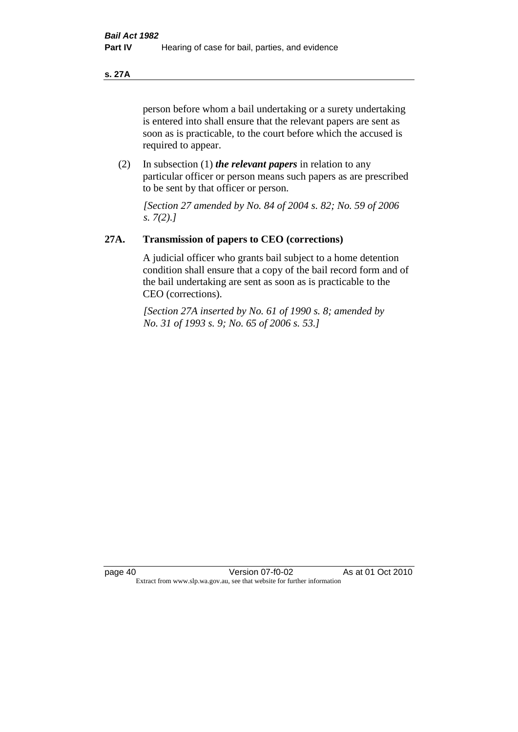**s. 27A**

person before whom a bail undertaking or a surety undertaking is entered into shall ensure that the relevant papers are sent as soon as is practicable, to the court before which the accused is required to appear.

(2) In subsection (1) *the relevant papers* in relation to any particular officer or person means such papers as are prescribed to be sent by that officer or person.

*[Section 27 amended by No. 84 of 2004 s. 82; No. 59 of 2006 s. 7(2).]* 

# **27A. Transmission of papers to CEO (corrections)**

A judicial officer who grants bail subject to a home detention condition shall ensure that a copy of the bail record form and of the bail undertaking are sent as soon as is practicable to the CEO (corrections).

*[Section 27A inserted by No. 61 of 1990 s. 8; amended by No. 31 of 1993 s. 9; No. 65 of 2006 s. 53.]*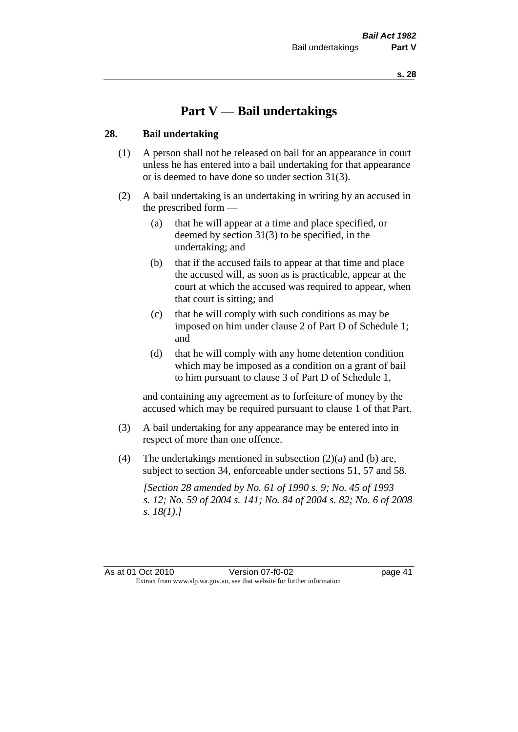# **Part V — Bail undertakings**

#### **28. Bail undertaking**

- (1) A person shall not be released on bail for an appearance in court unless he has entered into a bail undertaking for that appearance or is deemed to have done so under section 31(3).
- (2) A bail undertaking is an undertaking in writing by an accused in the prescribed form —
	- (a) that he will appear at a time and place specified, or deemed by section 31(3) to be specified, in the undertaking; and
	- (b) that if the accused fails to appear at that time and place the accused will, as soon as is practicable, appear at the court at which the accused was required to appear, when that court is sitting; and
	- (c) that he will comply with such conditions as may be imposed on him under clause 2 of Part D of Schedule 1; and
	- (d) that he will comply with any home detention condition which may be imposed as a condition on a grant of bail to him pursuant to clause 3 of Part D of Schedule 1,

and containing any agreement as to forfeiture of money by the accused which may be required pursuant to clause 1 of that Part.

- (3) A bail undertaking for any appearance may be entered into in respect of more than one offence.
- (4) The undertakings mentioned in subsection (2)(a) and (b) are, subject to section 34, enforceable under sections 51, 57 and 58.

*[Section 28 amended by No. 61 of 1990 s. 9; No. 45 of 1993 s. 12; No. 59 of 2004 s. 141; No. 84 of 2004 s. 82; No. 6 of 2008 s. 18(1).]* 

As at 01 Oct 2010 Version 07-f0-02 page 41 Extract from www.slp.wa.gov.au, see that website for further information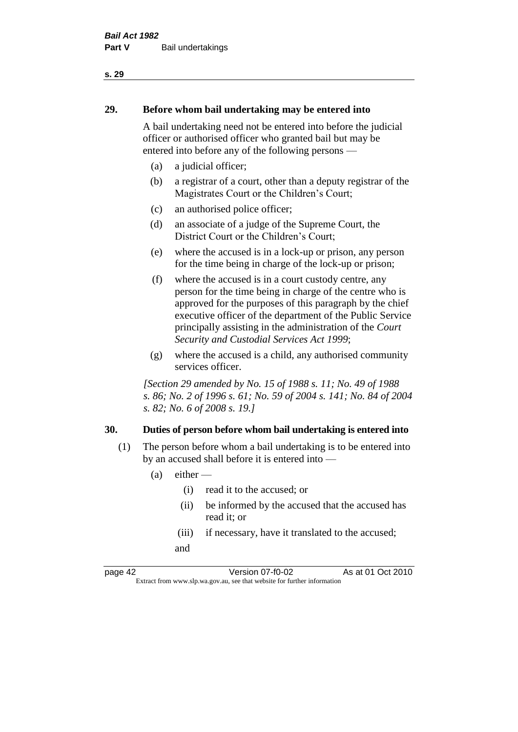# **29. Before whom bail undertaking may be entered into**

A bail undertaking need not be entered into before the judicial officer or authorised officer who granted bail but may be entered into before any of the following persons —

- (a) a judicial officer;
- (b) a registrar of a court, other than a deputy registrar of the Magistrates Court or the Children's Court;
- (c) an authorised police officer;
- (d) an associate of a judge of the Supreme Court, the District Court or the Children's Court;
- (e) where the accused is in a lock-up or prison, any person for the time being in charge of the lock-up or prison;
- (f) where the accused is in a court custody centre, any person for the time being in charge of the centre who is approved for the purposes of this paragraph by the chief executive officer of the department of the Public Service principally assisting in the administration of the *Court Security and Custodial Services Act 1999*;
- (g) where the accused is a child, any authorised community services officer.

*[Section 29 amended by No. 15 of 1988 s. 11; No. 49 of 1988 s. 86; No. 2 of 1996 s. 61; No. 59 of 2004 s. 141; No. 84 of 2004 s. 82; No. 6 of 2008 s. 19.]* 

#### **30. Duties of person before whom bail undertaking is entered into**

- (1) The person before whom a bail undertaking is to be entered into by an accused shall before it is entered into —
	- $(a)$  either
		- (i) read it to the accused; or
		- (ii) be informed by the accused that the accused has read it; or
		- (iii) if necessary, have it translated to the accused; and

page 42 Version 07-f0-02 As at 01 Oct 2010 Extract from www.slp.wa.gov.au, see that website for further information

#### **s. 29**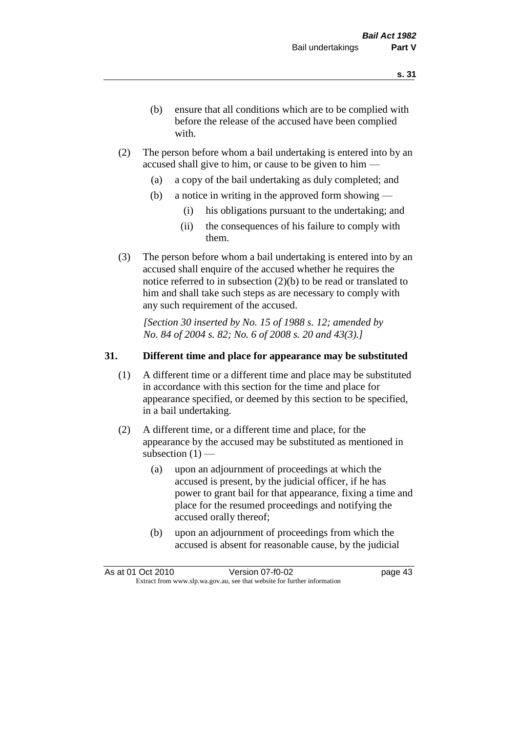- (b) ensure that all conditions which are to be complied with before the release of the accused have been complied with.
- (2) The person before whom a bail undertaking is entered into by an accused shall give to him, or cause to be given to him —
	- (a) a copy of the bail undertaking as duly completed; and
	- (b) a notice in writing in the approved form showing
		- (i) his obligations pursuant to the undertaking; and
		- (ii) the consequences of his failure to comply with them.
- (3) The person before whom a bail undertaking is entered into by an accused shall enquire of the accused whether he requires the notice referred to in subsection (2)(b) to be read or translated to him and shall take such steps as are necessary to comply with any such requirement of the accused.

*[Section 30 inserted by No. 15 of 1988 s. 12; amended by No. 84 of 2004 s. 82; No. 6 of 2008 s. 20 and 43(3).]* 

# **31. Different time and place for appearance may be substituted**

- (1) A different time or a different time and place may be substituted in accordance with this section for the time and place for appearance specified, or deemed by this section to be specified, in a bail undertaking.
- (2) A different time, or a different time and place, for the appearance by the accused may be substituted as mentioned in subsection  $(1)$  —
	- (a) upon an adjournment of proceedings at which the accused is present, by the judicial officer, if he has power to grant bail for that appearance, fixing a time and place for the resumed proceedings and notifying the accused orally thereof;
	- (b) upon an adjournment of proceedings from which the accused is absent for reasonable cause, by the judicial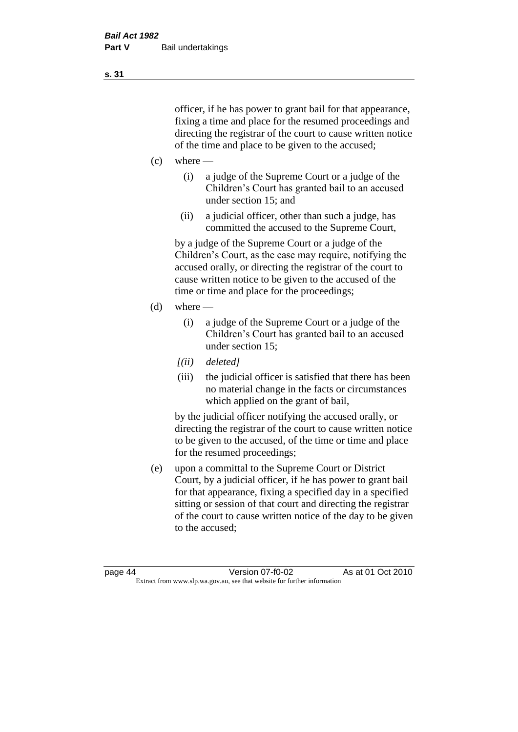officer, if he has power to grant bail for that appearance, fixing a time and place for the resumed proceedings and directing the registrar of the court to cause written notice of the time and place to be given to the accused;

- $(c)$  where
	- (i) a judge of the Supreme Court or a judge of the Children's Court has granted bail to an accused under section 15; and
	- (ii) a judicial officer, other than such a judge, has committed the accused to the Supreme Court,

by a judge of the Supreme Court or a judge of the Children's Court, as the case may require, notifying the accused orally, or directing the registrar of the court to cause written notice to be given to the accused of the time or time and place for the proceedings;

- $(d)$  where
	- (i) a judge of the Supreme Court or a judge of the Children's Court has granted bail to an accused under section 15;
	- *[(ii) deleted]*
	- (iii) the judicial officer is satisfied that there has been no material change in the facts or circumstances which applied on the grant of bail,

by the judicial officer notifying the accused orally, or directing the registrar of the court to cause written notice to be given to the accused, of the time or time and place for the resumed proceedings;

(e) upon a committal to the Supreme Court or District Court, by a judicial officer, if he has power to grant bail for that appearance, fixing a specified day in a specified sitting or session of that court and directing the registrar of the court to cause written notice of the day to be given to the accused;

page 44 Version 07-f0-02 As at 01 Oct 2010 Extract from www.slp.wa.gov.au, see that website for further information

**s. 31**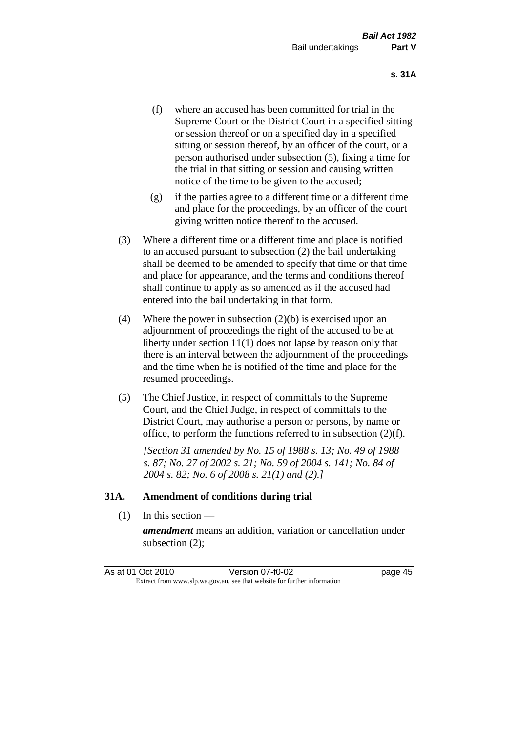- (f) where an accused has been committed for trial in the Supreme Court or the District Court in a specified sitting or session thereof or on a specified day in a specified sitting or session thereof, by an officer of the court, or a person authorised under subsection (5), fixing a time for the trial in that sitting or session and causing written notice of the time to be given to the accused;
- (g) if the parties agree to a different time or a different time and place for the proceedings, by an officer of the court giving written notice thereof to the accused.
- (3) Where a different time or a different time and place is notified to an accused pursuant to subsection (2) the bail undertaking shall be deemed to be amended to specify that time or that time and place for appearance, and the terms and conditions thereof shall continue to apply as so amended as if the accused had entered into the bail undertaking in that form.
- (4) Where the power in subsection (2)(b) is exercised upon an adjournment of proceedings the right of the accused to be at liberty under section 11(1) does not lapse by reason only that there is an interval between the adjournment of the proceedings and the time when he is notified of the time and place for the resumed proceedings.
- (5) The Chief Justice, in respect of committals to the Supreme Court, and the Chief Judge, in respect of committals to the District Court, may authorise a person or persons, by name or office, to perform the functions referred to in subsection (2)(f).

*[Section 31 amended by No. 15 of 1988 s. 13; No. 49 of 1988 s. 87; No. 27 of 2002 s. 21; No. 59 of 2004 s. 141; No. 84 of 2004 s. 82; No. 6 of 2008 s. 21(1) and (2).]* 

#### **31A. Amendment of conditions during trial**

(1) In this section —

*amendment* means an addition, variation or cancellation under subsection (2);

As at 01 Oct 2010 Version 07-f0-02 page 45 Extract from www.slp.wa.gov.au, see that website for further information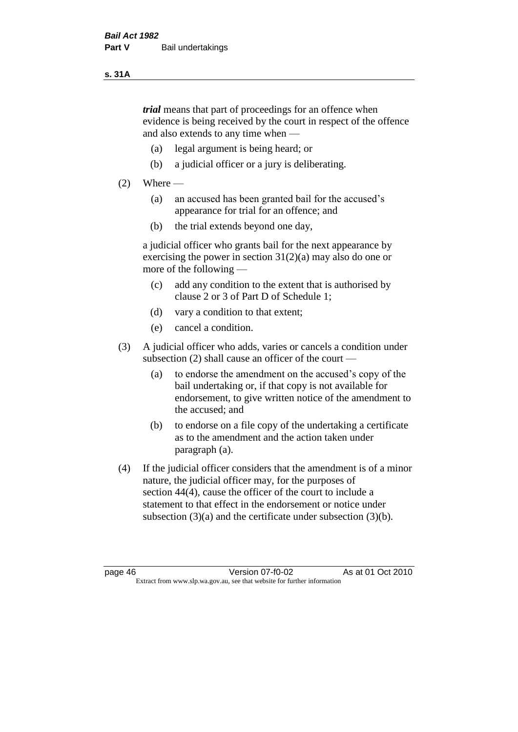#### **s. 31A**

*trial* means that part of proceedings for an offence when evidence is being received by the court in respect of the offence and also extends to any time when —

- (a) legal argument is being heard; or
- (b) a judicial officer or a jury is deliberating.

#### $(2)$  Where —

- (a) an accused has been granted bail for the accused's appearance for trial for an offence; and
- (b) the trial extends beyond one day,

a judicial officer who grants bail for the next appearance by exercising the power in section  $31(2)(a)$  may also do one or more of the following —

- (c) add any condition to the extent that is authorised by clause 2 or 3 of Part D of Schedule 1;
- (d) vary a condition to that extent;
- (e) cancel a condition.
- (3) A judicial officer who adds, varies or cancels a condition under subsection (2) shall cause an officer of the court —
	- (a) to endorse the amendment on the accused's copy of the bail undertaking or, if that copy is not available for endorsement, to give written notice of the amendment to the accused; and
	- (b) to endorse on a file copy of the undertaking a certificate as to the amendment and the action taken under paragraph (a).
- (4) If the judicial officer considers that the amendment is of a minor nature, the judicial officer may, for the purposes of section 44(4), cause the officer of the court to include a statement to that effect in the endorsement or notice under subsection (3)(a) and the certificate under subsection (3)(b).

page 46 Version 07-f0-02 As at 01 Oct 2010 Extract from www.slp.wa.gov.au, see that website for further information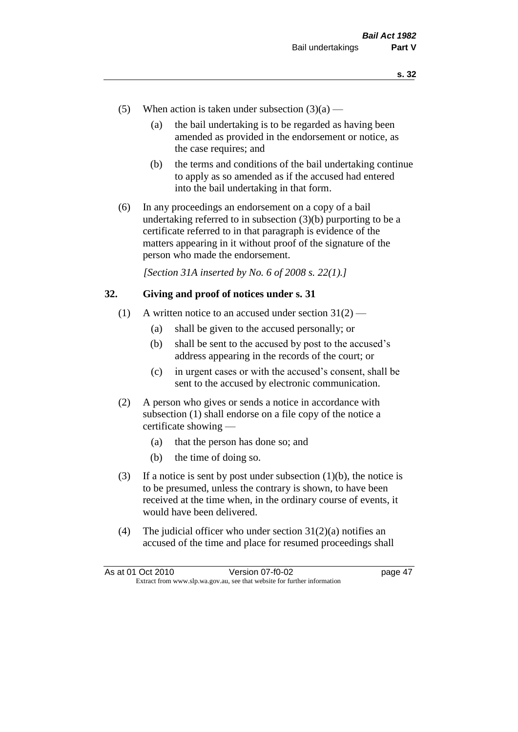- (5) When action is taken under subsection  $(3)(a)$ 
	- (a) the bail undertaking is to be regarded as having been amended as provided in the endorsement or notice, as the case requires; and
	- (b) the terms and conditions of the bail undertaking continue to apply as so amended as if the accused had entered into the bail undertaking in that form.
- (6) In any proceedings an endorsement on a copy of a bail undertaking referred to in subsection (3)(b) purporting to be a certificate referred to in that paragraph is evidence of the matters appearing in it without proof of the signature of the person who made the endorsement.

*[Section 31A inserted by No. 6 of 2008 s. 22(1).]*

#### **32. Giving and proof of notices under s. 31**

- (1) A written notice to an accused under section  $31(2)$ 
	- (a) shall be given to the accused personally; or
	- (b) shall be sent to the accused by post to the accused's address appearing in the records of the court; or
	- (c) in urgent cases or with the accused's consent, shall be sent to the accused by electronic communication.
- (2) A person who gives or sends a notice in accordance with subsection (1) shall endorse on a file copy of the notice a certificate showing —
	- (a) that the person has done so; and
	- (b) the time of doing so.
- (3) If a notice is sent by post under subsection  $(1)(b)$ , the notice is to be presumed, unless the contrary is shown, to have been received at the time when, in the ordinary course of events, it would have been delivered.
- (4) The judicial officer who under section  $31(2)(a)$  notifies an accused of the time and place for resumed proceedings shall

| As at 01 Oct 2010 | Version 07-f0-02                                                         | page 47 |
|-------------------|--------------------------------------------------------------------------|---------|
|                   | Extract from www.slp.wa.gov.au, see that website for further information |         |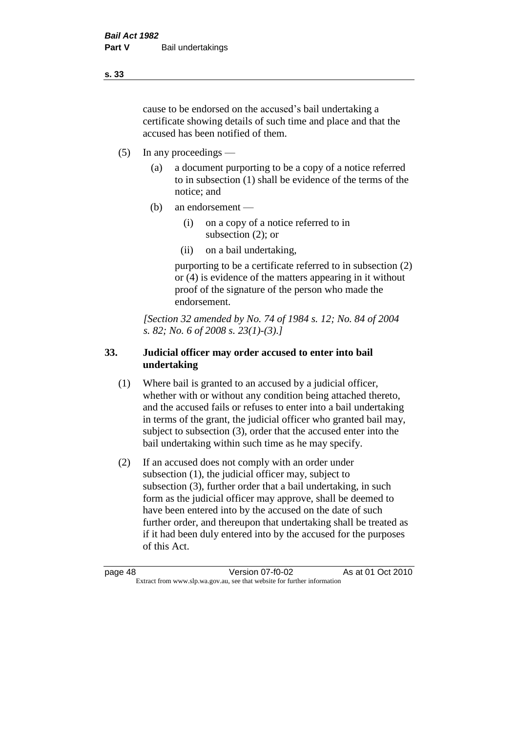cause to be endorsed on the accused's bail undertaking a certificate showing details of such time and place and that the accused has been notified of them.

- (5) In any proceedings
	- (a) a document purporting to be a copy of a notice referred to in subsection (1) shall be evidence of the terms of the notice; and
	- (b) an endorsement
		- (i) on a copy of a notice referred to in subsection (2); or
		- (ii) on a bail undertaking,

purporting to be a certificate referred to in subsection (2) or (4) is evidence of the matters appearing in it without proof of the signature of the person who made the endorsement.

*[Section 32 amended by No. 74 of 1984 s. 12; No. 84 of 2004 s. 82; No. 6 of 2008 s. 23(1)-(3).]* 

# **33. Judicial officer may order accused to enter into bail undertaking**

- (1) Where bail is granted to an accused by a judicial officer, whether with or without any condition being attached thereto, and the accused fails or refuses to enter into a bail undertaking in terms of the grant, the judicial officer who granted bail may, subject to subsection (3), order that the accused enter into the bail undertaking within such time as he may specify.
- (2) If an accused does not comply with an order under subsection (1), the judicial officer may, subject to subsection (3), further order that a bail undertaking, in such form as the judicial officer may approve, shall be deemed to have been entered into by the accused on the date of such further order, and thereupon that undertaking shall be treated as if it had been duly entered into by the accused for the purposes of this Act.

page 48 Version 07-f0-02 As at 01 Oct 2010 Extract from www.slp.wa.gov.au, see that website for further information

**s. 33**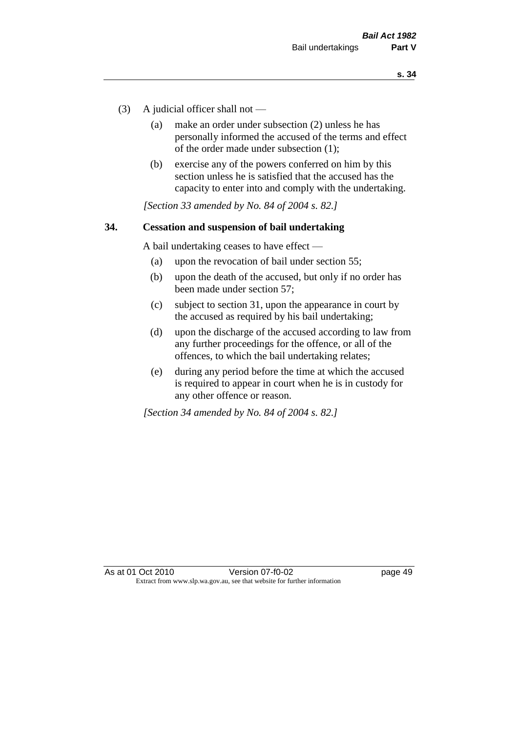- (3) A judicial officer shall not
	- (a) make an order under subsection (2) unless he has personally informed the accused of the terms and effect of the order made under subsection (1);
	- (b) exercise any of the powers conferred on him by this section unless he is satisfied that the accused has the capacity to enter into and comply with the undertaking.

*[Section 33 amended by No. 84 of 2004 s. 82.]* 

#### **34. Cessation and suspension of bail undertaking**

A bail undertaking ceases to have effect —

- (a) upon the revocation of bail under section 55;
- (b) upon the death of the accused, but only if no order has been made under section 57;
- (c) subject to section 31, upon the appearance in court by the accused as required by his bail undertaking;
- (d) upon the discharge of the accused according to law from any further proceedings for the offence, or all of the offences, to which the bail undertaking relates;
- (e) during any period before the time at which the accused is required to appear in court when he is in custody for any other offence or reason.

*[Section 34 amended by No. 84 of 2004 s. 82.]*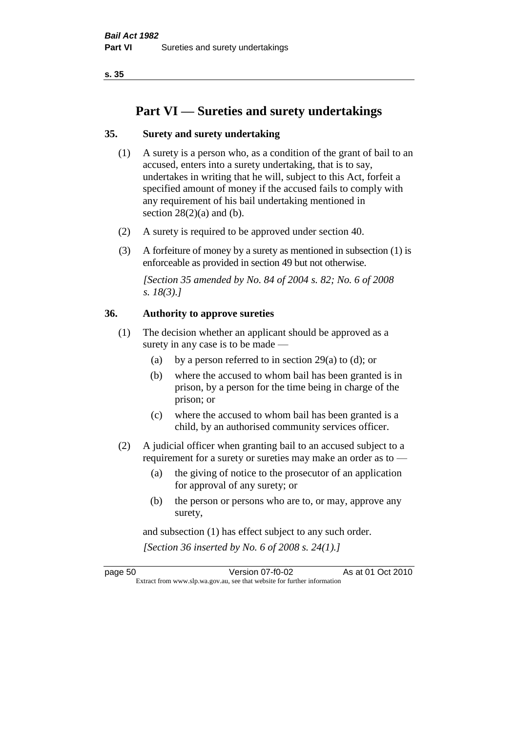**s. 35**

# **Part VI — Sureties and surety undertakings**

# **35. Surety and surety undertaking**

- (1) A surety is a person who, as a condition of the grant of bail to an accused, enters into a surety undertaking, that is to say, undertakes in writing that he will, subject to this Act, forfeit a specified amount of money if the accused fails to comply with any requirement of his bail undertaking mentioned in section  $28(2)(a)$  and (b).
- (2) A surety is required to be approved under section 40.
- (3) A forfeiture of money by a surety as mentioned in subsection (1) is enforceable as provided in section 49 but not otherwise.

*[Section 35 amended by No. 84 of 2004 s. 82; No. 6 of 2008 s. 18(3).]* 

#### **36. Authority to approve sureties**

- (1) The decision whether an applicant should be approved as a surety in any case is to be made —
	- (a) by a person referred to in section 29(a) to (d); or
	- (b) where the accused to whom bail has been granted is in prison, by a person for the time being in charge of the prison; or
	- (c) where the accused to whom bail has been granted is a child, by an authorised community services officer.
- (2) A judicial officer when granting bail to an accused subject to a requirement for a surety or sureties may make an order as to —
	- (a) the giving of notice to the prosecutor of an application for approval of any surety; or
	- (b) the person or persons who are to, or may, approve any surety,

and subsection (1) has effect subject to any such order. *[Section 36 inserted by No. 6 of 2008 s. 24(1).]*

page 50 Version 07-f0-02 As at 01 Oct 2010 Extract from www.slp.wa.gov.au, see that website for further information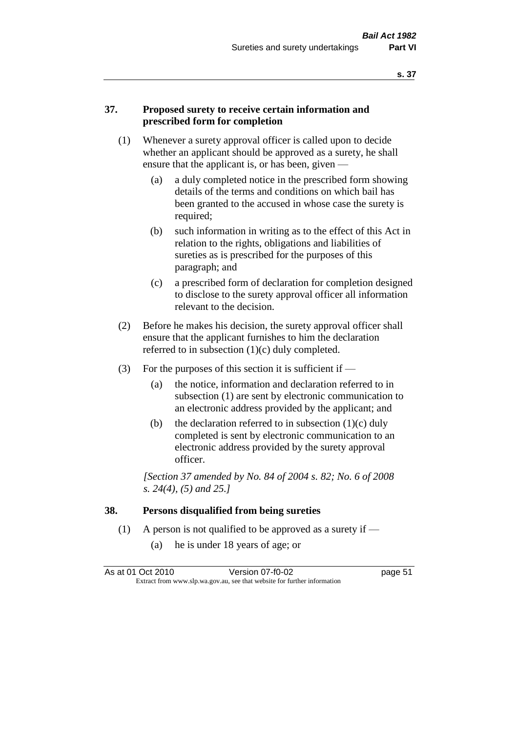#### **37. Proposed surety to receive certain information and prescribed form for completion**

- (1) Whenever a surety approval officer is called upon to decide whether an applicant should be approved as a surety, he shall ensure that the applicant is, or has been, given -
	- (a) a duly completed notice in the prescribed form showing details of the terms and conditions on which bail has been granted to the accused in whose case the surety is required;
	- (b) such information in writing as to the effect of this Act in relation to the rights, obligations and liabilities of sureties as is prescribed for the purposes of this paragraph; and
	- (c) a prescribed form of declaration for completion designed to disclose to the surety approval officer all information relevant to the decision.
- (2) Before he makes his decision, the surety approval officer shall ensure that the applicant furnishes to him the declaration referred to in subsection (1)(c) duly completed.
- (3) For the purposes of this section it is sufficient if  $-$ 
	- (a) the notice, information and declaration referred to in subsection (1) are sent by electronic communication to an electronic address provided by the applicant; and
	- (b) the declaration referred to in subsection  $(1)(c)$  duly completed is sent by electronic communication to an electronic address provided by the surety approval officer.

*[Section 37 amended by No. 84 of 2004 s. 82; No. 6 of 2008 s. 24(4), (5) and 25.]* 

#### **38. Persons disqualified from being sureties**

- (1) A person is not qualified to be approved as a surety if  $-$ 
	- (a) he is under 18 years of age; or

| As at 01 Oct 2010 | Version 07-f0-02                                                         | page 51 |
|-------------------|--------------------------------------------------------------------------|---------|
|                   | Extract from www.slp.wa.gov.au, see that website for further information |         |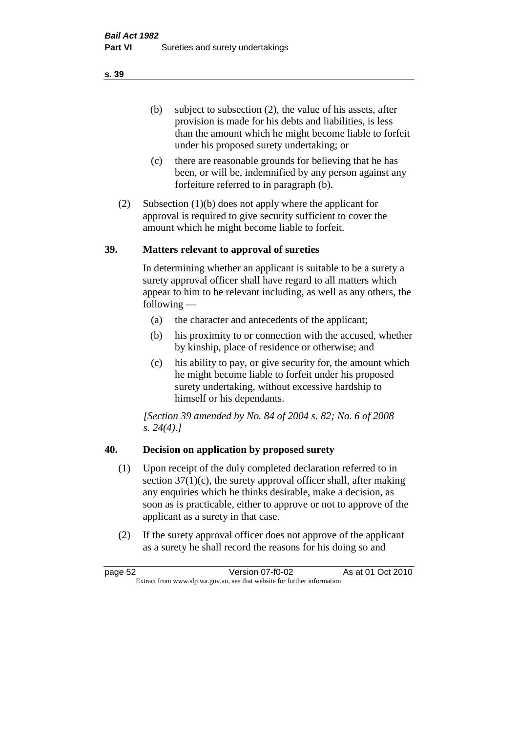(b) subject to subsection (2), the value of his assets, after provision is made for his debts and liabilities, is less than the amount which he might become liable to forfeit under his proposed surety undertaking; or

- (c) there are reasonable grounds for believing that he has been, or will be, indemnified by any person against any forfeiture referred to in paragraph (b).
- (2) Subsection (1)(b) does not apply where the applicant for approval is required to give security sufficient to cover the amount which he might become liable to forfeit.

#### **39. Matters relevant to approval of sureties**

In determining whether an applicant is suitable to be a surety a surety approval officer shall have regard to all matters which appear to him to be relevant including, as well as any others, the following —

- (a) the character and antecedents of the applicant;
- (b) his proximity to or connection with the accused, whether by kinship, place of residence or otherwise; and
- (c) his ability to pay, or give security for, the amount which he might become liable to forfeit under his proposed surety undertaking, without excessive hardship to himself or his dependants.

*[Section 39 amended by No. 84 of 2004 s. 82; No. 6 of 2008 s. 24(4).]* 

# **40. Decision on application by proposed surety**

- (1) Upon receipt of the duly completed declaration referred to in section  $37(1)(c)$ , the surety approval officer shall, after making any enquiries which he thinks desirable, make a decision, as soon as is practicable, either to approve or not to approve of the applicant as a surety in that case.
- (2) If the surety approval officer does not approve of the applicant as a surety he shall record the reasons for his doing so and

page 52 Version 07-f0-02 As at 01 Oct 2010 Extract from www.slp.wa.gov.au, see that website for further information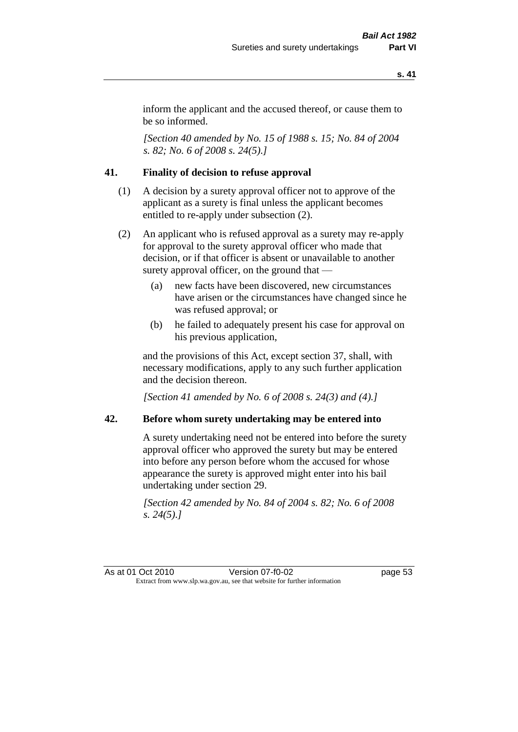inform the applicant and the accused thereof, or cause them to be so informed.

*[Section 40 amended by No. 15 of 1988 s. 15; No. 84 of 2004 s. 82; No. 6 of 2008 s. 24(5).]* 

# **41. Finality of decision to refuse approval**

- (1) A decision by a surety approval officer not to approve of the applicant as a surety is final unless the applicant becomes entitled to re-apply under subsection (2).
- (2) An applicant who is refused approval as a surety may re-apply for approval to the surety approval officer who made that decision, or if that officer is absent or unavailable to another surety approval officer, on the ground that —
	- (a) new facts have been discovered, new circumstances have arisen or the circumstances have changed since he was refused approval; or
	- (b) he failed to adequately present his case for approval on his previous application,

and the provisions of this Act, except section 37, shall, with necessary modifications, apply to any such further application and the decision thereon.

*[Section 41 amended by No. 6 of 2008 s. 24(3) and (4).]*

#### **42. Before whom surety undertaking may be entered into**

A surety undertaking need not be entered into before the surety approval officer who approved the surety but may be entered into before any person before whom the accused for whose appearance the surety is approved might enter into his bail undertaking under section 29.

*[Section 42 amended by No. 84 of 2004 s. 82; No. 6 of 2008 s. 24(5).]* 

As at 01 Oct 2010 Version 07-f0-02 page 53 Extract from www.slp.wa.gov.au, see that website for further information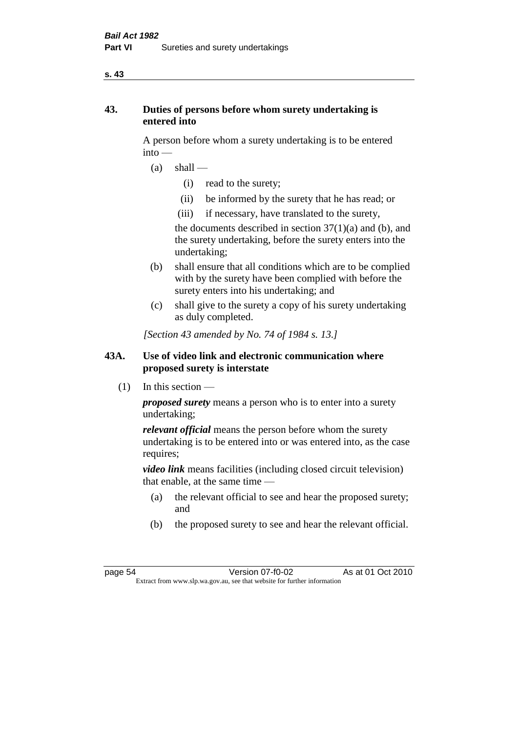#### **s. 43**

# **43. Duties of persons before whom surety undertaking is entered into**

A person before whom a surety undertaking is to be entered into —

- $(a)$  shall
	- (i) read to the surety;
	- (ii) be informed by the surety that he has read; or
	- (iii) if necessary, have translated to the surety,

the documents described in section  $37(1)(a)$  and (b), and the surety undertaking, before the surety enters into the undertaking;

- (b) shall ensure that all conditions which are to be complied with by the surety have been complied with before the surety enters into his undertaking; and
- (c) shall give to the surety a copy of his surety undertaking as duly completed.

*[Section 43 amended by No. 74 of 1984 s. 13.]* 

# **43A. Use of video link and electronic communication where proposed surety is interstate**

 $(1)$  In this section —

*proposed surety* means a person who is to enter into a surety undertaking;

*relevant official* means the person before whom the surety undertaking is to be entered into or was entered into, as the case requires;

*video link* means facilities (including closed circuit television) that enable, at the same time —

- (a) the relevant official to see and hear the proposed surety; and
- (b) the proposed surety to see and hear the relevant official.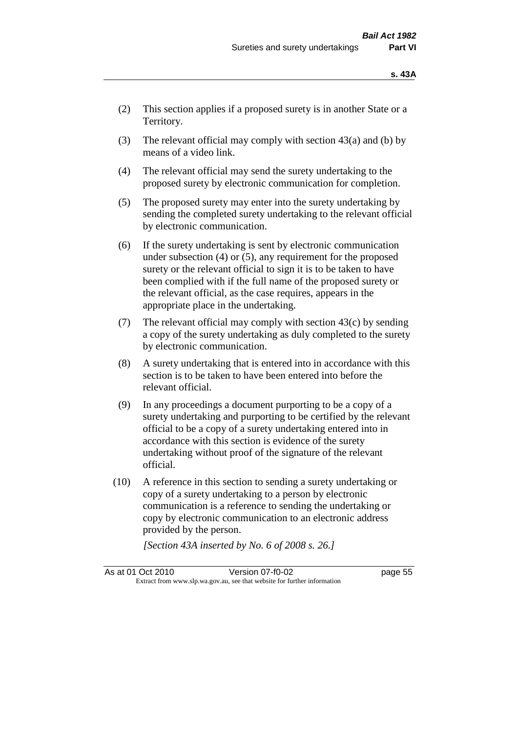- (2) This section applies if a proposed surety is in another State or a Territory.
- (3) The relevant official may comply with section  $43(a)$  and (b) by means of a video link.
- (4) The relevant official may send the surety undertaking to the proposed surety by electronic communication for completion.
- (5) The proposed surety may enter into the surety undertaking by sending the completed surety undertaking to the relevant official by electronic communication.
- (6) If the surety undertaking is sent by electronic communication under subsection (4) or (5), any requirement for the proposed surety or the relevant official to sign it is to be taken to have been complied with if the full name of the proposed surety or the relevant official, as the case requires, appears in the appropriate place in the undertaking.
- (7) The relevant official may comply with section  $43(c)$  by sending a copy of the surety undertaking as duly completed to the surety by electronic communication.
- (8) A surety undertaking that is entered into in accordance with this section is to be taken to have been entered into before the relevant official.
- (9) In any proceedings a document purporting to be a copy of a surety undertaking and purporting to be certified by the relevant official to be a copy of a surety undertaking entered into in accordance with this section is evidence of the surety undertaking without proof of the signature of the relevant official.
- (10) A reference in this section to sending a surety undertaking or copy of a surety undertaking to a person by electronic communication is a reference to sending the undertaking or copy by electronic communication to an electronic address provided by the person.

*[Section 43A inserted by No. 6 of 2008 s. 26.]*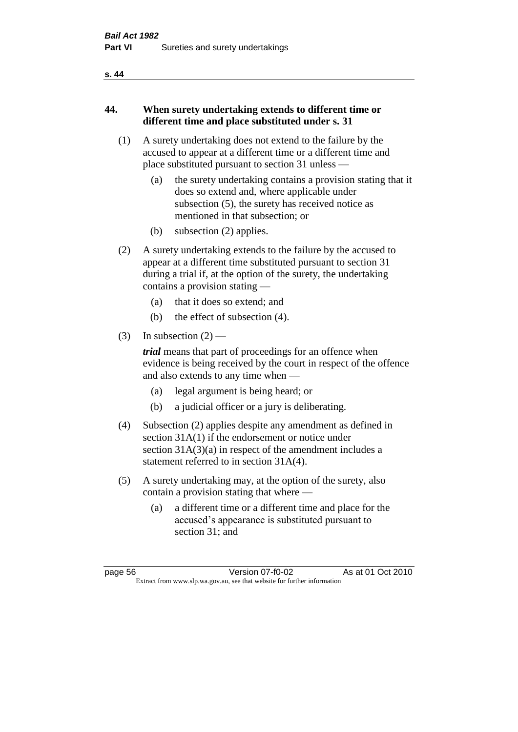#### **s. 44**

# **44. When surety undertaking extends to different time or different time and place substituted under s. 31**

- (1) A surety undertaking does not extend to the failure by the accused to appear at a different time or a different time and place substituted pursuant to section 31 unless —
	- (a) the surety undertaking contains a provision stating that it does so extend and, where applicable under subsection (5), the surety has received notice as mentioned in that subsection; or
	- (b) subsection (2) applies.
- (2) A surety undertaking extends to the failure by the accused to appear at a different time substituted pursuant to section 31 during a trial if, at the option of the surety, the undertaking contains a provision stating —
	- (a) that it does so extend; and
	- (b) the effect of subsection (4).
- (3) In subsection  $(2)$  —

*trial* means that part of proceedings for an offence when evidence is being received by the court in respect of the offence and also extends to any time when —

- (a) legal argument is being heard; or
- (b) a judicial officer or a jury is deliberating.
- (4) Subsection (2) applies despite any amendment as defined in section 31A(1) if the endorsement or notice under section 31A(3)(a) in respect of the amendment includes a statement referred to in section 31A(4).
- (5) A surety undertaking may, at the option of the surety, also contain a provision stating that where —
	- (a) a different time or a different time and place for the accused's appearance is substituted pursuant to section 31; and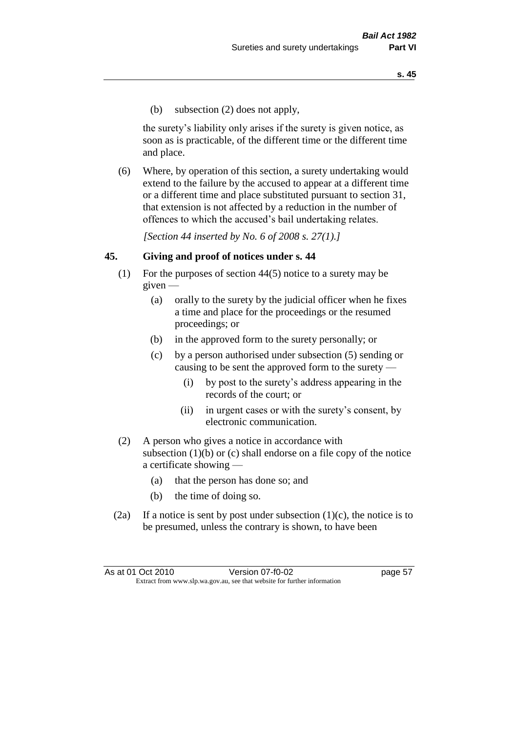(b) subsection (2) does not apply,

the surety's liability only arises if the surety is given notice, as soon as is practicable, of the different time or the different time and place.

(6) Where, by operation of this section, a surety undertaking would extend to the failure by the accused to appear at a different time or a different time and place substituted pursuant to section 31, that extension is not affected by a reduction in the number of offences to which the accused's bail undertaking relates.

*[Section 44 inserted by No. 6 of 2008 s. 27(1).]*

#### **45. Giving and proof of notices under s. 44**

- (1) For the purposes of section 44(5) notice to a surety may be  $given -$ 
	- (a) orally to the surety by the judicial officer when he fixes a time and place for the proceedings or the resumed proceedings; or
	- (b) in the approved form to the surety personally; or
	- (c) by a person authorised under subsection (5) sending or causing to be sent the approved form to the surety —
		- (i) by post to the surety's address appearing in the records of the court; or
		- (ii) in urgent cases or with the surety's consent, by electronic communication.
- (2) A person who gives a notice in accordance with subsection  $(1)(b)$  or  $(c)$  shall endorse on a file copy of the notice a certificate showing —
	- (a) that the person has done so; and
	- (b) the time of doing so.
- (2a) If a notice is sent by post under subsection  $(1)(c)$ , the notice is to be presumed, unless the contrary is shown, to have been

| As at 01 Oct 2010 | Version 07-f0-02                                                         | page 57 |
|-------------------|--------------------------------------------------------------------------|---------|
|                   | Extract from www.slp.wa.gov.au, see that website for further information |         |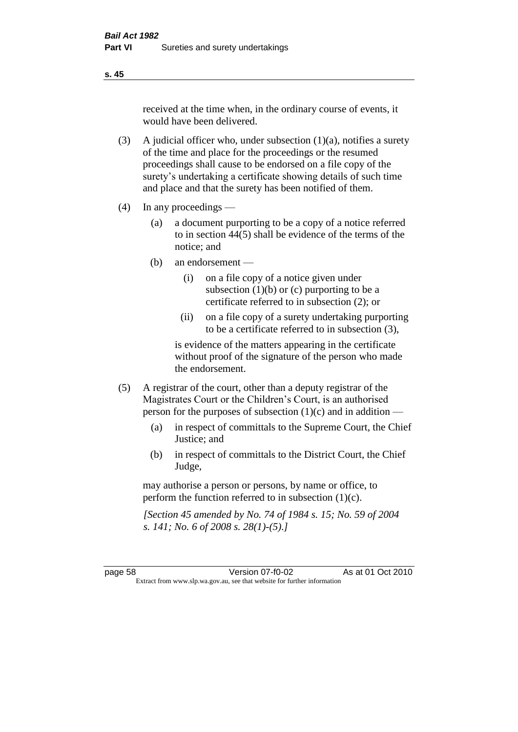received at the time when, in the ordinary course of events, it would have been delivered.

- (3) A judicial officer who, under subsection  $(1)(a)$ , notifies a surety of the time and place for the proceedings or the resumed proceedings shall cause to be endorsed on a file copy of the surety's undertaking a certificate showing details of such time and place and that the surety has been notified of them.
- (4) In any proceedings
	- (a) a document purporting to be a copy of a notice referred to in section 44(5) shall be evidence of the terms of the notice; and
	- (b) an endorsement
		- (i) on a file copy of a notice given under subsection  $(1)(b)$  or  $(c)$  purporting to be a certificate referred to in subsection (2); or
		- (ii) on a file copy of a surety undertaking purporting to be a certificate referred to in subsection (3),

is evidence of the matters appearing in the certificate without proof of the signature of the person who made the endorsement.

- (5) A registrar of the court, other than a deputy registrar of the Magistrates Court or the Children's Court, is an authorised person for the purposes of subsection (1)(c) and in addition —
	- (a) in respect of committals to the Supreme Court, the Chief Justice; and
	- (b) in respect of committals to the District Court, the Chief Judge,

may authorise a person or persons, by name or office, to perform the function referred to in subsection (1)(c).

*[Section 45 amended by No. 74 of 1984 s. 15; No. 59 of 2004 s. 141; No. 6 of 2008 s. 28(1)-(5).]* 

page 58 Version 07-f0-02 As at 01 Oct 2010 Extract from www.slp.wa.gov.au, see that website for further information

**s. 45**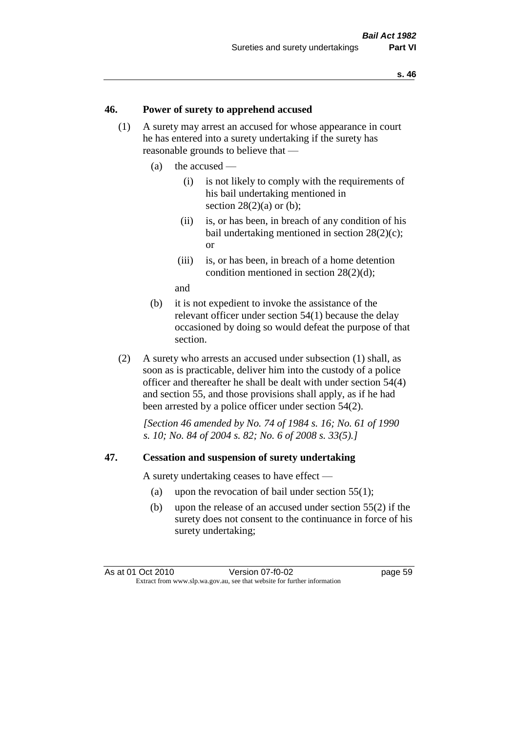#### **46. Power of surety to apprehend accused**

- (1) A surety may arrest an accused for whose appearance in court he has entered into a surety undertaking if the surety has reasonable grounds to believe that —
	- (a) the accused
		- (i) is not likely to comply with the requirements of his bail undertaking mentioned in section  $28(2)(a)$  or (b):
		- (ii) is, or has been, in breach of any condition of his bail undertaking mentioned in section 28(2)(c); or
		- (iii) is, or has been, in breach of a home detention condition mentioned in section 28(2)(d);

and

- (b) it is not expedient to invoke the assistance of the relevant officer under section 54(1) because the delay occasioned by doing so would defeat the purpose of that section.
- (2) A surety who arrests an accused under subsection (1) shall, as soon as is practicable, deliver him into the custody of a police officer and thereafter he shall be dealt with under section 54(4) and section 55, and those provisions shall apply, as if he had been arrested by a police officer under section 54(2).

*[Section 46 amended by No. 74 of 1984 s. 16; No. 61 of 1990 s. 10; No. 84 of 2004 s. 82; No. 6 of 2008 s. 33(5).]* 

#### **47. Cessation and suspension of surety undertaking**

A surety undertaking ceases to have effect —

- (a) upon the revocation of bail under section 55(1);
- (b) upon the release of an accused under section 55(2) if the surety does not consent to the continuance in force of his surety undertaking;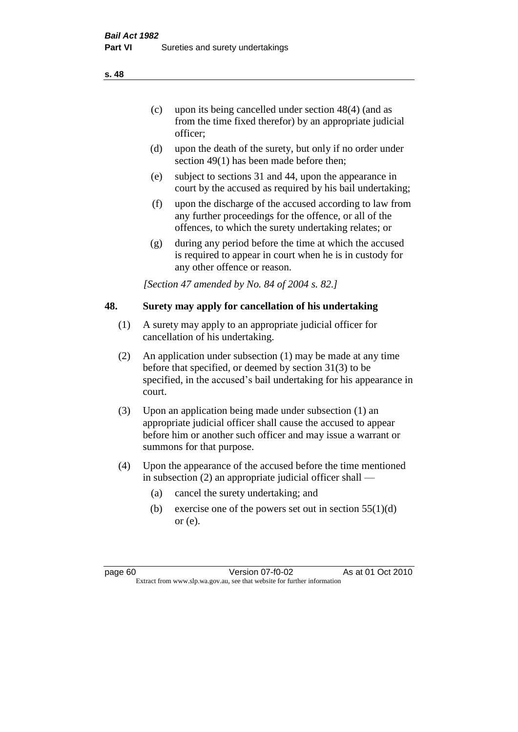- (c) upon its being cancelled under section 48(4) (and as from the time fixed therefor) by an appropriate judicial officer;
- (d) upon the death of the surety, but only if no order under section 49(1) has been made before then;
- (e) subject to sections 31 and 44, upon the appearance in court by the accused as required by his bail undertaking;
- (f) upon the discharge of the accused according to law from any further proceedings for the offence, or all of the offences, to which the surety undertaking relates; or
- (g) during any period before the time at which the accused is required to appear in court when he is in custody for any other offence or reason.

*[Section 47 amended by No. 84 of 2004 s. 82.]* 

# **48. Surety may apply for cancellation of his undertaking**

- (1) A surety may apply to an appropriate judicial officer for cancellation of his undertaking.
- (2) An application under subsection (1) may be made at any time before that specified, or deemed by section 31(3) to be specified, in the accused's bail undertaking for his appearance in court.
- (3) Upon an application being made under subsection (1) an appropriate judicial officer shall cause the accused to appear before him or another such officer and may issue a warrant or summons for that purpose.
- (4) Upon the appearance of the accused before the time mentioned in subsection (2) an appropriate judicial officer shall —
	- (a) cancel the surety undertaking; and
	- (b) exercise one of the powers set out in section  $55(1)(d)$ or (e).

**s. 48**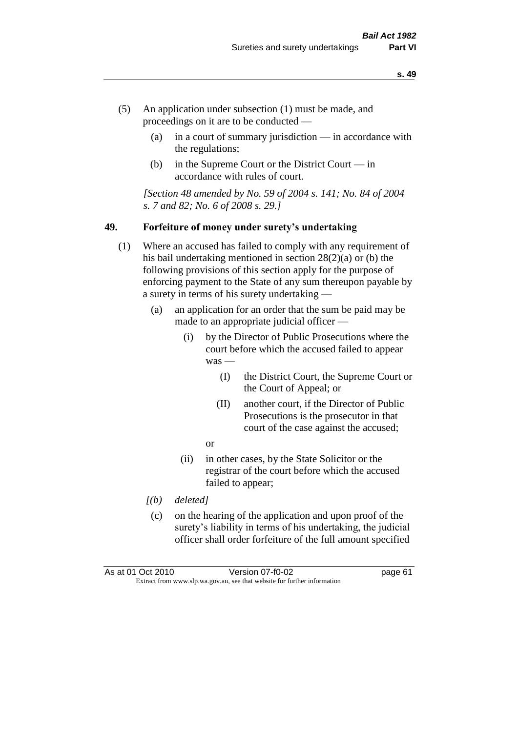- (5) An application under subsection (1) must be made, and proceedings on it are to be conducted —
	- (a) in a court of summary jurisdiction in accordance with the regulations;
	- (b) in the Supreme Court or the District Court  $-\text{in}$ accordance with rules of court.

*[Section 48 amended by No. 59 of 2004 s. 141; No. 84 of 2004 s. 7 and 82; No. 6 of 2008 s. 29.]* 

#### **49. Forfeiture of money under surety's undertaking**

- (1) Where an accused has failed to comply with any requirement of his bail undertaking mentioned in section 28(2)(a) or (b) the following provisions of this section apply for the purpose of enforcing payment to the State of any sum thereupon payable by a surety in terms of his surety undertaking —
	- (a) an application for an order that the sum be paid may be made to an appropriate judicial officer —
		- (i) by the Director of Public Prosecutions where the court before which the accused failed to appear was -
			- (I) the District Court, the Supreme Court or the Court of Appeal; or
			- (II) another court, if the Director of Public Prosecutions is the prosecutor in that court of the case against the accused;
			- or
		- (ii) in other cases, by the State Solicitor or the registrar of the court before which the accused failed to appear;
	- *[(b) deleted]*
	- (c) on the hearing of the application and upon proof of the surety's liability in terms of his undertaking, the judicial officer shall order forfeiture of the full amount specified

As at 01 Oct 2010 Version 07-f0-02 page 61 Extract from www.slp.wa.gov.au, see that website for further information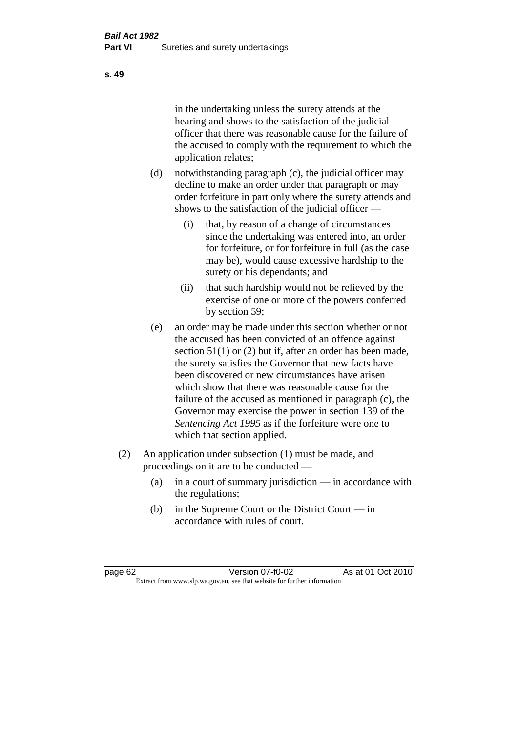in the undertaking unless the surety attends at the hearing and shows to the satisfaction of the judicial officer that there was reasonable cause for the failure of the accused to comply with the requirement to which the application relates;

- (d) notwithstanding paragraph (c), the judicial officer may decline to make an order under that paragraph or may order forfeiture in part only where the surety attends and shows to the satisfaction of the judicial officer —
	- (i) that, by reason of a change of circumstances since the undertaking was entered into, an order for forfeiture, or for forfeiture in full (as the case may be), would cause excessive hardship to the surety or his dependants; and
	- (ii) that such hardship would not be relieved by the exercise of one or more of the powers conferred by section 59;
- (e) an order may be made under this section whether or not the accused has been convicted of an offence against section 51(1) or (2) but if, after an order has been made, the surety satisfies the Governor that new facts have been discovered or new circumstances have arisen which show that there was reasonable cause for the failure of the accused as mentioned in paragraph (c), the Governor may exercise the power in section 139 of the *Sentencing Act 1995* as if the forfeiture were one to which that section applied.
- (2) An application under subsection (1) must be made, and proceedings on it are to be conducted —
	- (a) in a court of summary jurisdiction in accordance with the regulations;
	- (b) in the Supreme Court or the District Court in accordance with rules of court.

page 62 Version 07-f0-02 As at 01 Oct 2010 Extract from www.slp.wa.gov.au, see that website for further information

#### **s. 49**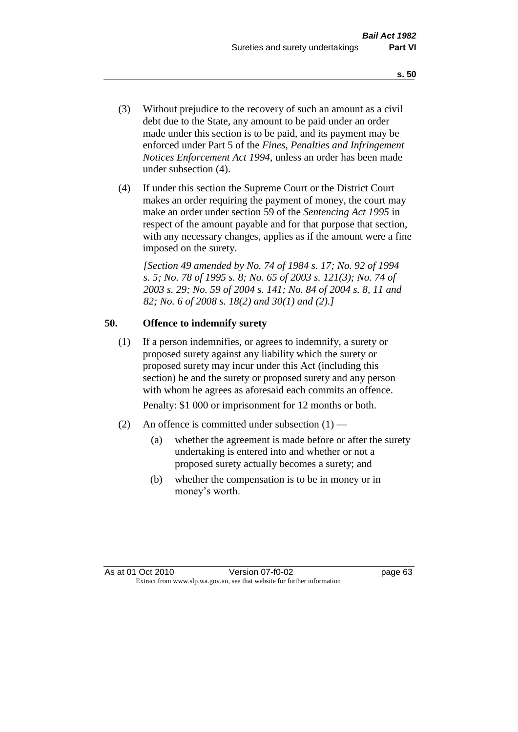- (3) Without prejudice to the recovery of such an amount as a civil debt due to the State, any amount to be paid under an order made under this section is to be paid, and its payment may be enforced under Part 5 of the *Fines, Penalties and Infringement Notices Enforcement Act 1994*, unless an order has been made under subsection (4).
- (4) If under this section the Supreme Court or the District Court makes an order requiring the payment of money, the court may make an order under section 59 of the *Sentencing Act 1995* in respect of the amount payable and for that purpose that section, with any necessary changes, applies as if the amount were a fine imposed on the surety.

*[Section 49 amended by No. 74 of 1984 s. 17; No. 92 of 1994 s. 5; No. 78 of 1995 s. 8; No. 65 of 2003 s. 121(3); No. 74 of 2003 s. 29; No. 59 of 2004 s. 141; No. 84 of 2004 s. 8, 11 and 82; No. 6 of 2008 s. 18(2) and 30(1) and (2).]* 

# **50. Offence to indemnify surety**

(1) If a person indemnifies, or agrees to indemnify, a surety or proposed surety against any liability which the surety or proposed surety may incur under this Act (including this section) he and the surety or proposed surety and any person with whom he agrees as aforesaid each commits an offence.

Penalty: \$1 000 or imprisonment for 12 months or both.

- (2) An offence is committed under subsection  $(1)$ 
	- (a) whether the agreement is made before or after the surety undertaking is entered into and whether or not a proposed surety actually becomes a surety; and
	- (b) whether the compensation is to be in money or in money's worth.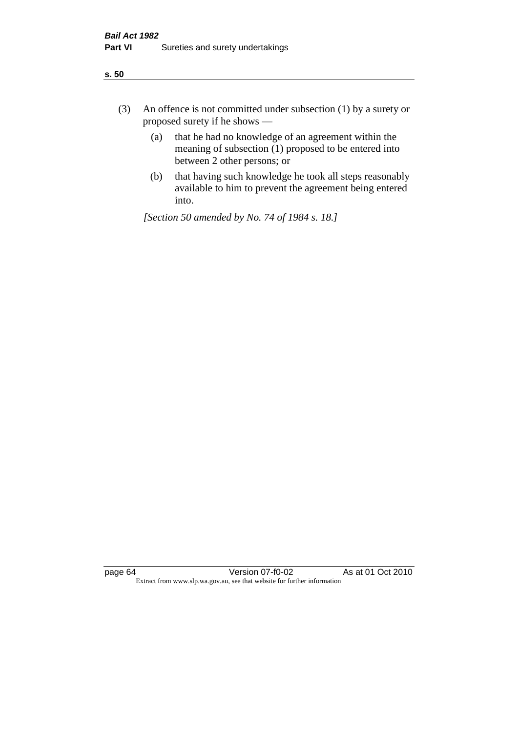| ÷<br>×<br>I<br>. .<br>×<br>۰.<br>×<br>۰.<br>v |
|-----------------------------------------------|
|-----------------------------------------------|

- (3) An offence is not committed under subsection (1) by a surety or proposed surety if he shows —
	- (a) that he had no knowledge of an agreement within the meaning of subsection  $(1)$  proposed to be entered into between 2 other persons; or
	- (b) that having such knowledge he took all steps reasonably available to him to prevent the agreement being entered into.

*[Section 50 amended by No. 74 of 1984 s. 18.]*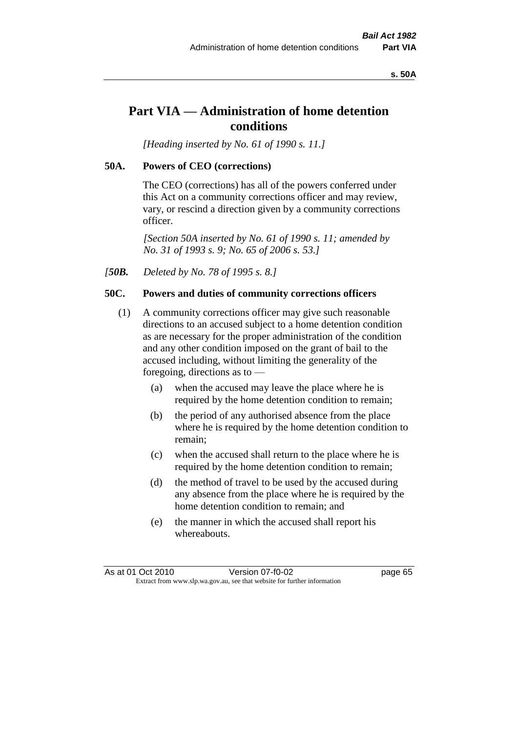#### **s. 50A**

# **Part VIA — Administration of home detention conditions**

*[Heading inserted by No. 61 of 1990 s. 11.]* 

#### **50A. Powers of CEO (corrections)**

The CEO (corrections) has all of the powers conferred under this Act on a community corrections officer and may review, vary, or rescind a direction given by a community corrections officer.

*[Section 50A inserted by No. 61 of 1990 s. 11; amended by No. 31 of 1993 s. 9; No. 65 of 2006 s. 53.]* 

*[50B. Deleted by No. 78 of 1995 s. 8.]* 

# **50C. Powers and duties of community corrections officers**

- (1) A community corrections officer may give such reasonable directions to an accused subject to a home detention condition as are necessary for the proper administration of the condition and any other condition imposed on the grant of bail to the accused including, without limiting the generality of the foregoing, directions as to —
	- (a) when the accused may leave the place where he is required by the home detention condition to remain;
	- (b) the period of any authorised absence from the place where he is required by the home detention condition to remain;
	- (c) when the accused shall return to the place where he is required by the home detention condition to remain;
	- (d) the method of travel to be used by the accused during any absence from the place where he is required by the home detention condition to remain; and
	- (e) the manner in which the accused shall report his whereabouts.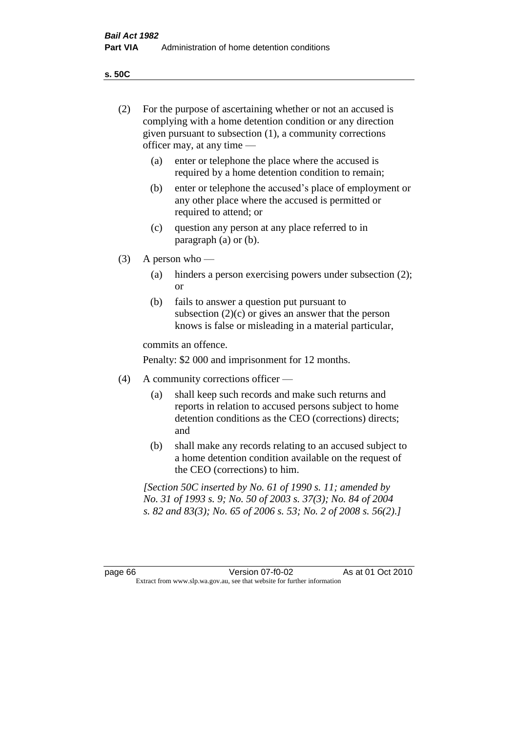**s. 50C**

| (2)     |     | For the purpose of ascertaining whether or not an accused is<br>complying with a home detention condition or any direction<br>given pursuant to subsection (1), a community corrections<br>officer may, at any time — |  |  |
|---------|-----|-----------------------------------------------------------------------------------------------------------------------------------------------------------------------------------------------------------------------|--|--|
|         | (a) | enter or telephone the place where the accused is<br>required by a home detention condition to remain;                                                                                                                |  |  |
|         | (b) | enter or telephone the accused's place of employment or<br>any other place where the accused is permitted or<br>required to attend; or                                                                                |  |  |
|         | (c) | question any person at any place referred to in<br>paragraph $(a)$ or $(b)$ .                                                                                                                                         |  |  |
| (3)     |     | A person who $-$                                                                                                                                                                                                      |  |  |
|         | (a) | hinders a person exercising powers under subsection (2);<br><sub>or</sub>                                                                                                                                             |  |  |
|         | (b) | fails to answer a question put pursuant to<br>subsection $(2)(c)$ or gives an answer that the person<br>knows is false or misleading in a material particular,                                                        |  |  |
|         |     | commits an offence.                                                                                                                                                                                                   |  |  |
|         |     | Penalty: \$2 000 and imprisonment for 12 months.                                                                                                                                                                      |  |  |
| (4)     |     | A community corrections officer -                                                                                                                                                                                     |  |  |
|         | (a) | shall keep such records and make such returns and<br>reports in relation to accused persons subject to home<br>detention conditions as the CEO (corrections) directs;<br>and                                          |  |  |
|         | (b) | shall make any records relating to an accused subject to<br>a home detention condition available on the request of<br>the CEO (corrections) to him.                                                                   |  |  |
|         |     | [Section 50C inserted by No. 61 of 1990 s. 11; amended by<br>No. 31 of 1993 s. 9; No. 50 of 2003 s. 37(3); No. 84 of 2004<br>s. 82 and 83(3); No. 65 of 2006 s. 53; No. 2 of 2008 s. 56(2).]                          |  |  |
|         |     |                                                                                                                                                                                                                       |  |  |
| page 66 |     | Version 07-f0-02<br>As at 01 Oct 2010<br>Extract from www.slp.wa.gov.au, see that website for further information                                                                                                     |  |  |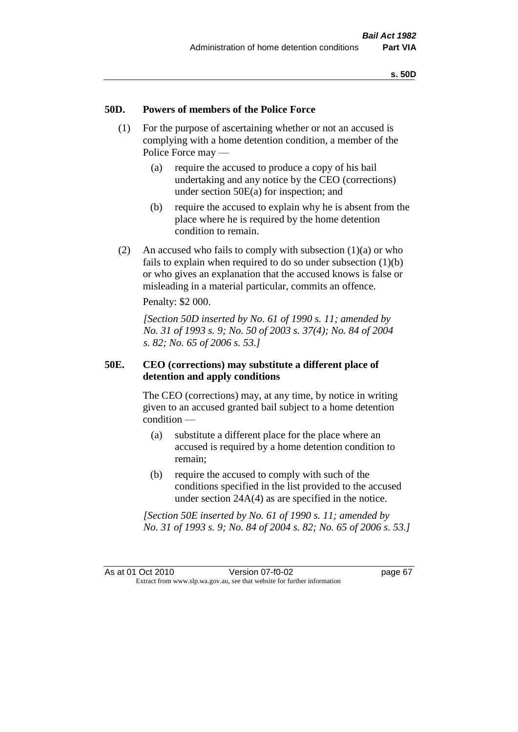## **50D. Powers of members of the Police Force**

- (1) For the purpose of ascertaining whether or not an accused is complying with a home detention condition, a member of the Police Force may —
	- (a) require the accused to produce a copy of his bail undertaking and any notice by the CEO (corrections) under section 50E(a) for inspection; and
	- (b) require the accused to explain why he is absent from the place where he is required by the home detention condition to remain.
- (2) An accused who fails to comply with subsection  $(1)(a)$  or who fails to explain when required to do so under subsection  $(1)(b)$ or who gives an explanation that the accused knows is false or misleading in a material particular, commits an offence.

Penalty: \$2 000.

*[Section 50D inserted by No. 61 of 1990 s. 11; amended by No. 31 of 1993 s. 9; No. 50 of 2003 s. 37(4); No. 84 of 2004 s. 82; No. 65 of 2006 s. 53.]* 

# **50E. CEO (corrections) may substitute a different place of detention and apply conditions**

The CEO (corrections) may, at any time, by notice in writing given to an accused granted bail subject to a home detention condition —

- (a) substitute a different place for the place where an accused is required by a home detention condition to remain;
- (b) require the accused to comply with such of the conditions specified in the list provided to the accused under section 24A(4) as are specified in the notice.

*[Section 50E inserted by No. 61 of 1990 s. 11; amended by No. 31 of 1993 s. 9; No. 84 of 2004 s. 82; No. 65 of 2006 s. 53.]*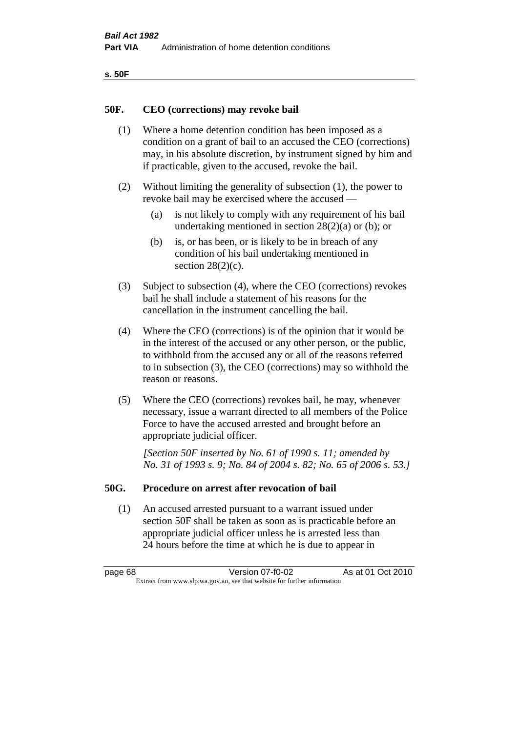| ۰.<br>۰,<br>۰.<br>×<br>× |
|--------------------------|
|--------------------------|

## **50F. CEO (corrections) may revoke bail**

- (1) Where a home detention condition has been imposed as a condition on a grant of bail to an accused the CEO (corrections) may, in his absolute discretion, by instrument signed by him and if practicable, given to the accused, revoke the bail.
- (2) Without limiting the generality of subsection (1), the power to revoke bail may be exercised where the accused —
	- (a) is not likely to comply with any requirement of his bail undertaking mentioned in section  $28(2)(a)$  or (b); or
	- (b) is, or has been, or is likely to be in breach of any condition of his bail undertaking mentioned in section  $28(2)(c)$ .
- (3) Subject to subsection (4), where the CEO (corrections) revokes bail he shall include a statement of his reasons for the cancellation in the instrument cancelling the bail.
- (4) Where the CEO (corrections) is of the opinion that it would be in the interest of the accused or any other person, or the public, to withhold from the accused any or all of the reasons referred to in subsection (3), the CEO (corrections) may so withhold the reason or reasons.
- (5) Where the CEO (corrections) revokes bail, he may, whenever necessary, issue a warrant directed to all members of the Police Force to have the accused arrested and brought before an appropriate judicial officer.

*[Section 50F inserted by No. 61 of 1990 s. 11; amended by No. 31 of 1993 s. 9; No. 84 of 2004 s. 82; No. 65 of 2006 s. 53.]* 

#### **50G. Procedure on arrest after revocation of bail**

(1) An accused arrested pursuant to a warrant issued under section 50F shall be taken as soon as is practicable before an appropriate judicial officer unless he is arrested less than 24 hours before the time at which he is due to appear in

page 68 Version 07-f0-02 As at 01 Oct 2010 Extract from www.slp.wa.gov.au, see that website for further information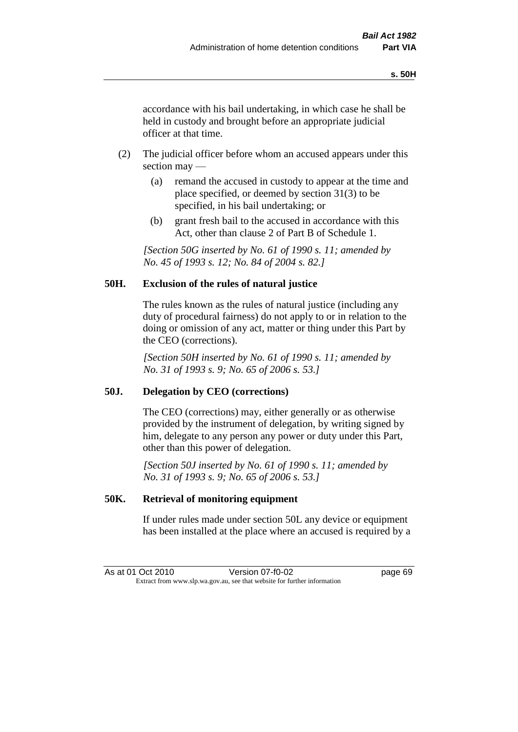accordance with his bail undertaking, in which case he shall be held in custody and brought before an appropriate judicial officer at that time.

- (2) The judicial officer before whom an accused appears under this section may —
	- (a) remand the accused in custody to appear at the time and place specified, or deemed by section 31(3) to be specified, in his bail undertaking; or
	- (b) grant fresh bail to the accused in accordance with this Act, other than clause 2 of Part B of Schedule 1.

*[Section 50G inserted by No. 61 of 1990 s. 11; amended by No. 45 of 1993 s. 12; No. 84 of 2004 s. 82.]* 

# **50H. Exclusion of the rules of natural justice**

The rules known as the rules of natural justice (including any duty of procedural fairness) do not apply to or in relation to the doing or omission of any act, matter or thing under this Part by the CEO (corrections).

*[Section 50H inserted by No. 61 of 1990 s. 11; amended by No. 31 of 1993 s. 9; No. 65 of 2006 s. 53.]* 

# **50J. Delegation by CEO (corrections)**

The CEO (corrections) may, either generally or as otherwise provided by the instrument of delegation, by writing signed by him, delegate to any person any power or duty under this Part, other than this power of delegation.

*[Section 50J inserted by No. 61 of 1990 s. 11; amended by No. 31 of 1993 s. 9; No. 65 of 2006 s. 53.]* 

# **50K. Retrieval of monitoring equipment**

If under rules made under section 50L any device or equipment has been installed at the place where an accused is required by a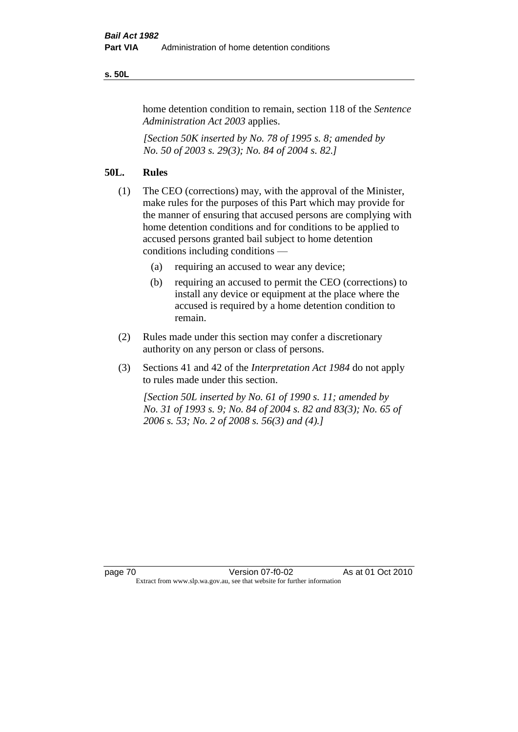#### **s. 50L**

home detention condition to remain, section 118 of the *Sentence Administration Act 2003* applies.

*[Section 50K inserted by No. 78 of 1995 s. 8; amended by No. 50 of 2003 s. 29(3); No. 84 of 2004 s. 82.]* 

# **50L. Rules**

- (1) The CEO (corrections) may, with the approval of the Minister, make rules for the purposes of this Part which may provide for the manner of ensuring that accused persons are complying with home detention conditions and for conditions to be applied to accused persons granted bail subject to home detention conditions including conditions —
	- (a) requiring an accused to wear any device;
	- (b) requiring an accused to permit the CEO (corrections) to install any device or equipment at the place where the accused is required by a home detention condition to remain.
- (2) Rules made under this section may confer a discretionary authority on any person or class of persons.
- (3) Sections 41 and 42 of the *Interpretation Act 1984* do not apply to rules made under this section.

*[Section 50L inserted by No. 61 of 1990 s. 11; amended by No. 31 of 1993 s. 9; No. 84 of 2004 s. 82 and 83(3); No. 65 of 2006 s. 53; No. 2 of 2008 s. 56(3) and (4).]*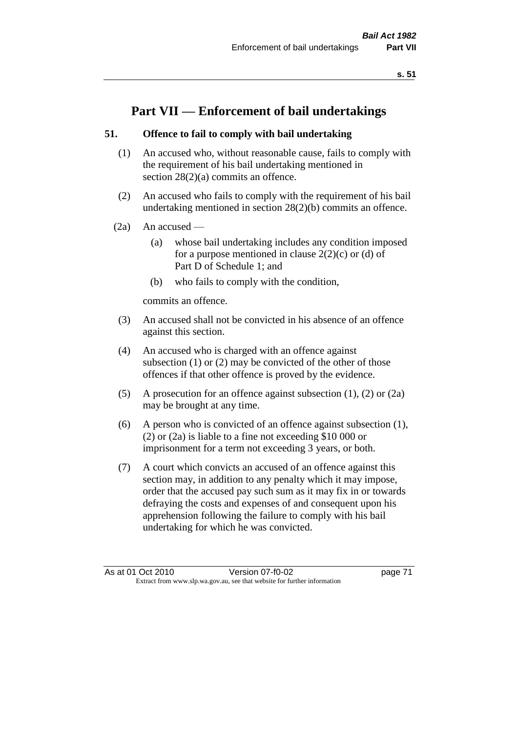# **Part VII — Enforcement of bail undertakings**

# **51. Offence to fail to comply with bail undertaking**

- (1) An accused who, without reasonable cause, fails to comply with the requirement of his bail undertaking mentioned in section 28(2)(a) commits an offence.
- (2) An accused who fails to comply with the requirement of his bail undertaking mentioned in section 28(2)(b) commits an offence.
- $(2a)$  An accused
	- (a) whose bail undertaking includes any condition imposed for a purpose mentioned in clause  $2(2)(c)$  or (d) of Part D of Schedule 1; and
	- (b) who fails to comply with the condition,

commits an offence.

- (3) An accused shall not be convicted in his absence of an offence against this section.
- (4) An accused who is charged with an offence against subsection (1) or (2) may be convicted of the other of those offences if that other offence is proved by the evidence.
- (5) A prosecution for an offence against subsection (1), (2) or (2a) may be brought at any time.
- (6) A person who is convicted of an offence against subsection (1), (2) or (2a) is liable to a fine not exceeding \$10 000 or imprisonment for a term not exceeding 3 years, or both.
- (7) A court which convicts an accused of an offence against this section may, in addition to any penalty which it may impose, order that the accused pay such sum as it may fix in or towards defraying the costs and expenses of and consequent upon his apprehension following the failure to comply with his bail undertaking for which he was convicted.

As at 01 Oct 2010 Version 07-f0-02 page 71 Extract from www.slp.wa.gov.au, see that website for further information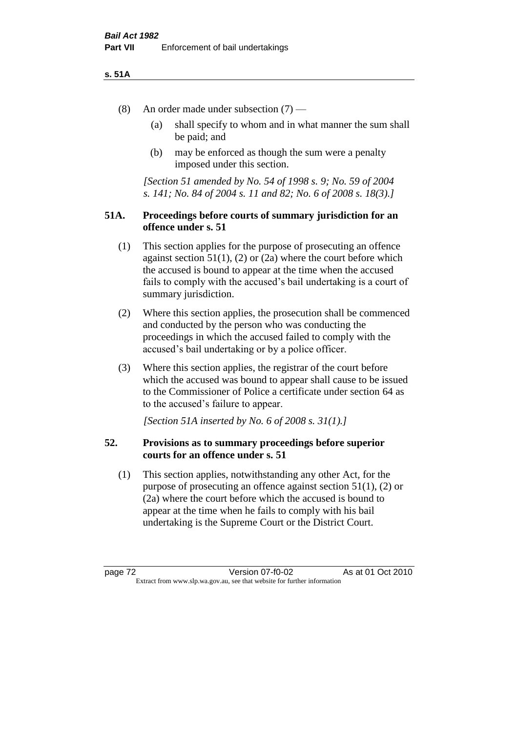#### **s. 51A**

- (8) An order made under subsection (7)
	- (a) shall specify to whom and in what manner the sum shall be paid; and
	- (b) may be enforced as though the sum were a penalty imposed under this section.

*[Section 51 amended by No. 54 of 1998 s. 9; No. 59 of 2004 s. 141; No. 84 of 2004 s. 11 and 82; No. 6 of 2008 s. 18(3).]*

# **51A. Proceedings before courts of summary jurisdiction for an offence under s. 51**

- (1) This section applies for the purpose of prosecuting an offence against section  $51(1)$ ,  $(2)$  or  $(2a)$  where the court before which the accused is bound to appear at the time when the accused fails to comply with the accused's bail undertaking is a court of summary jurisdiction.
- (2) Where this section applies, the prosecution shall be commenced and conducted by the person who was conducting the proceedings in which the accused failed to comply with the accused's bail undertaking or by a police officer.
- (3) Where this section applies, the registrar of the court before which the accused was bound to appear shall cause to be issued to the Commissioner of Police a certificate under section 64 as to the accused's failure to appear.

*[Section 51A inserted by No. 6 of 2008 s. 31(1).]*

# **52. Provisions as to summary proceedings before superior courts for an offence under s. 51**

(1) This section applies, notwithstanding any other Act, for the purpose of prosecuting an offence against section 51(1), (2) or (2a) where the court before which the accused is bound to appear at the time when he fails to comply with his bail undertaking is the Supreme Court or the District Court.

page 72 Version 07-f0-02 As at 01 Oct 2010 Extract from www.slp.wa.gov.au, see that website for further information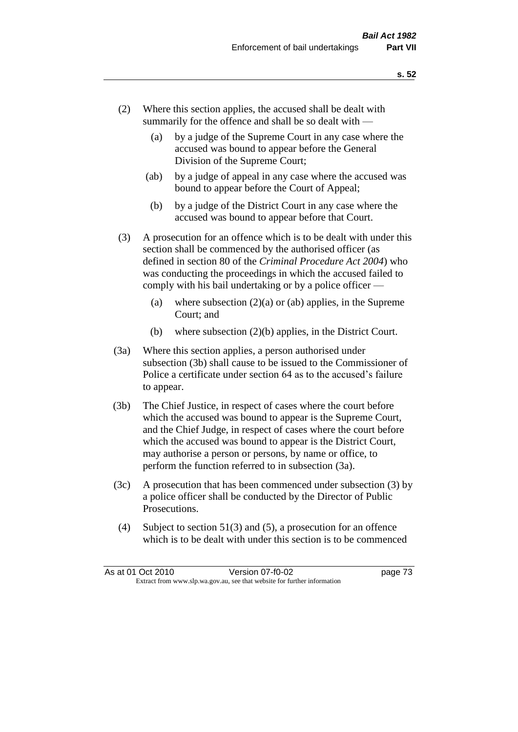- (2) Where this section applies, the accused shall be dealt with summarily for the offence and shall be so dealt with —
	- (a) by a judge of the Supreme Court in any case where the accused was bound to appear before the General Division of the Supreme Court;
	- (ab) by a judge of appeal in any case where the accused was bound to appear before the Court of Appeal;
	- (b) by a judge of the District Court in any case where the accused was bound to appear before that Court.
- (3) A prosecution for an offence which is to be dealt with under this section shall be commenced by the authorised officer (as defined in section 80 of the *Criminal Procedure Act 2004*) who was conducting the proceedings in which the accused failed to comply with his bail undertaking or by a police officer —
	- (a) where subsection  $(2)(a)$  or (ab) applies, in the Supreme Court; and
	- (b) where subsection (2)(b) applies, in the District Court.
- (3a) Where this section applies, a person authorised under subsection (3b) shall cause to be issued to the Commissioner of Police a certificate under section 64 as to the accused's failure to appear.
- (3b) The Chief Justice, in respect of cases where the court before which the accused was bound to appear is the Supreme Court, and the Chief Judge, in respect of cases where the court before which the accused was bound to appear is the District Court, may authorise a person or persons, by name or office, to perform the function referred to in subsection (3a).
- (3c) A prosecution that has been commenced under subsection (3) by a police officer shall be conducted by the Director of Public Prosecutions.
- (4) Subject to section 51(3) and (5), a prosecution for an offence which is to be dealt with under this section is to be commenced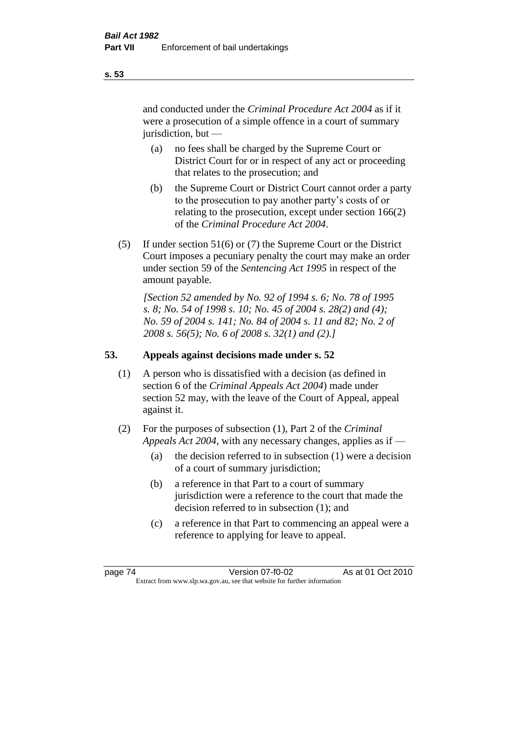and conducted under the *Criminal Procedure Act 2004* as if it were a prosecution of a simple offence in a court of summary jurisdiction, but —

- (a) no fees shall be charged by the Supreme Court or District Court for or in respect of any act or proceeding that relates to the prosecution; and
- (b) the Supreme Court or District Court cannot order a party to the prosecution to pay another party's costs of or relating to the prosecution, except under section 166(2) of the *Criminal Procedure Act 2004*.
- (5) If under section 51(6) or (7) the Supreme Court or the District Court imposes a pecuniary penalty the court may make an order under section 59 of the *Sentencing Act 1995* in respect of the amount payable.

*[Section 52 amended by No. 92 of 1994 s. 6; No. 78 of 1995 s. 8; No. 54 of 1998 s. 10; No. 45 of 2004 s. 28(2) and (4); No. 59 of 2004 s. 141; No. 84 of 2004 s. 11 and 82; No. 2 of 2008 s. 56(5); No. 6 of 2008 s. 32(1) and (2).]* 

# **53. Appeals against decisions made under s. 52**

- (1) A person who is dissatisfied with a decision (as defined in section 6 of the *Criminal Appeals Act 2004*) made under section 52 may, with the leave of the Court of Appeal, appeal against it.
- (2) For the purposes of subsection (1), Part 2 of the *Criminal Appeals Act 2004*, with any necessary changes, applies as if —
	- (a) the decision referred to in subsection (1) were a decision of a court of summary jurisdiction;
	- (b) a reference in that Part to a court of summary jurisdiction were a reference to the court that made the decision referred to in subsection (1); and
	- (c) a reference in that Part to commencing an appeal were a reference to applying for leave to appeal.

**s. 53**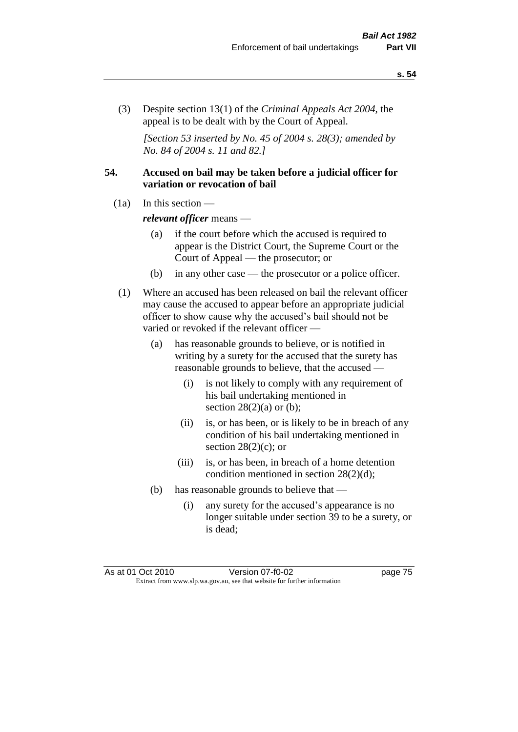(3) Despite section 13(1) of the *Criminal Appeals Act 2004*, the appeal is to be dealt with by the Court of Appeal.

*[Section 53 inserted by No. 45 of 2004 s. 28(3); amended by No. 84 of 2004 s. 11 and 82.]*

# **54. Accused on bail may be taken before a judicial officer for variation or revocation of bail**

(1a) In this section —

*relevant officer* means —

- (a) if the court before which the accused is required to appear is the District Court, the Supreme Court or the Court of Appeal — the prosecutor; or
- (b) in any other case the prosecutor or a police officer.
- (1) Where an accused has been released on bail the relevant officer may cause the accused to appear before an appropriate judicial officer to show cause why the accused's bail should not be varied or revoked if the relevant officer —
	- (a) has reasonable grounds to believe, or is notified in writing by a surety for the accused that the surety has reasonable grounds to believe, that the accused —
		- (i) is not likely to comply with any requirement of his bail undertaking mentioned in section  $28(2)(a)$  or (b);
		- (ii) is, or has been, or is likely to be in breach of any condition of his bail undertaking mentioned in section  $28(2)(c)$ ; or
		- (iii) is, or has been, in breach of a home detention condition mentioned in section 28(2)(d);
	- (b) has reasonable grounds to believe that
		- (i) any surety for the accused's appearance is no longer suitable under section 39 to be a surety, or is dead;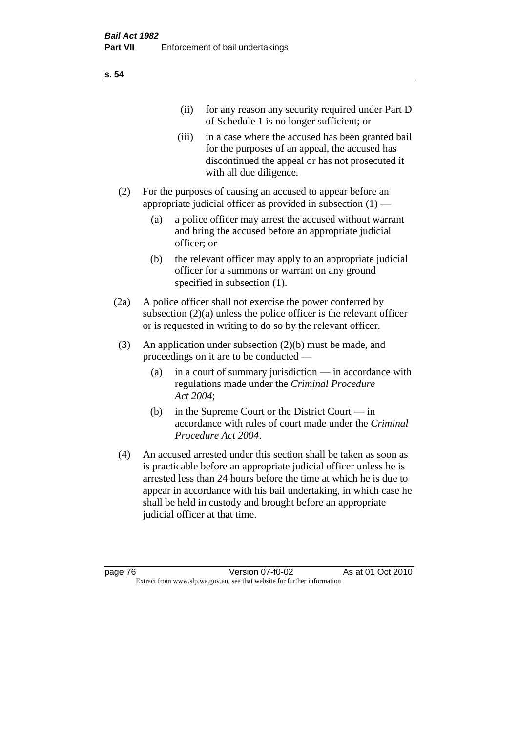| (11)  | for any reason any security required under Part D<br>of Schedule 1 is no longer sufficient; or                                                                                     |
|-------|------------------------------------------------------------------------------------------------------------------------------------------------------------------------------------|
| (iii) | in a case where the accused has been granted bail<br>for the purposes of an appeal, the accused has<br>discontinued the appeal or has not prosecuted it<br>with all due diligence. |
|       | For the purposes of causing an accused to appear before an                                                                                                                         |

(a) a police officer may arrest the accused without warrant and bring the accused before an appropriate judicial officer; or

appropriate judicial officer as provided in subsection  $(1)$  -

- (b) the relevant officer may apply to an appropriate judicial officer for a summons or warrant on any ground specified in subsection  $(1)$ .
- (2a) A police officer shall not exercise the power conferred by subsection (2)(a) unless the police officer is the relevant officer or is requested in writing to do so by the relevant officer.
- (3) An application under subsection (2)(b) must be made, and proceedings on it are to be conducted —
	- (a) in a court of summary jurisdiction in accordance with regulations made under the *Criminal Procedure Act 2004*;
	- (b) in the Supreme Court or the District Court in accordance with rules of court made under the *Criminal Procedure Act 2004*.
- (4) An accused arrested under this section shall be taken as soon as is practicable before an appropriate judicial officer unless he is arrested less than 24 hours before the time at which he is due to appear in accordance with his bail undertaking, in which case he shall be held in custody and brought before an appropriate judicial officer at that time.

**s. 54**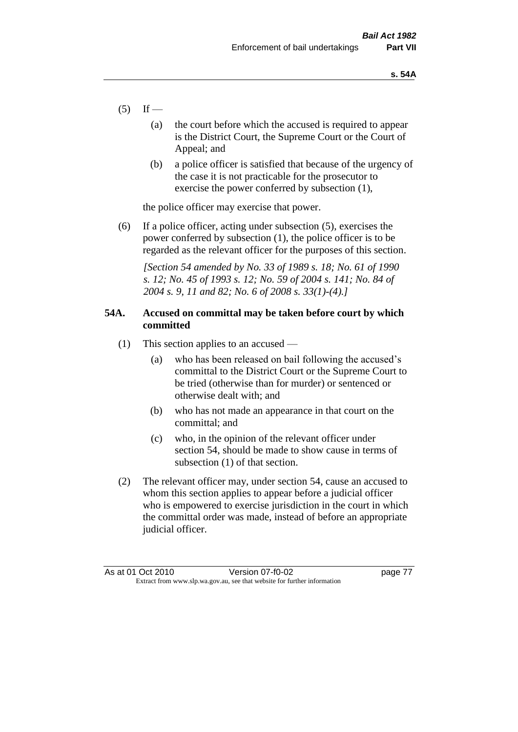- $(5)$  If
	- (a) the court before which the accused is required to appear is the District Court, the Supreme Court or the Court of Appeal; and
	- (b) a police officer is satisfied that because of the urgency of the case it is not practicable for the prosecutor to exercise the power conferred by subsection (1),

the police officer may exercise that power.

(6) If a police officer, acting under subsection (5), exercises the power conferred by subsection (1), the police officer is to be regarded as the relevant officer for the purposes of this section.

*[Section 54 amended by No. 33 of 1989 s. 18; No. 61 of 1990 s. 12; No. 45 of 1993 s. 12; No. 59 of 2004 s. 141; No. 84 of 2004 s. 9, 11 and 82; No. 6 of 2008 s. 33(1)-(4).]* 

# **54A. Accused on committal may be taken before court by which committed**

- (1) This section applies to an accused
	- (a) who has been released on bail following the accused's committal to the District Court or the Supreme Court to be tried (otherwise than for murder) or sentenced or otherwise dealt with; and
	- (b) who has not made an appearance in that court on the committal; and
	- (c) who, in the opinion of the relevant officer under section 54, should be made to show cause in terms of subsection (1) of that section.
- (2) The relevant officer may, under section 54, cause an accused to whom this section applies to appear before a judicial officer who is empowered to exercise jurisdiction in the court in which the committal order was made, instead of before an appropriate judicial officer.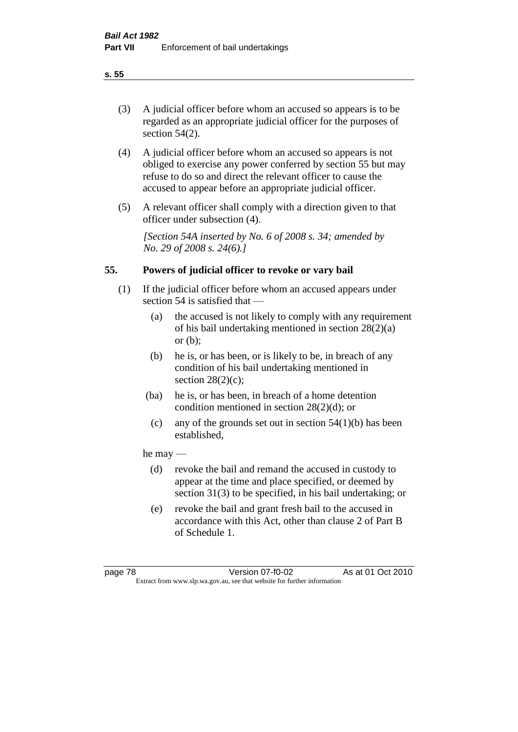# (3) A judicial officer before whom an accused so appears is to be regarded as an appropriate judicial officer for the purposes of section 54(2).

- (4) A judicial officer before whom an accused so appears is not obliged to exercise any power conferred by section 55 but may refuse to do so and direct the relevant officer to cause the accused to appear before an appropriate judicial officer.
- (5) A relevant officer shall comply with a direction given to that officer under subsection (4).

*[Section 54A inserted by No. 6 of 2008 s. 34; amended by No. 29 of 2008 s. 24(6).]*

# **55. Powers of judicial officer to revoke or vary bail**

- (1) If the judicial officer before whom an accused appears under section 54 is satisfied that —
	- (a) the accused is not likely to comply with any requirement of his bail undertaking mentioned in section 28(2)(a) or (b);
	- (b) he is, or has been, or is likely to be, in breach of any condition of his bail undertaking mentioned in section  $28(2)(c)$ ;
	- (ba) he is, or has been, in breach of a home detention condition mentioned in section 28(2)(d); or
		- (c) any of the grounds set out in section  $54(1)(b)$  has been established,

# he may —

- (d) revoke the bail and remand the accused in custody to appear at the time and place specified, or deemed by section 31(3) to be specified, in his bail undertaking; or
- (e) revoke the bail and grant fresh bail to the accused in accordance with this Act, other than clause 2 of Part B of Schedule 1.

#### **s. 55**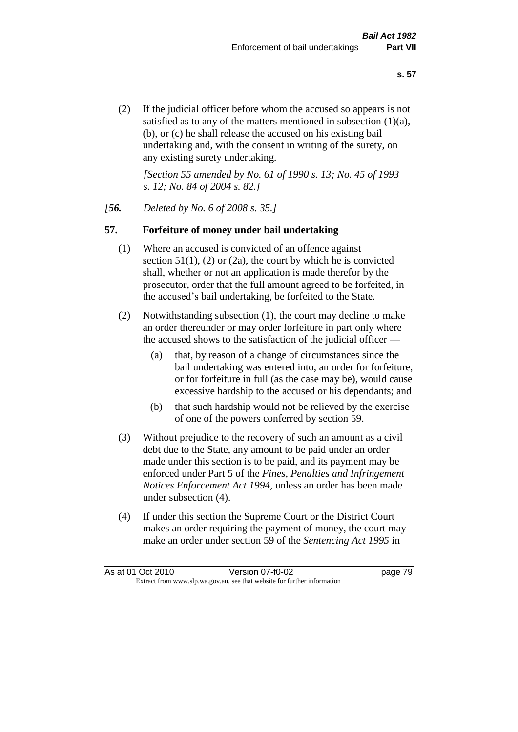(2) If the judicial officer before whom the accused so appears is not satisfied as to any of the matters mentioned in subsection (1)(a), (b), or (c) he shall release the accused on his existing bail undertaking and, with the consent in writing of the surety, on any existing surety undertaking.

*[Section 55 amended by No. 61 of 1990 s. 13; No. 45 of 1993 s. 12; No. 84 of 2004 s. 82.]* 

#### *[56. Deleted by No. 6 of 2008 s. 35.]*

#### **57. Forfeiture of money under bail undertaking**

- (1) Where an accused is convicted of an offence against section  $51(1)$ , (2) or (2a), the court by which he is convicted shall, whether or not an application is made therefor by the prosecutor, order that the full amount agreed to be forfeited, in the accused's bail undertaking, be forfeited to the State.
- (2) Notwithstanding subsection (1), the court may decline to make an order thereunder or may order forfeiture in part only where the accused shows to the satisfaction of the judicial officer —
	- (a) that, by reason of a change of circumstances since the bail undertaking was entered into, an order for forfeiture, or for forfeiture in full (as the case may be), would cause excessive hardship to the accused or his dependants; and
	- (b) that such hardship would not be relieved by the exercise of one of the powers conferred by section 59.
- (3) Without prejudice to the recovery of such an amount as a civil debt due to the State, any amount to be paid under an order made under this section is to be paid, and its payment may be enforced under Part 5 of the *Fines, Penalties and Infringement Notices Enforcement Act 1994*, unless an order has been made under subsection (4).
- (4) If under this section the Supreme Court or the District Court makes an order requiring the payment of money, the court may make an order under section 59 of the *Sentencing Act 1995* in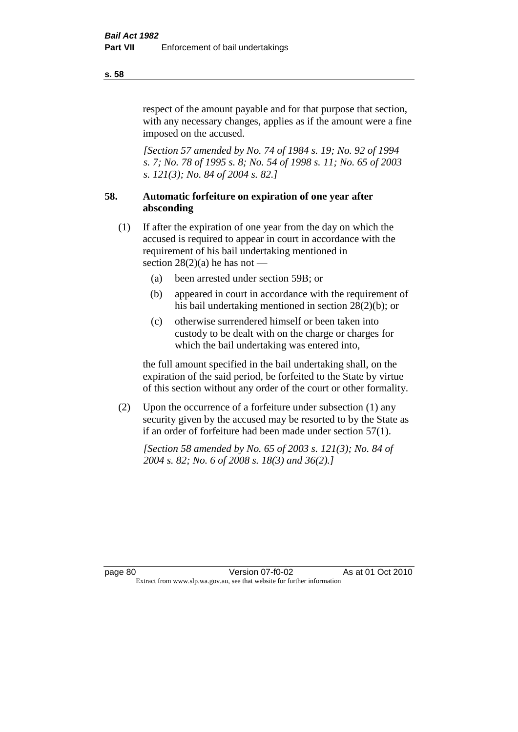respect of the amount payable and for that purpose that section, with any necessary changes, applies as if the amount were a fine imposed on the accused.

*[Section 57 amended by No. 74 of 1984 s. 19; No. 92 of 1994 s. 7; No. 78 of 1995 s. 8; No. 54 of 1998 s. 11; No. 65 of 2003 s. 121(3); No. 84 of 2004 s. 82.]* 

# **58. Automatic forfeiture on expiration of one year after absconding**

- (1) If after the expiration of one year from the day on which the accused is required to appear in court in accordance with the requirement of his bail undertaking mentioned in section  $28(2)(a)$  he has not —
	- (a) been arrested under section 59B; or
	- (b) appeared in court in accordance with the requirement of his bail undertaking mentioned in section 28(2)(b); or
	- (c) otherwise surrendered himself or been taken into custody to be dealt with on the charge or charges for which the bail undertaking was entered into,

the full amount specified in the bail undertaking shall, on the expiration of the said period, be forfeited to the State by virtue of this section without any order of the court or other formality.

(2) Upon the occurrence of a forfeiture under subsection (1) any security given by the accused may be resorted to by the State as if an order of forfeiture had been made under section 57(1).

*[Section 58 amended by No. 65 of 2003 s. 121(3); No. 84 of 2004 s. 82; No. 6 of 2008 s. 18(3) and 36(2).]*

**s. 58**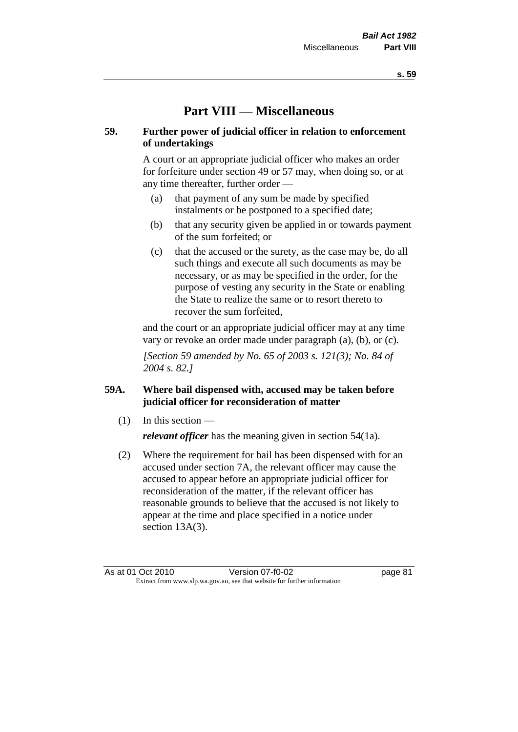# **Part VIII — Miscellaneous**

# **59. Further power of judicial officer in relation to enforcement of undertakings**

A court or an appropriate judicial officer who makes an order for forfeiture under section 49 or 57 may, when doing so, or at any time thereafter, further order —

- (a) that payment of any sum be made by specified instalments or be postponed to a specified date;
- (b) that any security given be applied in or towards payment of the sum forfeited; or
- (c) that the accused or the surety, as the case may be, do all such things and execute all such documents as may be necessary, or as may be specified in the order, for the purpose of vesting any security in the State or enabling the State to realize the same or to resort thereto to recover the sum forfeited,

and the court or an appropriate judicial officer may at any time vary or revoke an order made under paragraph (a), (b), or (c).

*[Section 59 amended by No. 65 of 2003 s. 121(3); No. 84 of 2004 s. 82.]*

# **59A. Where bail dispensed with, accused may be taken before judicial officer for reconsideration of matter**

- $(1)$  In this section *relevant officer* has the meaning given in section 54(1a).
- (2) Where the requirement for bail has been dispensed with for an accused under section 7A, the relevant officer may cause the accused to appear before an appropriate judicial officer for reconsideration of the matter, if the relevant officer has reasonable grounds to believe that the accused is not likely to appear at the time and place specified in a notice under section 13A(3).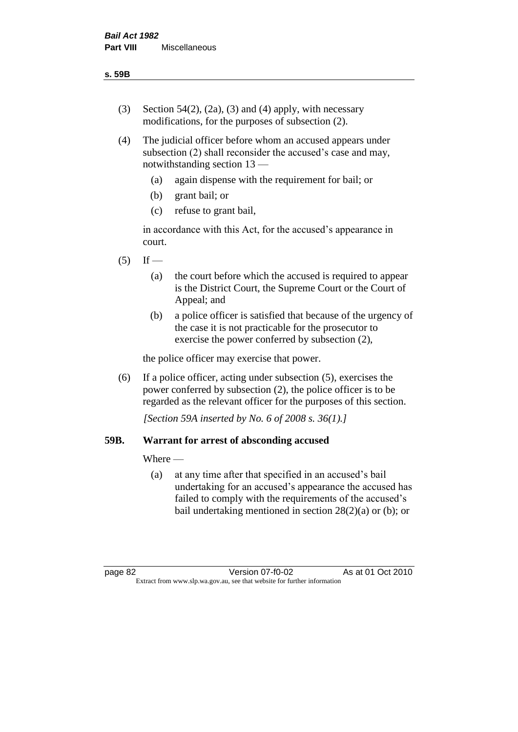- (3) Section 54(2), (2a), (3) and (4) apply, with necessary modifications, for the purposes of subsection (2).
- (4) The judicial officer before whom an accused appears under subsection (2) shall reconsider the accused's case and may, notwithstanding section 13 —
	- (a) again dispense with the requirement for bail; or
	- (b) grant bail; or
	- (c) refuse to grant bail,

in accordance with this Act, for the accused's appearance in court.

- $(5)$  If
	- (a) the court before which the accused is required to appear is the District Court, the Supreme Court or the Court of Appeal; and
	- (b) a police officer is satisfied that because of the urgency of the case it is not practicable for the prosecutor to exercise the power conferred by subsection (2),

the police officer may exercise that power.

(6) If a police officer, acting under subsection (5), exercises the power conferred by subsection (2), the police officer is to be regarded as the relevant officer for the purposes of this section.

*[Section 59A inserted by No. 6 of 2008 s. 36(1).]*

# **59B. Warrant for arrest of absconding accused**

Where —

(a) at any time after that specified in an accused's bail undertaking for an accused's appearance the accused has failed to comply with the requirements of the accused's bail undertaking mentioned in section  $28(2)(a)$  or (b); or

page 82 Version 07-f0-02 As at 01 Oct 2010 Extract from www.slp.wa.gov.au, see that website for further information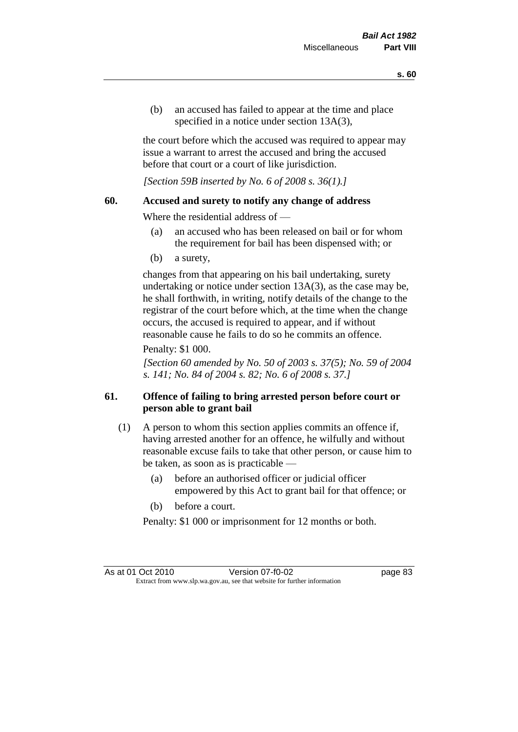(b) an accused has failed to appear at the time and place specified in a notice under section 13A(3).

the court before which the accused was required to appear may issue a warrant to arrest the accused and bring the accused before that court or a court of like jurisdiction.

*[Section 59B inserted by No. 6 of 2008 s. 36(1).]*

#### **60. Accused and surety to notify any change of address**

Where the residential address of —

- (a) an accused who has been released on bail or for whom the requirement for bail has been dispensed with; or
- (b) a surety,

changes from that appearing on his bail undertaking, surety undertaking or notice under section 13A(3), as the case may be, he shall forthwith, in writing, notify details of the change to the registrar of the court before which, at the time when the change occurs, the accused is required to appear, and if without reasonable cause he fails to do so he commits an offence.

#### Penalty: \$1 000.

*[Section 60 amended by No. 50 of 2003 s. 37(5); No. 59 of 2004 s. 141; No. 84 of 2004 s. 82; No. 6 of 2008 s. 37.]*

# **61. Offence of failing to bring arrested person before court or person able to grant bail**

- (1) A person to whom this section applies commits an offence if, having arrested another for an offence, he wilfully and without reasonable excuse fails to take that other person, or cause him to be taken, as soon as is practicable —
	- (a) before an authorised officer or judicial officer empowered by this Act to grant bail for that offence; or
	- (b) before a court.

Penalty: \$1 000 or imprisonment for 12 months or both.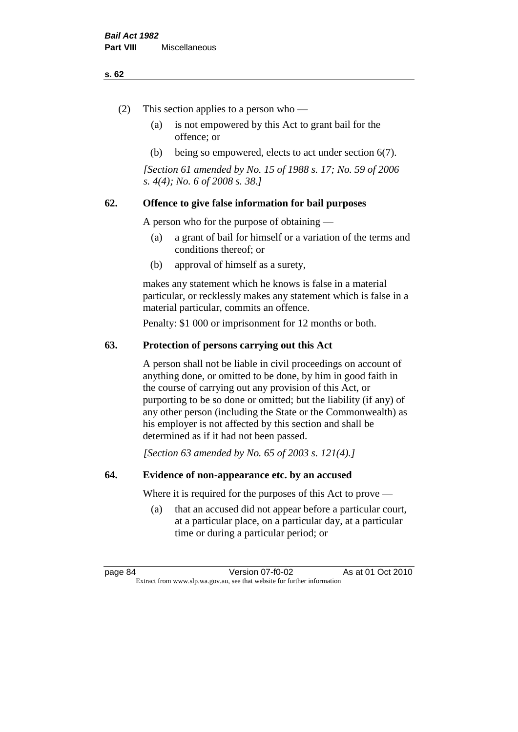#### **s. 62**

- (2) This section applies to a person who
	- (a) is not empowered by this Act to grant bail for the offence; or
	- (b) being so empowered, elects to act under section 6(7).

*[Section 61 amended by No. 15 of 1988 s. 17; No. 59 of 2006 s. 4(4); No. 6 of 2008 s. 38.]* 

# **62. Offence to give false information for bail purposes**

A person who for the purpose of obtaining —

- (a) a grant of bail for himself or a variation of the terms and conditions thereof; or
- (b) approval of himself as a surety,

makes any statement which he knows is false in a material particular, or recklessly makes any statement which is false in a material particular, commits an offence.

Penalty: \$1 000 or imprisonment for 12 months or both.

#### **63. Protection of persons carrying out this Act**

A person shall not be liable in civil proceedings on account of anything done, or omitted to be done, by him in good faith in the course of carrying out any provision of this Act, or purporting to be so done or omitted; but the liability (if any) of any other person (including the State or the Commonwealth) as his employer is not affected by this section and shall be determined as if it had not been passed.

*[Section 63 amended by No. 65 of 2003 s. 121(4).]*

#### **64. Evidence of non-appearance etc. by an accused**

Where it is required for the purposes of this Act to prove —

(a) that an accused did not appear before a particular court, at a particular place, on a particular day, at a particular time or during a particular period; or

page 84 Version 07-f0-02 As at 01 Oct 2010 Extract from www.slp.wa.gov.au, see that website for further information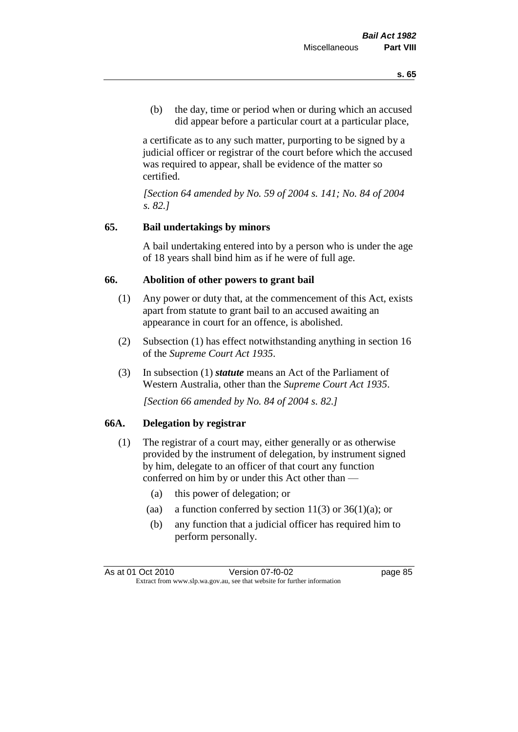(b) the day, time or period when or during which an accused did appear before a particular court at a particular place,

a certificate as to any such matter, purporting to be signed by a judicial officer or registrar of the court before which the accused was required to appear, shall be evidence of the matter so certified.

*[Section 64 amended by No. 59 of 2004 s. 141; No. 84 of 2004 s. 82.]* 

# **65. Bail undertakings by minors**

A bail undertaking entered into by a person who is under the age of 18 years shall bind him as if he were of full age.

#### **66. Abolition of other powers to grant bail**

- (1) Any power or duty that, at the commencement of this Act, exists apart from statute to grant bail to an accused awaiting an appearance in court for an offence, is abolished.
- (2) Subsection (1) has effect notwithstanding anything in section 16 of the *Supreme Court Act 1935*.
- (3) In subsection (1) *statute* means an Act of the Parliament of Western Australia, other than the *Supreme Court Act 1935*.

*[Section 66 amended by No. 84 of 2004 s. 82.]*

#### **66A. Delegation by registrar**

- (1) The registrar of a court may, either generally or as otherwise provided by the instrument of delegation, by instrument signed by him, delegate to an officer of that court any function conferred on him by or under this Act other than —
	- (a) this power of delegation; or
	- (aa) a function conferred by section  $11(3)$  or  $36(1)(a)$ ; or
	- (b) any function that a judicial officer has required him to perform personally.

As at 01 Oct 2010 Version 07-f0-02 page 85 Extract from www.slp.wa.gov.au, see that website for further information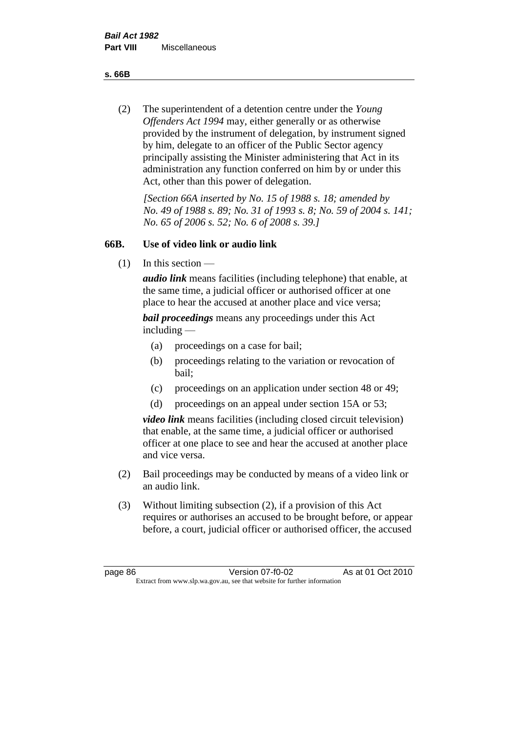**s. 66B**

(2) The superintendent of a detention centre under the *Young Offenders Act 1994* may, either generally or as otherwise provided by the instrument of delegation, by instrument signed by him, delegate to an officer of the Public Sector agency principally assisting the Minister administering that Act in its administration any function conferred on him by or under this Act, other than this power of delegation.

*[Section 66A inserted by No. 15 of 1988 s. 18; amended by No. 49 of 1988 s. 89; No. 31 of 1993 s. 8; No. 59 of 2004 s. 141; No. 65 of 2006 s. 52; No. 6 of 2008 s. 39.]* 

# **66B. Use of video link or audio link**

(1) In this section —

*audio link* means facilities (including telephone) that enable, at the same time, a judicial officer or authorised officer at one place to hear the accused at another place and vice versa;

*bail proceedings* means any proceedings under this Act including —

- (a) proceedings on a case for bail;
- (b) proceedings relating to the variation or revocation of bail;
- (c) proceedings on an application under section 48 or 49;
- (d) proceedings on an appeal under section 15A or 53;

*video link* means facilities (including closed circuit television) that enable, at the same time, a judicial officer or authorised officer at one place to see and hear the accused at another place and vice versa.

- (2) Bail proceedings may be conducted by means of a video link or an audio link.
- (3) Without limiting subsection (2), if a provision of this Act requires or authorises an accused to be brought before, or appear before, a court, judicial officer or authorised officer, the accused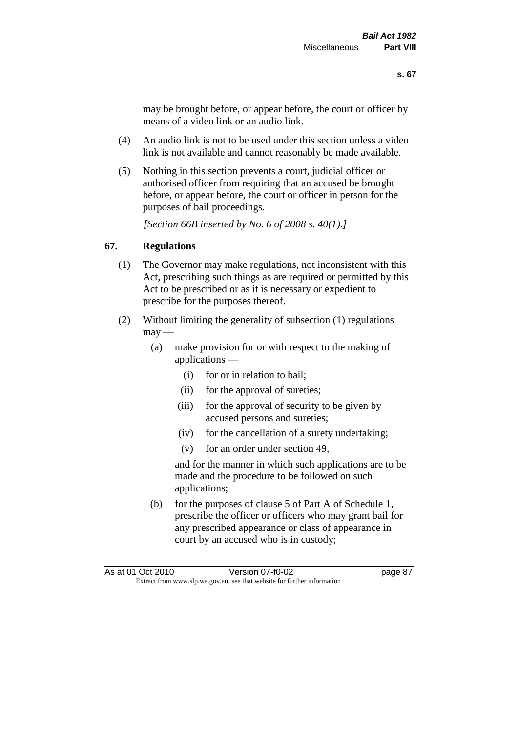may be brought before, or appear before, the court or officer by means of a video link or an audio link.

- (4) An audio link is not to be used under this section unless a video link is not available and cannot reasonably be made available.
- (5) Nothing in this section prevents a court, judicial officer or authorised officer from requiring that an accused be brought before, or appear before, the court or officer in person for the purposes of bail proceedings.

*[Section 66B inserted by No. 6 of 2008 s. 40(1).]*

# **67. Regulations**

- (1) The Governor may make regulations, not inconsistent with this Act, prescribing such things as are required or permitted by this Act to be prescribed or as it is necessary or expedient to prescribe for the purposes thereof.
- (2) Without limiting the generality of subsection (1) regulations  $\text{max}$  —
	- (a) make provision for or with respect to the making of applications —
		- (i) for or in relation to bail;
		- (ii) for the approval of sureties;
		- (iii) for the approval of security to be given by accused persons and sureties;
		- (iv) for the cancellation of a surety undertaking;
		- (v) for an order under section 49,

and for the manner in which such applications are to be made and the procedure to be followed on such applications;

(b) for the purposes of clause 5 of Part A of Schedule 1, prescribe the officer or officers who may grant bail for any prescribed appearance or class of appearance in court by an accused who is in custody;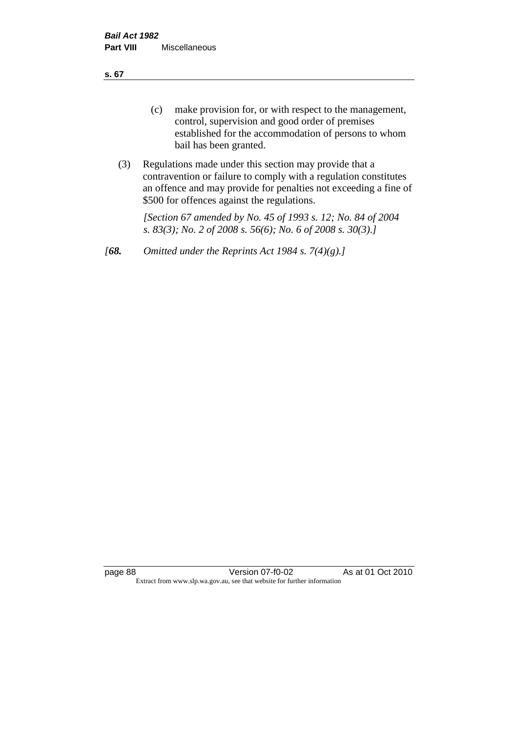**s. 67**

- (c) make provision for, or with respect to the management, control, supervision and good order of premises established for the accommodation of persons to whom bail has been granted.
- (3) Regulations made under this section may provide that a contravention or failure to comply with a regulation constitutes an offence and may provide for penalties not exceeding a fine of \$500 for offences against the regulations.

*[Section 67 amended by No. 45 of 1993 s. 12; No. 84 of 2004 s. 83(3); No. 2 of 2008 s. 56(6); No. 6 of 2008 s. 30(3).]* 

*[68. Omitted under the Reprints Act 1984 s. 7(4)(g).]*

page 88 Version 07-f0-02 As at 01 Oct 2010 Extract from www.slp.wa.gov.au, see that website for further information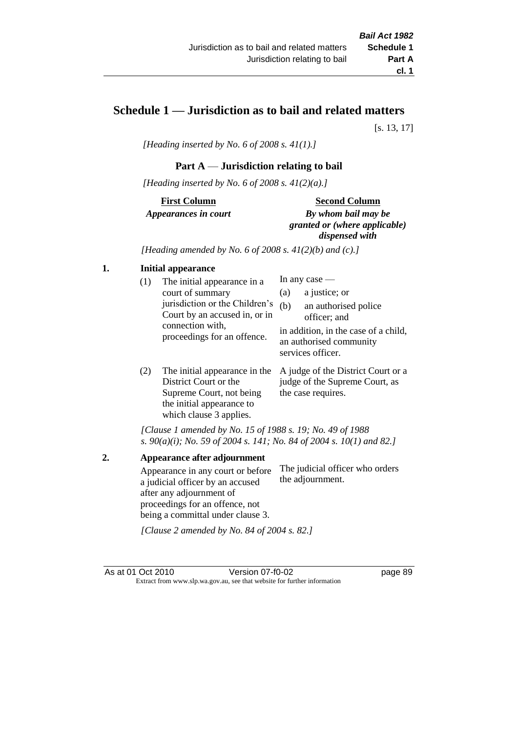# **Schedule 1 — Jurisdiction as to bail and related matters**

[s. 13, 17]

*[Heading inserted by No. 6 of 2008 s. 41(1).]*

# **Part A** — **Jurisdiction relating to bail**

*[Heading inserted by No. 6 of 2008 s. 41(2)(a).]*

**First Column** *Appearances in court* 

#### **Second Column**

*By whom bail may be granted or (where applicable) dispensed with*

*[Heading amended by No. 6 of 2008 s. 41(2)(b) and (c).]*

#### **1. Initial appearance**

| (1) | The initial appearance in a                                     | In any case $-$ |                                                                                      |  |
|-----|-----------------------------------------------------------------|-----------------|--------------------------------------------------------------------------------------|--|
|     | court of summary                                                | (a)             | a justice; or                                                                        |  |
|     | jurisdiction or the Children's<br>Court by an accused in, or in | (b)             | an authorised police<br>officer; and                                                 |  |
|     | connection with,<br>proceedings for an offence.                 |                 | in addition, in the case of a child,<br>an authorised community<br>services officer. |  |
|     |                                                                 |                 |                                                                                      |  |

(2) The initial appearance in the A judge of the District Court or a District Court or the Supreme Court, not being the initial appearance to which clause 3 applies. judge of the Supreme Court, as the case requires.

*[Clause 1 amended by No. 15 of 1988 s. 19; No. 49 of 1988 s. 90(a)(i); No. 59 of 2004 s. 141; No. 84 of 2004 s. 10(1) and 82.]*

**2. Appearance after adjournment** Appearance in any court or before a judicial officer by an accused after any adjournment of proceedings for an offence, not being a committal under clause 3. The judicial officer who orders the adjournment.

*[Clause 2 amended by No. 84 of 2004 s. 82.]*

As at 01 Oct 2010 Version 07-f0-02 page 89 Extract from www.slp.wa.gov.au, see that website for further information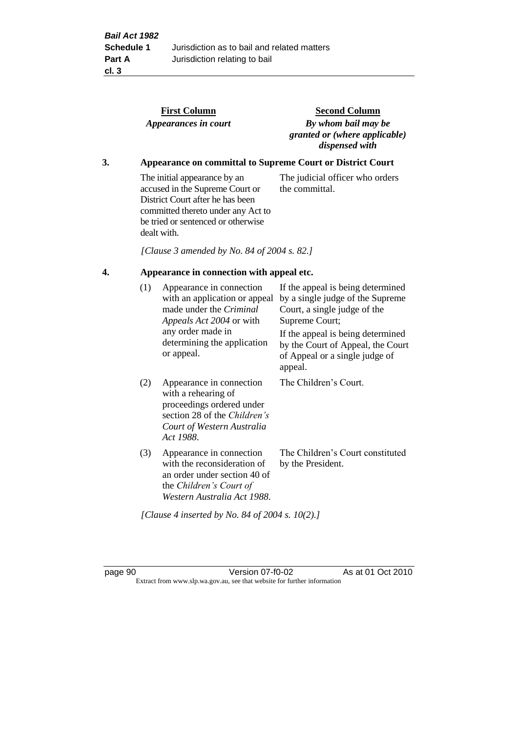|    |                                           | <b>First Column</b><br>Appearances in court                                                                                                                                                    | <b>Second Column</b><br>By whom bail may be<br>granted or (where applicable)<br>dispensed with                                                                                                                                                 |  |
|----|-------------------------------------------|------------------------------------------------------------------------------------------------------------------------------------------------------------------------------------------------|------------------------------------------------------------------------------------------------------------------------------------------------------------------------------------------------------------------------------------------------|--|
| 3. |                                           |                                                                                                                                                                                                | <b>Appearance on committal to Supreme Court or District Court</b>                                                                                                                                                                              |  |
|    |                                           | The initial appearance by an<br>accused in the Supreme Court or<br>District Court after he has been<br>committed thereto under any Act to<br>be tried or sentenced or otherwise<br>dealt with. | The judicial officer who orders<br>the committal.                                                                                                                                                                                              |  |
|    |                                           | [Clause 3 amended by No. 84 of 2004 s. 82.]                                                                                                                                                    |                                                                                                                                                                                                                                                |  |
| 4. | Appearance in connection with appeal etc. |                                                                                                                                                                                                |                                                                                                                                                                                                                                                |  |
|    | (1)                                       | Appearance in connection<br>with an application or appeal<br>made under the Criminal<br>Appeals Act 2004 or with<br>any order made in<br>determining the application<br>or appeal.             | If the appeal is being determined<br>by a single judge of the Supreme<br>Court, a single judge of the<br>Supreme Court;<br>If the appeal is being determined<br>by the Court of Appeal, the Court<br>of Appeal or a single judge of<br>appeal. |  |
|    | (2)                                       | Appearance in connection<br>with a rehearing of<br>proceedings ordered under<br>section 28 of the Children's<br>Court of Western Australia<br>Act 1988.                                        | The Children's Court.                                                                                                                                                                                                                          |  |
|    | (3)                                       | Appearance in connection<br>with the reconsideration of<br>an order under section 40 of<br>the Children's Court of<br>Western Australia Act 1988.                                              | The Children's Court constituted<br>by the President.                                                                                                                                                                                          |  |

*[Clause 4 inserted by No. 84 of 2004 s. 10(2).]*

page 90 Version 07-f0-02 As at 01 Oct 2010 Extract from www.slp.wa.gov.au, see that website for further information

Court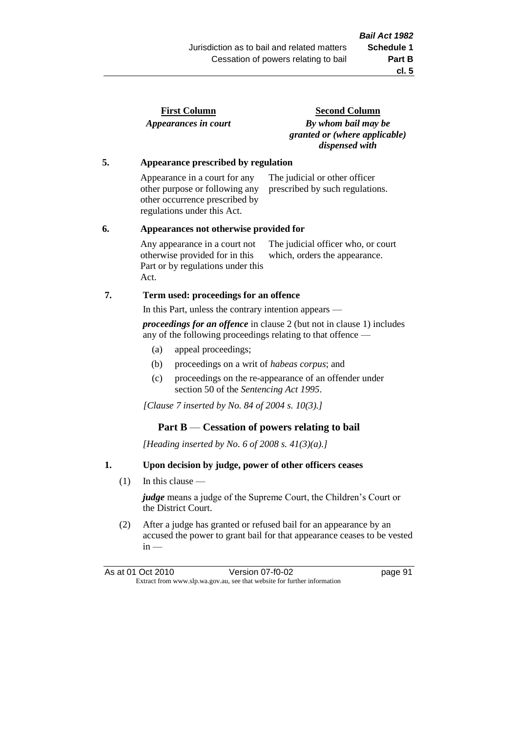| <b>First Column</b>  |  |
|----------------------|--|
| Appearances in court |  |

**Second Column** *By whom bail may be granted or (where applicable) dispensed with*

#### **5. Appearance prescribed by regulation**

Appearance in a court for any other purpose or following any other occurrence prescribed by regulations under this Act. The judicial or other officer prescribed by such regulations.

#### **6. Appearances not otherwise provided for**

Any appearance in a court not otherwise provided for in this Part or by regulations under this Act. The judicial officer who, or court which, orders the appearance.

# **7. Term used: proceedings for an offence**

In this Part, unless the contrary intention appears —

*proceedings for an offence* in clause 2 (but not in clause 1) includes any of the following proceedings relating to that offence —

- (a) appeal proceedings;
- (b) proceedings on a writ of *habeas corpus*; and
- (c) proceedings on the re-appearance of an offender under section 50 of the *Sentencing Act 1995*.

*[Clause 7 inserted by No. 84 of 2004 s. 10(3).]*

# **Part B** — **Cessation of powers relating to bail**

*[Heading inserted by No. 6 of 2008 s. 41(3)(a).]*

# **1. Upon decision by judge, power of other officers ceases**

(1) In this clause —

*judge* means a judge of the Supreme Court, the Children's Court or the District Court.

(2) After a judge has granted or refused bail for an appearance by an accused the power to grant bail for that appearance ceases to be vested  $in -$ 

As at 01 Oct 2010 Version 07-f0-02 Page 91 Extract from www.slp.wa.gov.au, see that website for further information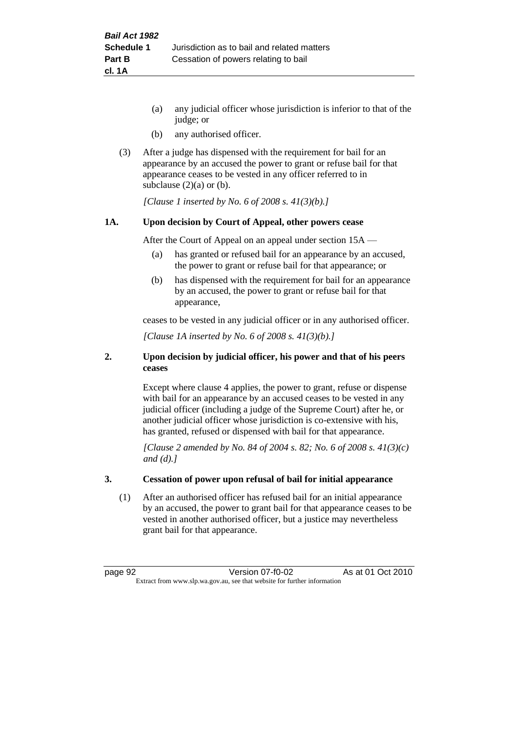- (a) any judicial officer whose jurisdiction is inferior to that of the judge; or
- (b) any authorised officer.
- (3) After a judge has dispensed with the requirement for bail for an appearance by an accused the power to grant or refuse bail for that appearance ceases to be vested in any officer referred to in subclause  $(2)(a)$  or  $(b)$ .

*[Clause 1 inserted by No. 6 of 2008 s. 41(3)(b).]*

#### **1A. Upon decision by Court of Appeal, other powers cease**

After the Court of Appeal on an appeal under section 15A —

- (a) has granted or refused bail for an appearance by an accused, the power to grant or refuse bail for that appearance; or
- (b) has dispensed with the requirement for bail for an appearance by an accused, the power to grant or refuse bail for that appearance,

ceases to be vested in any judicial officer or in any authorised officer.

*[Clause 1A inserted by No. 6 of 2008 s. 41(3)(b).]*

#### **2. Upon decision by judicial officer, his power and that of his peers ceases**

Except where clause 4 applies, the power to grant, refuse or dispense with bail for an appearance by an accused ceases to be vested in any judicial officer (including a judge of the Supreme Court) after he, or another judicial officer whose jurisdiction is co-extensive with his, has granted, refused or dispensed with bail for that appearance.

*[Clause 2 amended by No. 84 of 2004 s. 82; No. 6 of 2008 s. 41(3)(c) and (d).]*

#### **3. Cessation of power upon refusal of bail for initial appearance**

(1) After an authorised officer has refused bail for an initial appearance by an accused, the power to grant bail for that appearance ceases to be vested in another authorised officer, but a justice may nevertheless grant bail for that appearance.

page 92 Version 07-f0-02 As at 01 Oct 2010 Extract from www.slp.wa.gov.au, see that website for further information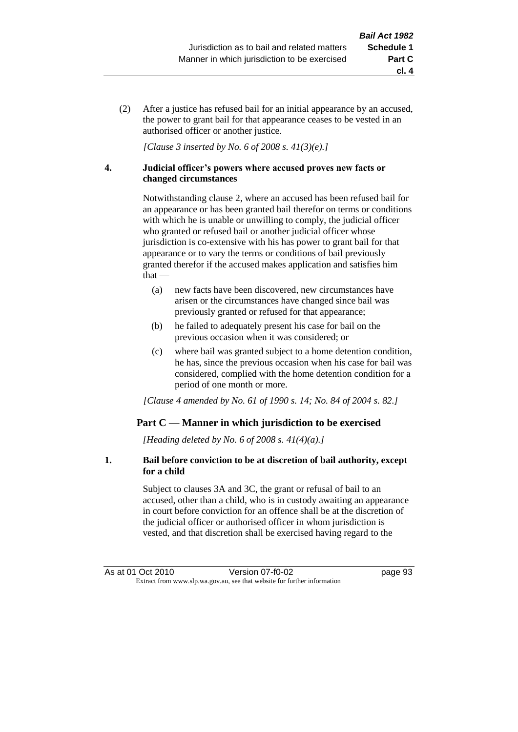(2) After a justice has refused bail for an initial appearance by an accused, the power to grant bail for that appearance ceases to be vested in an authorised officer or another justice.

*[Clause 3 inserted by No. 6 of 2008 s. 41(3)(e).]*

#### **4. Judicial officer's powers where accused proves new facts or changed circumstances**

Notwithstanding clause 2, where an accused has been refused bail for an appearance or has been granted bail therefor on terms or conditions with which he is unable or unwilling to comply, the judicial officer who granted or refused bail or another judicial officer whose jurisdiction is co-extensive with his has power to grant bail for that appearance or to vary the terms or conditions of bail previously granted therefor if the accused makes application and satisfies him  $that -$ 

- (a) new facts have been discovered, new circumstances have arisen or the circumstances have changed since bail was previously granted or refused for that appearance;
- (b) he failed to adequately present his case for bail on the previous occasion when it was considered; or
- (c) where bail was granted subject to a home detention condition, he has, since the previous occasion when his case for bail was considered, complied with the home detention condition for a period of one month or more.

*[Clause 4 amended by No. 61 of 1990 s. 14; No. 84 of 2004 s. 82.]*

# **Part C — Manner in which jurisdiction to be exercised**

*[Heading deleted by No. 6 of 2008 s. 41(4)(a).]*

#### **1. Bail before conviction to be at discretion of bail authority, except for a child**

Subject to clauses 3A and 3C, the grant or refusal of bail to an accused, other than a child, who is in custody awaiting an appearance in court before conviction for an offence shall be at the discretion of the judicial officer or authorised officer in whom jurisdiction is vested, and that discretion shall be exercised having regard to the

**cl. 4**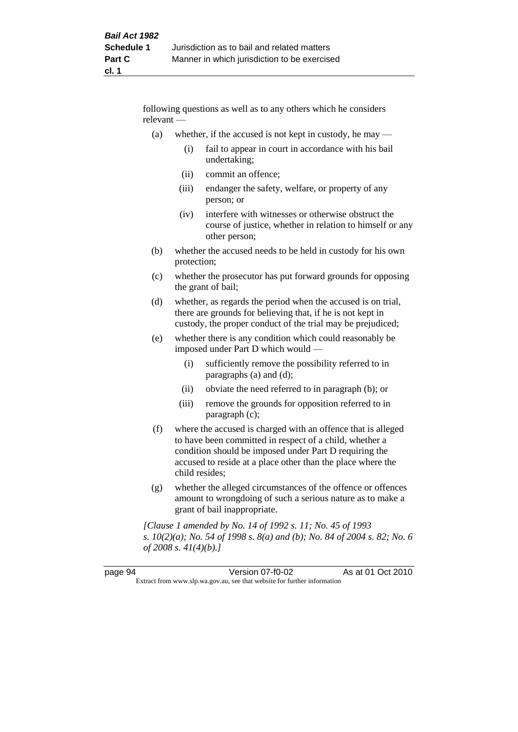following questions as well as to any others which he considers relevant —

- (a) whether, if the accused is not kept in custody, he may
	- (i) fail to appear in court in accordance with his bail undertaking;
	- (ii) commit an offence;
	- (iii) endanger the safety, welfare, or property of any person; or
	- (iv) interfere with witnesses or otherwise obstruct the course of justice, whether in relation to himself or any other person;
- (b) whether the accused needs to be held in custody for his own protection;
- (c) whether the prosecutor has put forward grounds for opposing the grant of bail;
- (d) whether, as regards the period when the accused is on trial, there are grounds for believing that, if he is not kept in custody, the proper conduct of the trial may be prejudiced;
- (e) whether there is any condition which could reasonably be imposed under Part D which would —
	- (i) sufficiently remove the possibility referred to in paragraphs (a) and (d);
	- (ii) obviate the need referred to in paragraph (b); or
	- (iii) remove the grounds for opposition referred to in paragraph (c);
- (f) where the accused is charged with an offence that is alleged to have been committed in respect of a child, whether a condition should be imposed under Part D requiring the accused to reside at a place other than the place where the child resides;
- (g) whether the alleged circumstances of the offence or offences amount to wrongdoing of such a serious nature as to make a grant of bail inappropriate.

*[Clause 1 amended by No. 14 of 1992 s. 11; No. 45 of 1993 s. 10(2)(a); No. 54 of 1998 s. 8(a) and (b); No. 84 of 2004 s. 82; No. 6 of 2008 s. 41(4)(b).]*

| page 94                                                                  | Version 07-f0-02 | As at 01 Oct 2010 |
|--------------------------------------------------------------------------|------------------|-------------------|
| Extract from www.slp.wa.gov.au, see that website for further information |                  |                   |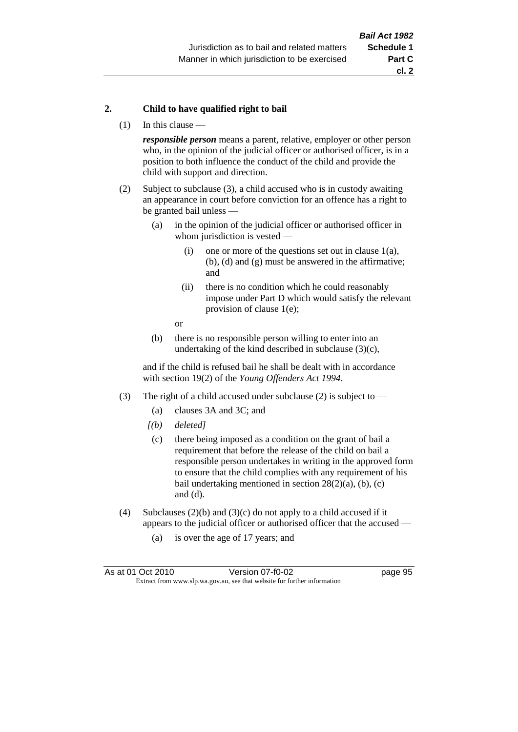#### **2. Child to have qualified right to bail**

(1) In this clause —

*responsible person* means a parent, relative, employer or other person who, in the opinion of the judicial officer or authorised officer, is in a position to both influence the conduct of the child and provide the child with support and direction.

- (2) Subject to subclause (3), a child accused who is in custody awaiting an appearance in court before conviction for an offence has a right to be granted bail unless —
	- (a) in the opinion of the judicial officer or authorised officer in whom jurisdiction is vested —
		- (i) one or more of the questions set out in clause  $1(a)$ , (b), (d) and (g) must be answered in the affirmative; and
		- (ii) there is no condition which he could reasonably impose under Part D which would satisfy the relevant provision of clause 1(e);
		- or
	- (b) there is no responsible person willing to enter into an undertaking of the kind described in subclause  $(3)(c)$ ,

and if the child is refused bail he shall be dealt with in accordance with section 19(2) of the *Young Offenders Act 1994*.

- (3) The right of a child accused under subclause (2) is subject to
	- (a) clauses 3A and 3C; and
	- *[(b) deleted]*
	- (c) there being imposed as a condition on the grant of bail a requirement that before the release of the child on bail a responsible person undertakes in writing in the approved form to ensure that the child complies with any requirement of his bail undertaking mentioned in section  $28(2)(a)$ , (b), (c) and (d).
- (4) Subclauses (2)(b) and (3)(c) do not apply to a child accused if it appears to the judicial officer or authorised officer that the accused —
	- (a) is over the age of 17 years; and

| As at 01 Oct 2010                                                        | Version 07-f0-02 | page 95 |
|--------------------------------------------------------------------------|------------------|---------|
| Extract from www.slp.wa.gov.au, see that website for further information |                  |         |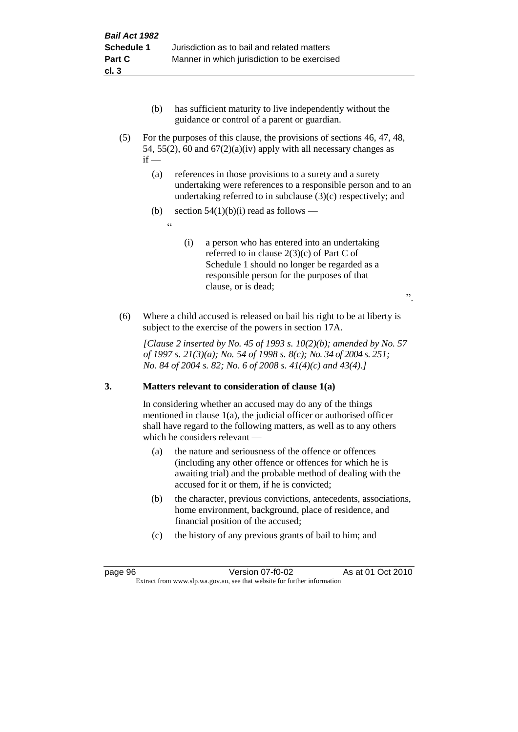- (b) has sufficient maturity to live independently without the guidance or control of a parent or guardian.
- (5) For the purposes of this clause, the provisions of sections 46, 47, 48, 54, 55(2), 60 and  $67(2)(a)(iv)$  apply with all necessary changes as  $if -$ 
	- (a) references in those provisions to a surety and a surety undertaking were references to a responsible person and to an undertaking referred to in subclause (3)(c) respectively; and
	- (b) section  $54(1)(b)(i)$  read as follows
		- <u>، د</u>
- (i) a person who has entered into an undertaking referred to in clause 2(3)(c) of Part C of Schedule 1 should no longer be regarded as a responsible person for the purposes of that clause, or is dead;

".

(6) Where a child accused is released on bail his right to be at liberty is subject to the exercise of the powers in section 17A.

*[Clause 2 inserted by No. 45 of 1993 s. 10(2)(b); amended by No. 57 of 1997 s. 21(3)(a); No. 54 of 1998 s. 8(c); No. 34 of 2004 s. 251; No. 84 of 2004 s. 82; No. 6 of 2008 s. 41(4)(c) and 43(4).]*

# **3. Matters relevant to consideration of clause 1(a)**

In considering whether an accused may do any of the things mentioned in clause 1(a), the judicial officer or authorised officer shall have regard to the following matters, as well as to any others which he considers relevant —

- (a) the nature and seriousness of the offence or offences (including any other offence or offences for which he is awaiting trial) and the probable method of dealing with the accused for it or them, if he is convicted;
- (b) the character, previous convictions, antecedents, associations, home environment, background, place of residence, and financial position of the accused;
- (c) the history of any previous grants of bail to him; and

page 96 Version 07-f0-02 As at 01 Oct 2010 Extract from www.slp.wa.gov.au, see that website for further information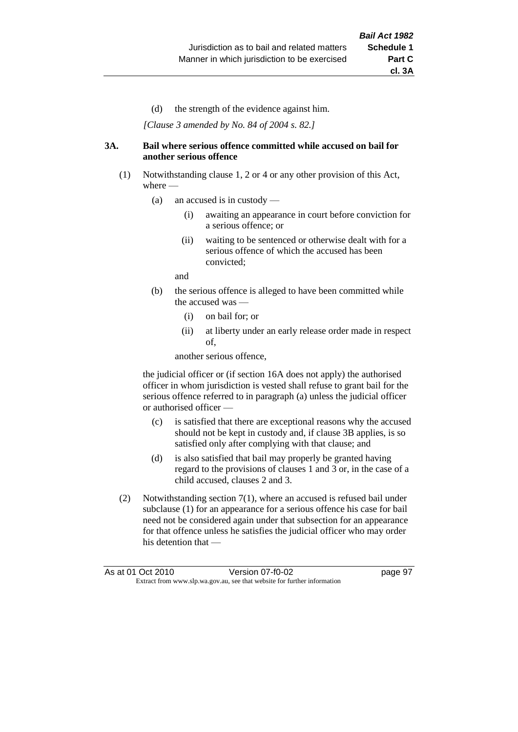(d) the strength of the evidence against him.

*[Clause 3 amended by No. 84 of 2004 s. 82.]*

#### **3A. Bail where serious offence committed while accused on bail for another serious offence**

- (1) Notwithstanding clause 1, 2 or 4 or any other provision of this Act, where —
	- (a) an accused is in custody
		- (i) awaiting an appearance in court before conviction for a serious offence; or
		- (ii) waiting to be sentenced or otherwise dealt with for a serious offence of which the accused has been convicted;

and

- (b) the serious offence is alleged to have been committed while the accused was —
	- (i) on bail for; or
	- (ii) at liberty under an early release order made in respect of,

another serious offence,

the judicial officer or (if section 16A does not apply) the authorised officer in whom jurisdiction is vested shall refuse to grant bail for the serious offence referred to in paragraph (a) unless the judicial officer or authorised officer —

- (c) is satisfied that there are exceptional reasons why the accused should not be kept in custody and, if clause 3B applies, is so satisfied only after complying with that clause; and
- (d) is also satisfied that bail may properly be granted having regard to the provisions of clauses 1 and 3 or, in the case of a child accused, clauses 2 and 3.
- (2) Notwithstanding section 7(1), where an accused is refused bail under subclause (1) for an appearance for a serious offence his case for bail need not be considered again under that subsection for an appearance for that offence unless he satisfies the judicial officer who may order his detention that —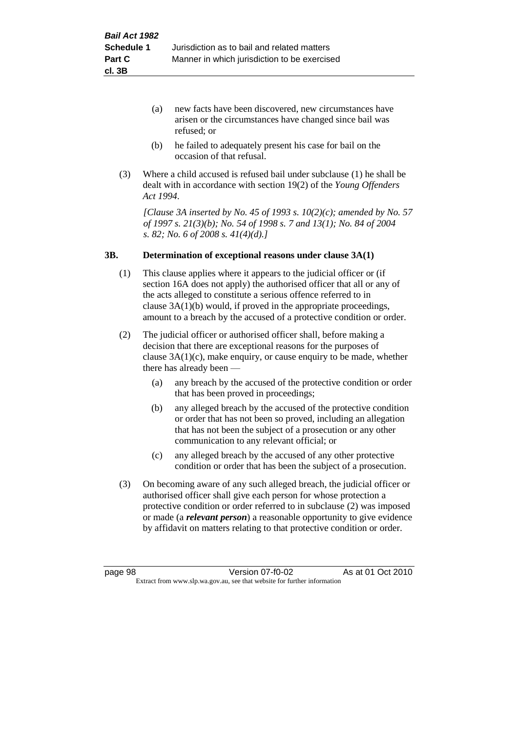- (a) new facts have been discovered, new circumstances have arisen or the circumstances have changed since bail was refused; or
- (b) he failed to adequately present his case for bail on the occasion of that refusal.
- (3) Where a child accused is refused bail under subclause (1) he shall be dealt with in accordance with section 19(2) of the *Young Offenders Act 1994*.

*[Clause 3A inserted by No. 45 of 1993 s. 10(2)(c); amended by No. 57 of 1997 s. 21(3)(b); No. 54 of 1998 s. 7 and 13(1); No. 84 of 2004 s. 82; No. 6 of 2008 s. 41(4)(d).]*

#### **3B. Determination of exceptional reasons under clause 3A(1)**

- (1) This clause applies where it appears to the judicial officer or (if section 16A does not apply) the authorised officer that all or any of the acts alleged to constitute a serious offence referred to in clause 3A(1)(b) would, if proved in the appropriate proceedings, amount to a breach by the accused of a protective condition or order.
- (2) The judicial officer or authorised officer shall, before making a decision that there are exceptional reasons for the purposes of clause  $3A(1)(c)$ , make enquiry, or cause enquiry to be made, whether there has already been —
	- (a) any breach by the accused of the protective condition or order that has been proved in proceedings;
	- (b) any alleged breach by the accused of the protective condition or order that has not been so proved, including an allegation that has not been the subject of a prosecution or any other communication to any relevant official; or
	- (c) any alleged breach by the accused of any other protective condition or order that has been the subject of a prosecution.
- (3) On becoming aware of any such alleged breach, the judicial officer or authorised officer shall give each person for whose protection a protective condition or order referred to in subclause (2) was imposed or made (a *relevant person*) a reasonable opportunity to give evidence by affidavit on matters relating to that protective condition or order.

page 98 Version 07-f0-02 As at 01 Oct 2010 Extract from www.slp.wa.gov.au, see that website for further information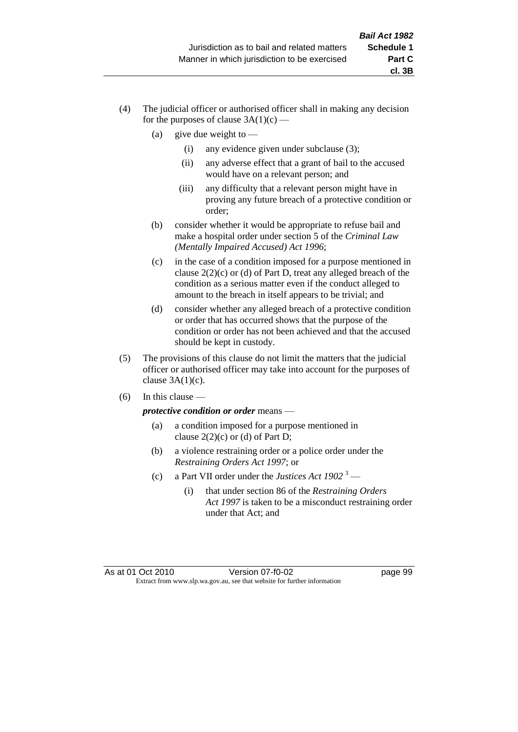- (4) The judicial officer or authorised officer shall in making any decision for the purposes of clause  $3A(1)(c)$  —
	- (a) give due weight to  $-$ 
		- (i) any evidence given under subclause (3);
		- (ii) any adverse effect that a grant of bail to the accused would have on a relevant person; and
		- (iii) any difficulty that a relevant person might have in proving any future breach of a protective condition or order;
	- (b) consider whether it would be appropriate to refuse bail and make a hospital order under section 5 of the *Criminal Law (Mentally Impaired Accused) Act 1996*;
	- (c) in the case of a condition imposed for a purpose mentioned in clause 2(2)(c) or (d) of Part D, treat any alleged breach of the condition as a serious matter even if the conduct alleged to amount to the breach in itself appears to be trivial; and
	- (d) consider whether any alleged breach of a protective condition or order that has occurred shows that the purpose of the condition or order has not been achieved and that the accused should be kept in custody.
- (5) The provisions of this clause do not limit the matters that the judicial officer or authorised officer may take into account for the purposes of clause  $3A(1)(c)$ .
- $(6)$  In this clause —

*protective condition or order* means —

- (a) a condition imposed for a purpose mentioned in clause  $2(2)(c)$  or (d) of Part D;
- (b) a violence restraining order or a police order under the *Restraining Orders Act 1997*; or
- (c) a Part VII order under the *Justices Act 1902* <sup>3</sup>
	- (i) that under section 86 of the *Restraining Orders Act 1997* is taken to be a misconduct restraining order under that Act; and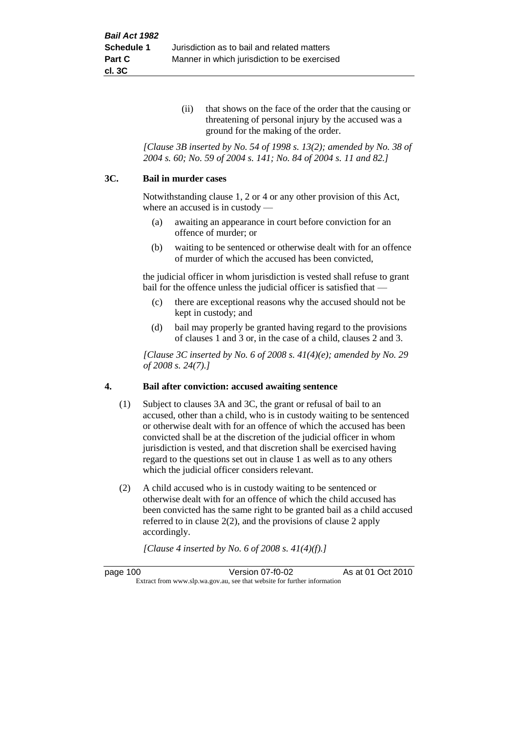(ii) that shows on the face of the order that the causing or threatening of personal injury by the accused was a ground for the making of the order.

*[Clause 3B inserted by No. 54 of 1998 s. 13(2); amended by No. 38 of 2004 s. 60; No. 59 of 2004 s. 141; No. 84 of 2004 s. 11 and 82.]*

#### **3C. Bail in murder cases**

Notwithstanding clause 1, 2 or 4 or any other provision of this Act, where an accused is in custody —

- (a) awaiting an appearance in court before conviction for an offence of murder; or
- (b) waiting to be sentenced or otherwise dealt with for an offence of murder of which the accused has been convicted,

the judicial officer in whom jurisdiction is vested shall refuse to grant bail for the offence unless the judicial officer is satisfied that —

- (c) there are exceptional reasons why the accused should not be kept in custody; and
- (d) bail may properly be granted having regard to the provisions of clauses 1 and 3 or, in the case of a child, clauses 2 and 3.

*[Clause 3C inserted by No. 6 of 2008 s. 41(4)(e); amended by No. 29 of 2008 s. 24(7).]*

#### **4. Bail after conviction: accused awaiting sentence**

- (1) Subject to clauses 3A and 3C, the grant or refusal of bail to an accused, other than a child, who is in custody waiting to be sentenced or otherwise dealt with for an offence of which the accused has been convicted shall be at the discretion of the judicial officer in whom jurisdiction is vested, and that discretion shall be exercised having regard to the questions set out in clause 1 as well as to any others which the judicial officer considers relevant.
- (2) A child accused who is in custody waiting to be sentenced or otherwise dealt with for an offence of which the child accused has been convicted has the same right to be granted bail as a child accused referred to in clause 2(2), and the provisions of clause 2 apply accordingly.

*[Clause 4 inserted by No. 6 of 2008 s. 41(4)(f).]*

page 100 Version 07-f0-02 As at 01 Oct 2010 Extract from www.slp.wa.gov.au, see that website for further information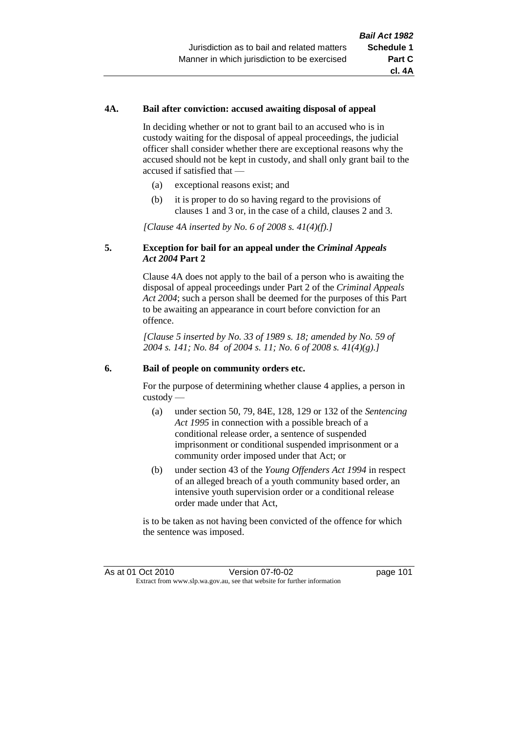### **4A. Bail after conviction: accused awaiting disposal of appeal**

In deciding whether or not to grant bail to an accused who is in custody waiting for the disposal of appeal proceedings, the judicial officer shall consider whether there are exceptional reasons why the accused should not be kept in custody, and shall only grant bail to the accused if satisfied that —

- (a) exceptional reasons exist; and
- (b) it is proper to do so having regard to the provisions of clauses 1 and 3 or, in the case of a child, clauses 2 and 3.

*[Clause 4A inserted by No. 6 of 2008 s. 41(4)(f).]*

### **5. Exception for bail for an appeal under the** *Criminal Appeals Act 2004* **Part 2**

Clause 4A does not apply to the bail of a person who is awaiting the disposal of appeal proceedings under Part 2 of the *Criminal Appeals Act 2004*; such a person shall be deemed for the purposes of this Part to be awaiting an appearance in court before conviction for an offence.

*[Clause 5 inserted by No. 33 of 1989 s. 18; amended by No. 59 of 2004 s. 141; No. 84 of 2004 s. 11; No. 6 of 2008 s. 41(4)(g).]*

#### **6. Bail of people on community orders etc.**

For the purpose of determining whether clause 4 applies, a person in custody —

- (a) under section 50, 79, 84E, 128, 129 or 132 of the *Sentencing Act 1995* in connection with a possible breach of a conditional release order, a sentence of suspended imprisonment or conditional suspended imprisonment or a community order imposed under that Act; or
- (b) under section 43 of the *Young Offenders Act 1994* in respect of an alleged breach of a youth community based order, an intensive youth supervision order or a conditional release order made under that Act,

is to be taken as not having been convicted of the offence for which the sentence was imposed.

As at 01 Oct 2010 **Version 07-f0-02** page 101 Extract from www.slp.wa.gov.au, see that website for further information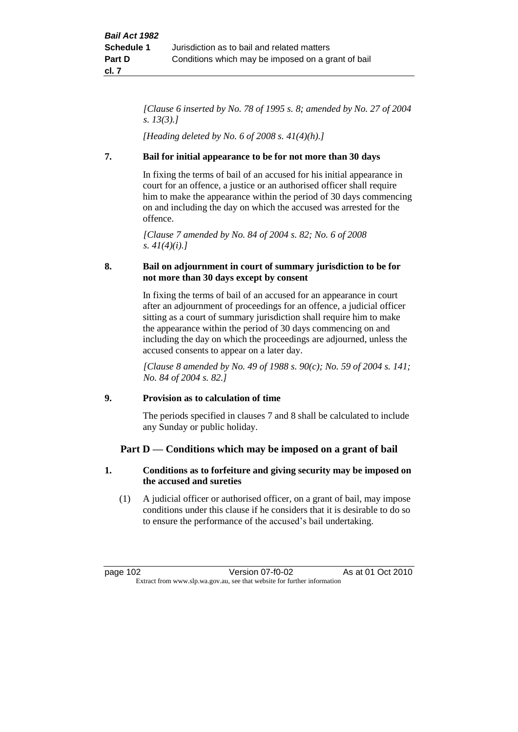*[Clause 6 inserted by No. 78 of 1995 s. 8; amended by No. 27 of 2004 s. 13(3).]*

*[Heading deleted by No. 6 of 2008 s. 41(4)(h).]*

### **7. Bail for initial appearance to be for not more than 30 days**

In fixing the terms of bail of an accused for his initial appearance in court for an offence, a justice or an authorised officer shall require him to make the appearance within the period of 30 days commencing on and including the day on which the accused was arrested for the offence.

*[Clause 7 amended by No. 84 of 2004 s. 82; No. 6 of 2008 s. 41(4)(i).]*

### **8. Bail on adjournment in court of summary jurisdiction to be for not more than 30 days except by consent**

In fixing the terms of bail of an accused for an appearance in court after an adjournment of proceedings for an offence, a judicial officer sitting as a court of summary jurisdiction shall require him to make the appearance within the period of 30 days commencing on and including the day on which the proceedings are adjourned, unless the accused consents to appear on a later day.

*[Clause 8 amended by No. 49 of 1988 s. 90(c); No. 59 of 2004 s. 141; No. 84 of 2004 s. 82.]*

## **9. Provision as to calculation of time**

The periods specified in clauses 7 and 8 shall be calculated to include any Sunday or public holiday.

## **Part D — Conditions which may be imposed on a grant of bail**

### **1. Conditions as to forfeiture and giving security may be imposed on the accused and sureties**

(1) A judicial officer or authorised officer, on a grant of bail, may impose conditions under this clause if he considers that it is desirable to do so to ensure the performance of the accused's bail undertaking.

page 102 Version 07-f0-02 As at 01 Oct 2010 Extract from www.slp.wa.gov.au, see that website for further information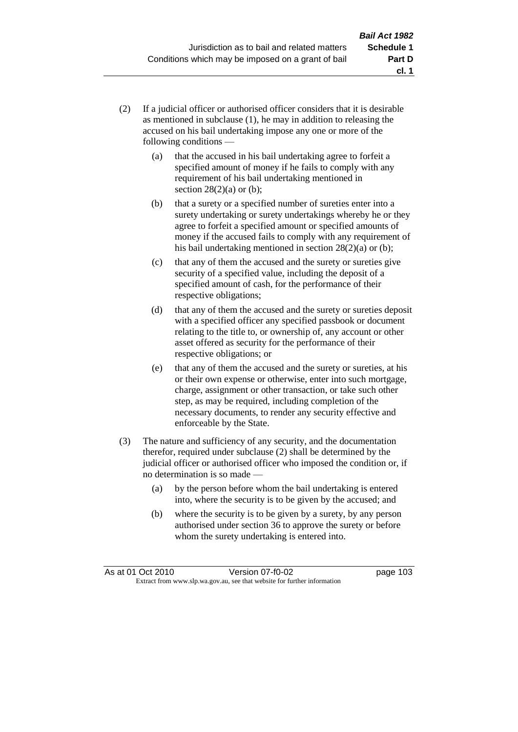- (2) If a judicial officer or authorised officer considers that it is desirable as mentioned in subclause (1), he may in addition to releasing the accused on his bail undertaking impose any one or more of the following conditions —
	- (a) that the accused in his bail undertaking agree to forfeit a specified amount of money if he fails to comply with any requirement of his bail undertaking mentioned in section  $28(2)(a)$  or (b);
	- (b) that a surety or a specified number of sureties enter into a surety undertaking or surety undertakings whereby he or they agree to forfeit a specified amount or specified amounts of money if the accused fails to comply with any requirement of his bail undertaking mentioned in section 28(2)(a) or (b);
	- (c) that any of them the accused and the surety or sureties give security of a specified value, including the deposit of a specified amount of cash, for the performance of their respective obligations;
	- (d) that any of them the accused and the surety or sureties deposit with a specified officer any specified passbook or document relating to the title to, or ownership of, any account or other asset offered as security for the performance of their respective obligations; or
	- (e) that any of them the accused and the surety or sureties, at his or their own expense or otherwise, enter into such mortgage, charge, assignment or other transaction, or take such other step, as may be required, including completion of the necessary documents, to render any security effective and enforceable by the State.
- (3) The nature and sufficiency of any security, and the documentation therefor, required under subclause (2) shall be determined by the judicial officer or authorised officer who imposed the condition or, if no determination is so made —
	- (a) by the person before whom the bail undertaking is entered into, where the security is to be given by the accused; and
	- (b) where the security is to be given by a surety, by any person authorised under section 36 to approve the surety or before whom the surety undertaking is entered into.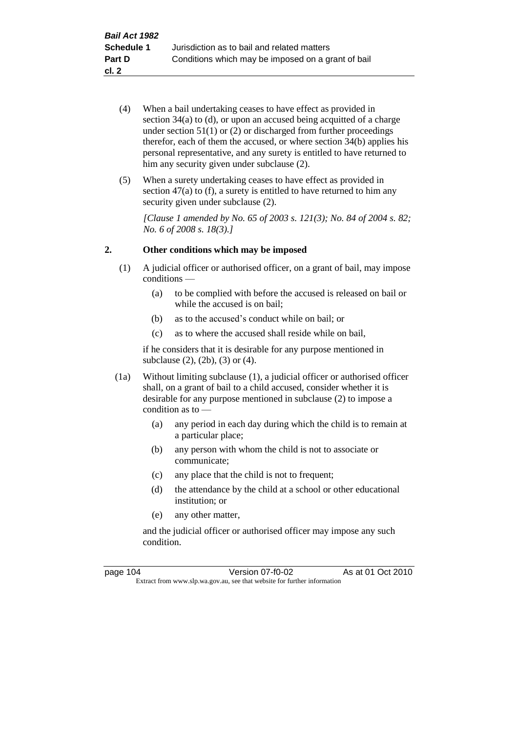- (4) When a bail undertaking ceases to have effect as provided in section 34(a) to (d), or upon an accused being acquitted of a charge under section  $51(1)$  or  $(2)$  or discharged from further proceedings therefor, each of them the accused, or where section  $34(b)$  applies his personal representative, and any surety is entitled to have returned to him any security given under subclause  $(2)$ .
- (5) When a surety undertaking ceases to have effect as provided in section 47(a) to (f), a surety is entitled to have returned to him any security given under subclause  $(2)$ .

*[Clause 1 amended by No. 65 of 2003 s. 121(3); No. 84 of 2004 s. 82; No. 6 of 2008 s. 18(3).]*

### **2. Other conditions which may be imposed**

- (1) A judicial officer or authorised officer, on a grant of bail, may impose conditions —
	- (a) to be complied with before the accused is released on bail or while the accused is on bail;
	- (b) as to the accused's conduct while on bail; or
	- (c) as to where the accused shall reside while on bail,

if he considers that it is desirable for any purpose mentioned in subclause (2), (2b), (3) or (4).

- (1a) Without limiting subclause (1), a judicial officer or authorised officer shall, on a grant of bail to a child accused, consider whether it is desirable for any purpose mentioned in subclause (2) to impose a condition as to —
	- (a) any period in each day during which the child is to remain at a particular place;
	- (b) any person with whom the child is not to associate or communicate;
	- (c) any place that the child is not to frequent;
	- (d) the attendance by the child at a school or other educational institution; or
	- (e) any other matter,

and the judicial officer or authorised officer may impose any such condition.

| page 104 | Version 07-f0-02                                                         | As at 01 Oct 2010 |
|----------|--------------------------------------------------------------------------|-------------------|
|          | Extract from www.slp.wa.gov.au, see that website for further information |                   |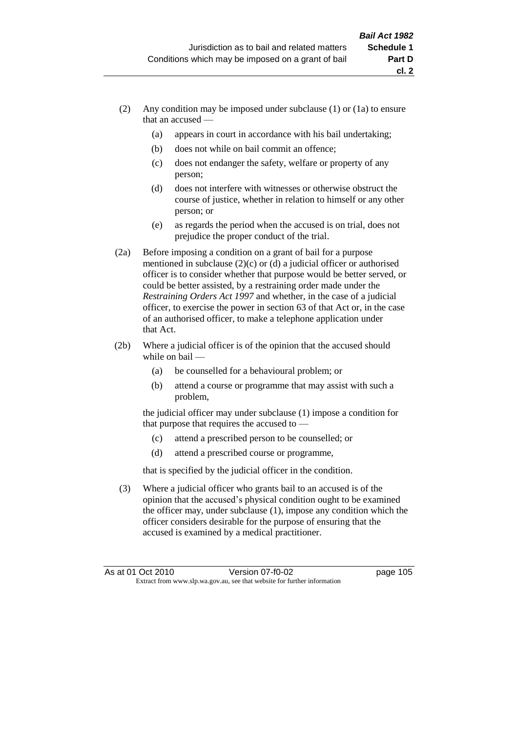- (2) Any condition may be imposed under subclause (1) or (1a) to ensure that an accused —
	- (a) appears in court in accordance with his bail undertaking;
	- (b) does not while on bail commit an offence;
	- (c) does not endanger the safety, welfare or property of any person;
	- (d) does not interfere with witnesses or otherwise obstruct the course of justice, whether in relation to himself or any other person; or
	- (e) as regards the period when the accused is on trial, does not prejudice the proper conduct of the trial.
- (2a) Before imposing a condition on a grant of bail for a purpose mentioned in subclause (2)(c) or (d) a judicial officer or authorised officer is to consider whether that purpose would be better served, or could be better assisted, by a restraining order made under the *Restraining Orders Act 1997* and whether, in the case of a judicial officer, to exercise the power in section 63 of that Act or, in the case of an authorised officer, to make a telephone application under that Act.
- (2b) Where a judicial officer is of the opinion that the accused should while on bail —
	- (a) be counselled for a behavioural problem; or
	- (b) attend a course or programme that may assist with such a problem,

the judicial officer may under subclause (1) impose a condition for that purpose that requires the accused to —

- (c) attend a prescribed person to be counselled; or
- (d) attend a prescribed course or programme,

that is specified by the judicial officer in the condition.

(3) Where a judicial officer who grants bail to an accused is of the opinion that the accused's physical condition ought to be examined the officer may, under subclause (1), impose any condition which the officer considers desirable for the purpose of ensuring that the accused is examined by a medical practitioner.

**cl. 2**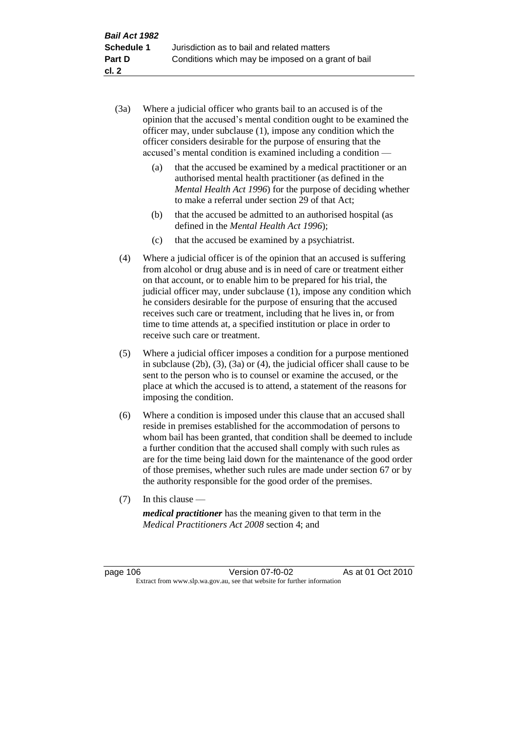- (3a) Where a judicial officer who grants bail to an accused is of the opinion that the accused's mental condition ought to be examined the officer may, under subclause (1), impose any condition which the officer considers desirable for the purpose of ensuring that the accused's mental condition is examined including a condition —
	- (a) that the accused be examined by a medical practitioner or an authorised mental health practitioner (as defined in the *Mental Health Act 1996*) for the purpose of deciding whether to make a referral under section 29 of that Act;
	- (b) that the accused be admitted to an authorised hospital (as defined in the *Mental Health Act 1996*);
	- (c) that the accused be examined by a psychiatrist.
- (4) Where a judicial officer is of the opinion that an accused is suffering from alcohol or drug abuse and is in need of care or treatment either on that account, or to enable him to be prepared for his trial, the judicial officer may, under subclause (1), impose any condition which he considers desirable for the purpose of ensuring that the accused receives such care or treatment, including that he lives in, or from time to time attends at, a specified institution or place in order to receive such care or treatment.
- (5) Where a judicial officer imposes a condition for a purpose mentioned in subclause (2b), (3), (3a) or (4), the judicial officer shall cause to be sent to the person who is to counsel or examine the accused, or the place at which the accused is to attend, a statement of the reasons for imposing the condition.
- (6) Where a condition is imposed under this clause that an accused shall reside in premises established for the accommodation of persons to whom bail has been granted, that condition shall be deemed to include a further condition that the accused shall comply with such rules as are for the time being laid down for the maintenance of the good order of those premises, whether such rules are made under section 67 or by the authority responsible for the good order of the premises.
- (7) In this clause —

*medical practitioner* has the meaning given to that term in the *Medical Practitioners Act 2008* section 4; and

page 106 Version 07-f0-02 As at 01 Oct 2010 Extract from www.slp.wa.gov.au, see that website for further information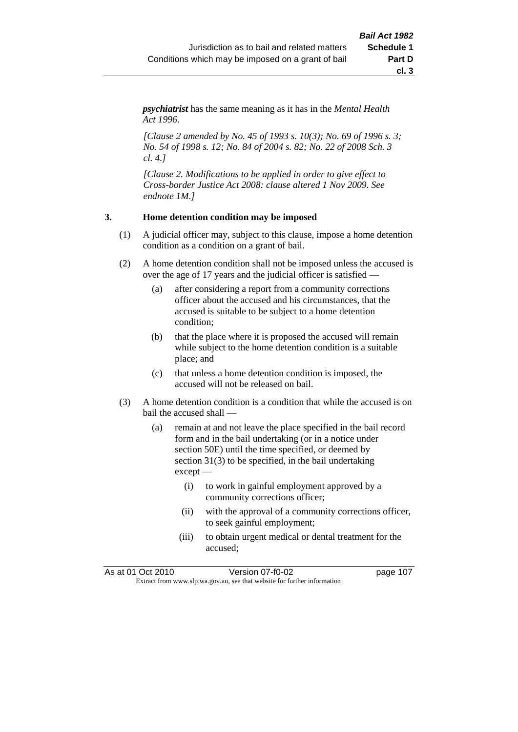*psychiatrist* has the same meaning as it has in the *Mental Health Act 1996*.

*[Clause 2 amended by No. 45 of 1993 s. 10(3); No. 69 of 1996 s. 3; No. 54 of 1998 s. 12; No. 84 of 2004 s. 82; No. 22 of 2008 Sch. 3 cl. 4.]*

*[Clause 2. Modifications to be applied in order to give effect to Cross-border Justice Act 2008: clause altered 1 Nov 2009. See endnote 1M.]*

### **3. Home detention condition may be imposed**

- (1) A judicial officer may, subject to this clause, impose a home detention condition as a condition on a grant of bail.
- (2) A home detention condition shall not be imposed unless the accused is over the age of 17 years and the judicial officer is satisfied —
	- (a) after considering a report from a community corrections officer about the accused and his circumstances, that the accused is suitable to be subject to a home detention condition;
	- (b) that the place where it is proposed the accused will remain while subject to the home detention condition is a suitable place; and
	- (c) that unless a home detention condition is imposed, the accused will not be released on bail.
- (3) A home detention condition is a condition that while the accused is on bail the accused shall —
	- (a) remain at and not leave the place specified in the bail record form and in the bail undertaking (or in a notice under section 50E) until the time specified, or deemed by section 31(3) to be specified, in the bail undertaking except —
		- (i) to work in gainful employment approved by a community corrections officer;
		- (ii) with the approval of a community corrections officer, to seek gainful employment;
		- (iii) to obtain urgent medical or dental treatment for the accused;

As at 01 Oct 2010 Version 07-f0-02 page 107 Extract from www.slp.wa.gov.au, see that website for further information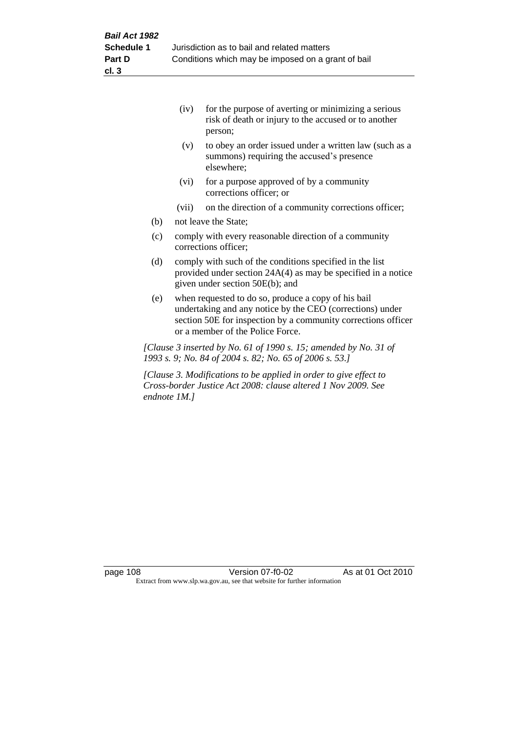|     | (iv)  | for the purpose of averting or minimizing a serious<br>risk of death or injury to the accused or to another<br>person; |
|-----|-------|------------------------------------------------------------------------------------------------------------------------|
|     | (v)   | to obey an order issued under a written law (such as a<br>summons) requiring the accused's presence<br>elsewhere;      |
|     | (vi)  | for a purpose approved of by a community<br>corrections officer; or                                                    |
|     | (vii) | on the direction of a community corrections officer;                                                                   |
| (b) |       | not leave the State;                                                                                                   |
|     |       |                                                                                                                        |

- (c) comply with every reasonable direction of a community corrections officer;
- (d) comply with such of the conditions specified in the list provided under section 24A(4) as may be specified in a notice given under section 50E(b); and
- (e) when requested to do so, produce a copy of his bail undertaking and any notice by the CEO (corrections) under section 50E for inspection by a community corrections officer or a member of the Police Force.

*[Clause 3 inserted by No. 61 of 1990 s. 15; amended by No. 31 of 1993 s. 9; No. 84 of 2004 s. 82; No. 65 of 2006 s. 53.]*

*[Clause 3. Modifications to be applied in order to give effect to Cross-border Justice Act 2008: clause altered 1 Nov 2009. See endnote 1M.]*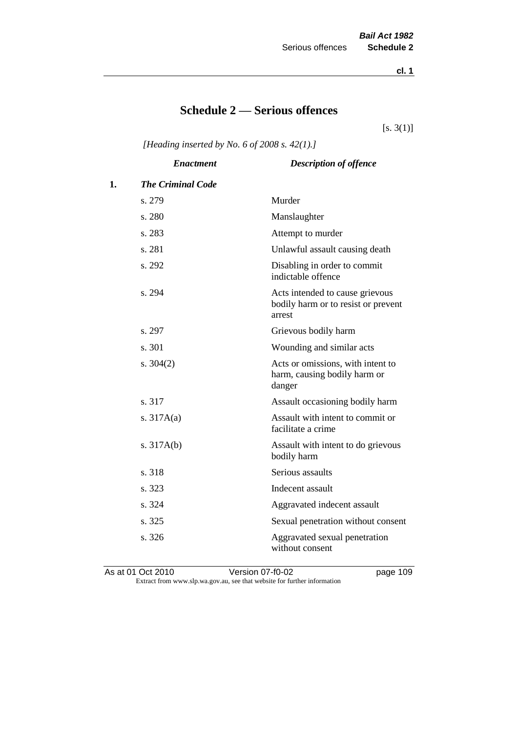**cl. 1**

# **Schedule 2 — Serious offences**

 $[s. 3(1)]$ 

*[Heading inserted by No. 6 of 2008 s. 42(1).]*

|    | <b>Enactment</b>         | <b>Description of offence</b>                                                    |
|----|--------------------------|----------------------------------------------------------------------------------|
| 1. | <b>The Criminal Code</b> |                                                                                  |
|    | s. 279                   | Murder                                                                           |
|    | s. 280                   | Manslaughter                                                                     |
|    | s. 283                   | Attempt to murder                                                                |
|    | s. 281                   | Unlawful assault causing death                                                   |
|    | s. 292                   | Disabling in order to commit<br>indictable offence                               |
|    | s. 294                   | Acts intended to cause grievous<br>bodily harm or to resist or prevent<br>arrest |
|    | s. 297                   | Grievous bodily harm                                                             |
|    | s. 301                   | Wounding and similar acts                                                        |
|    | s. $304(2)$              | Acts or omissions, with intent to<br>harm, causing bodily harm or<br>danger      |
|    | s. 317                   | Assault occasioning bodily harm                                                  |
|    | s. $317A(a)$             | Assault with intent to commit or<br>facilitate a crime                           |
|    | s. $317A(b)$             | Assault with intent to do grievous<br>bodily harm                                |
|    | s. 318                   | Serious assaults                                                                 |
|    | s. 323                   | Indecent assault                                                                 |
|    | s. 324                   | Aggravated indecent assault                                                      |
|    | s. 325                   | Sexual penetration without consent                                               |
|    | s. 326                   | Aggravated sexual penetration<br>without consent                                 |
|    |                          |                                                                                  |

As at 01 Oct 2010 Version 07-f0-02 page 109 Extract from www.slp.wa.gov.au, see that website for further information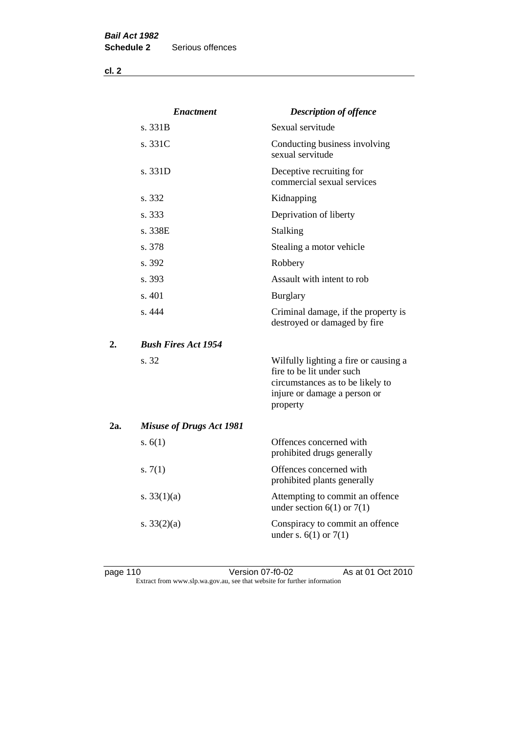**cl. 2**

|     | <b>Enactment</b>                | <b>Description of offence</b>                                                                                                                      |
|-----|---------------------------------|----------------------------------------------------------------------------------------------------------------------------------------------------|
|     | s. 331B                         | Sexual servitude                                                                                                                                   |
|     | s. 331C                         | Conducting business involving<br>sexual servitude                                                                                                  |
|     | s. 331D                         | Deceptive recruiting for<br>commercial sexual services                                                                                             |
|     | s. 332                          | Kidnapping                                                                                                                                         |
|     | s. 333                          | Deprivation of liberty                                                                                                                             |
|     | s. 338E                         | Stalking                                                                                                                                           |
|     | s. 378                          | Stealing a motor vehicle                                                                                                                           |
|     | s. 392                          | Robbery                                                                                                                                            |
|     | s. 393                          | Assault with intent to rob                                                                                                                         |
|     | s. 401                          | <b>Burglary</b>                                                                                                                                    |
|     | s.444                           | Criminal damage, if the property is<br>destroyed or damaged by fire                                                                                |
| 2.  | <b>Bush Fires Act 1954</b>      |                                                                                                                                                    |
|     | s. 32                           | Wilfully lighting a fire or causing a<br>fire to be lit under such<br>circumstances as to be likely to<br>injure or damage a person or<br>property |
| 2a. | <b>Misuse of Drugs Act 1981</b> |                                                                                                                                                    |
|     | s. $6(1)$                       | Offences concerned with<br>prohibited drugs generally                                                                                              |
|     | s. $7(1)$                       | Offences concerned with<br>prohibited plants generally                                                                                             |
|     | s. $33(1)(a)$                   | Attempting to commit an offence<br>under section $6(1)$ or $7(1)$                                                                                  |
|     | s. $33(2)(a)$                   | Conspiracy to commit an offence<br>under s. $6(1)$ or $7(1)$                                                                                       |

page 110 Version 07-f0-02 As at 01 Oct 2010 Extract from www.slp.wa.gov.au, see that website for further information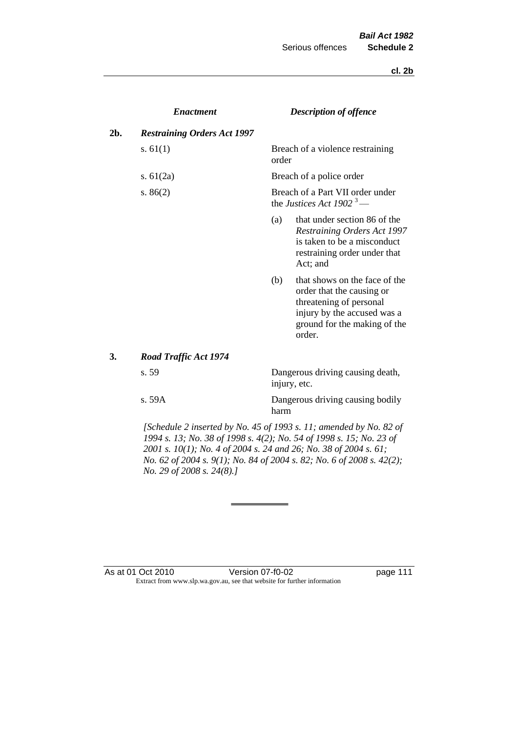**cl. 2b**

|     | <b>Enactment</b>                   |       | <b>Description of offence</b>                                                                                                                                  |
|-----|------------------------------------|-------|----------------------------------------------------------------------------------------------------------------------------------------------------------------|
| 2b. | <b>Restraining Orders Act 1997</b> |       |                                                                                                                                                                |
|     | s. $61(1)$                         | order | Breach of a violence restraining                                                                                                                               |
|     | s. $61(2a)$                        |       | Breach of a police order                                                                                                                                       |
|     | s. $86(2)$                         |       | Breach of a Part VII order under<br>the Justices Act 1902 <sup>3</sup> —                                                                                       |
|     |                                    | (a)   | that under section 86 of the<br><b>Restraining Orders Act 1997</b><br>is taken to be a misconduct<br>restraining order under that<br>Act; and                  |
|     |                                    | (b)   | that shows on the face of the<br>order that the causing or<br>threatening of personal<br>injury by the accused was a<br>ground for the making of the<br>order. |
| 3.  | <b>Road Traffic Act 1974</b>       |       |                                                                                                                                                                |
|     | s. 59                              |       | Dangerous driving causing death,<br>injury, etc.                                                                                                               |
|     | s.59A                              | harm  | Dangerous driving causing bodily                                                                                                                               |

*[Schedule 2 inserted by No. 45 of 1993 s. 11; amended by No. 82 of 1994 s. 13; No. 38 of 1998 s. 4(2); No. 54 of 1998 s. 15; No. 23 of 2001 s. 10(1); No. 4 of 2004 s. 24 and 26; No. 38 of 2004 s. 61; No. 62 of 2004 s. 9(1); No. 84 of 2004 s. 82; No. 6 of 2008 s. 42(2); No. 29 of 2008 s. 24(8).]* 

#### As at 01 Oct 2010 Version 07-f0-02 page 111 Extract from www.slp.wa.gov.au, see that website for further information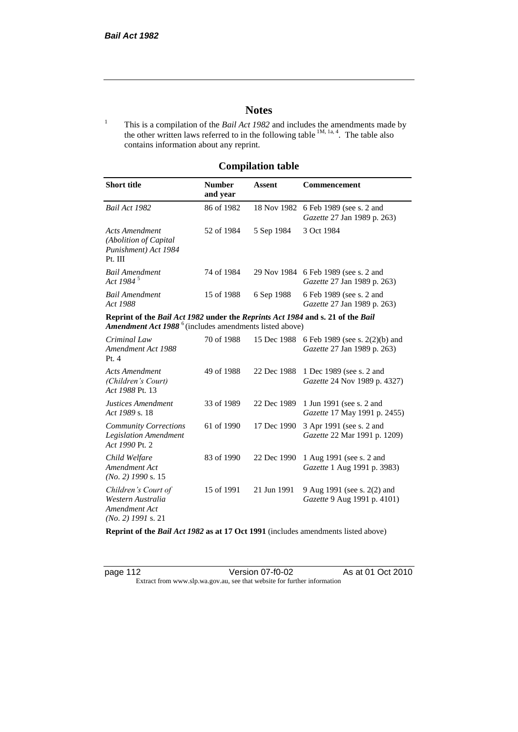# **Notes**

<sup>1</sup> This is a compilation of the *Bail Act 1982* and includes the amendments made by the other written laws referred to in the following table  $^{1M, 1a, 4}$ . The table also contains information about any reprint.

# **Compilation table**

| <b>Short title</b>                                                                                                                                          | <b>Number</b><br>and year | Assent     | Commencement                                                               |
|-------------------------------------------------------------------------------------------------------------------------------------------------------------|---------------------------|------------|----------------------------------------------------------------------------|
| Bail Act 1982                                                                                                                                               | 86 of 1982                |            | 18 Nov 1982 6 Feb 1989 (see s. 2 and<br><i>Gazette</i> 27 Jan 1989 p. 263) |
| Acts Amendment<br>(Abolition of Capital)<br>Punishment) Act 1984<br>Pt. III                                                                                 | 52 of 1984                | 5 Sep 1984 | 3 Oct 1984                                                                 |
| Bail Amendment<br>Act 1984 <sup>5</sup>                                                                                                                     | 74 of 1984                |            | 29 Nov 1984 6 Feb 1989 (see s. 2 and<br><i>Gazette</i> 27 Jan 1989 p. 263) |
| <b>Bail Amendment</b><br>Act 1988                                                                                                                           | 15 of 1988                | 6 Sep 1988 | 6 Feb 1989 (see s. 2 and<br><i>Gazette</i> 27 Jan 1989 p. 263)             |
| Reprint of the Bail Act 1982 under the Reprints Act 1984 and s. 21 of the Bail<br><b>Amendment Act 1988</b> <sup>6</sup> (includes amendments listed above) |                           |            |                                                                            |
| Criminal Law                                                                                                                                                | 70 of 1988                |            | 15 Dec 1988 6 Feb 1989 (see s. 2(2)(b) and                                 |

| Criminal Law<br>Amendment Act 1988<br>Pt.4                                        | 70 of 1988 |             | 15 Dec 1988 6 Feb 1989 (see s. $2(2)(b)$ and<br>Gazette 27 Jan 1989 p. 263) |
|-----------------------------------------------------------------------------------|------------|-------------|-----------------------------------------------------------------------------|
| <b>Acts Amendment</b><br>(Children's Court)<br>Act 1988 Pt. 13                    | 49 of 1988 | 22 Dec 1988 | 1 Dec 1989 (see s. 2 and<br><i>Gazette</i> 24 Nov 1989 p. 4327)             |
| Justices Amendment<br>Act 1989 s. 18                                              | 33 of 1989 | 22 Dec 1989 | 1 Jun 1991 (see s. 2 and<br><i>Gazette</i> 17 May 1991 p. 2455)             |
| <b>Community Corrections</b><br><b>Legislation Amendment</b><br>Act 1990 Pt. 2    | 61 of 1990 | 17 Dec 1990 | 3 Apr 1991 (see s. 2 and<br>Gazette 22 Mar 1991 p. 1209)                    |
| Child Welfare<br>Amendment Act<br>$(No. 2)$ 1990 s. 15                            | 83 of 1990 | 22 Dec 1990 | 1 Aug 1991 (see s. 2 and<br><i>Gazette</i> 1 Aug 1991 p. 3983)              |
| Children's Court of<br>Western Australia<br>Amendment Act<br>$(No. 2)$ 1991 s. 21 | 15 of 1991 | 21 Jun 1991 | 9 Aug 1991 (see s. 2(2) and<br><i>Gazette</i> 9 Aug 1991 p. 4101)           |

**Reprint of the** *Bail Act 1982* **as at 17 Oct 1991** (includes amendments listed above)

page 112 Version 07-f0-02 As at 01 Oct 2010 Extract from www.slp.wa.gov.au, see that website for further information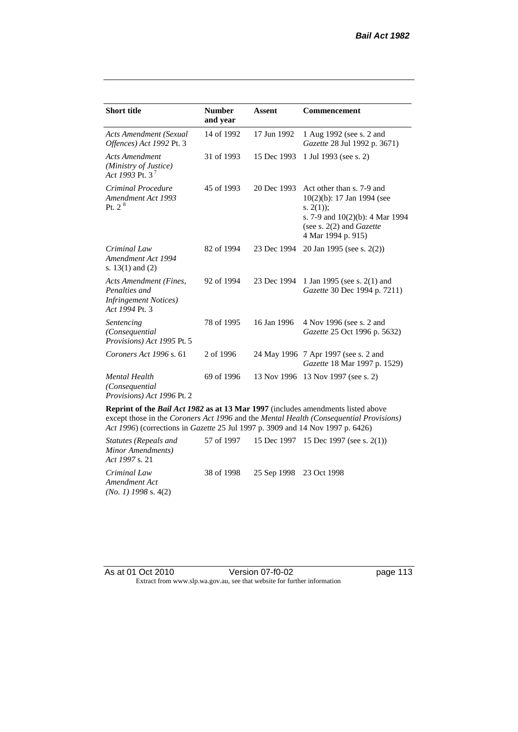| <b>Short title</b>                                                                         | <b>Number</b><br>and year | <b>Assent</b> | <b>Commencement</b>                                                                                                                                                        |
|--------------------------------------------------------------------------------------------|---------------------------|---------------|----------------------------------------------------------------------------------------------------------------------------------------------------------------------------|
| <b>Acts Amendment (Sexual</b><br>Offences) Act 1992 Pt. 3                                  | 14 of 1992                | 17 Jun 1992   | 1 Aug 1992 (see s. 2 and<br>Gazette 28 Jul 1992 p. 3671)                                                                                                                   |
| <b>Acts Amendment</b><br>(Ministry of Justice)<br>Act 1993 Pt. 3 <sup>7</sup>              | 31 of 1993                | 15 Dec 1993   | 1 Jul 1993 (see s. 2)                                                                                                                                                      |
| Criminal Procedure<br>Amendment Act 1993<br>Pt. 2 <sup>8</sup>                             | 45 of 1993                | 20 Dec 1993   | Act other than s. 7-9 and<br>$10(2)(b)$ : 17 Jan 1994 (see<br>s. $2(1)$ ;<br>s. 7-9 and $10(2)(b)$ : 4 Mar 1994<br>(see s. $2(2)$ and <i>Gazette</i><br>4 Mar 1994 p. 915) |
| Criminal Law<br>Amendment Act 1994<br>s. $13(1)$ and $(2)$                                 | 82 of 1994                | 23 Dec 1994   | 20 Jan 1995 (see s. 2(2))                                                                                                                                                  |
| Acts Amendment (Fines,<br>Penalties and<br><b>Infringement Notices</b> )<br>Act 1994 Pt. 3 | 92 of 1994                | 23 Dec 1994   | 1 Jan 1995 (see s. 2(1) and<br>Gazette 30 Dec 1994 p. 7211)                                                                                                                |
| Sentencing<br>(Consequential<br>Provisions) Act 1995 Pt. 5                                 | 78 of 1995                | 16 Jan 1996   | 4 Nov 1996 (see s. 2 and<br>Gazette 25 Oct 1996 p. 5632)                                                                                                                   |
| Coroners Act 1996 s. 61                                                                    | 2 of 1996                 |               | 24 May 1996 7 Apr 1997 (see s. 2 and<br>Gazette 18 Mar 1997 p. 1529)                                                                                                       |
| <b>Mental Health</b><br>(Consequential)<br>Provisions) Act 1996 Pt. 2                      | 69 of 1996                | 13 Nov 1996   | 13 Nov 1997 (see s. 2)                                                                                                                                                     |

**Reprint of the** *Bail Act 1982* **as at 13 Mar 1997** (includes amendments listed above except those in the *Coroners Act 1996* and the *Mental Health (Consequential Provisions) Act 1996*) (corrections in *Gazette* 25 Jul 1997 p. 3909 and 14 Nov 1997 p. 6426)

*Statutes (Repeals and Minor Amendments) Act 1997* s. 21 57 of 1997 15 Dec 1997 15 Dec 1997 (see s. 2(1)) *Criminal Law Amendment Act (No. 1) 1998* s. 4(2) 38 of 1998 25 Sep 1998 23 Oct 1998

As at 01 Oct 2010 Version 07-f0-02 page 113 Extract from www.slp.wa.gov.au, see that website for further information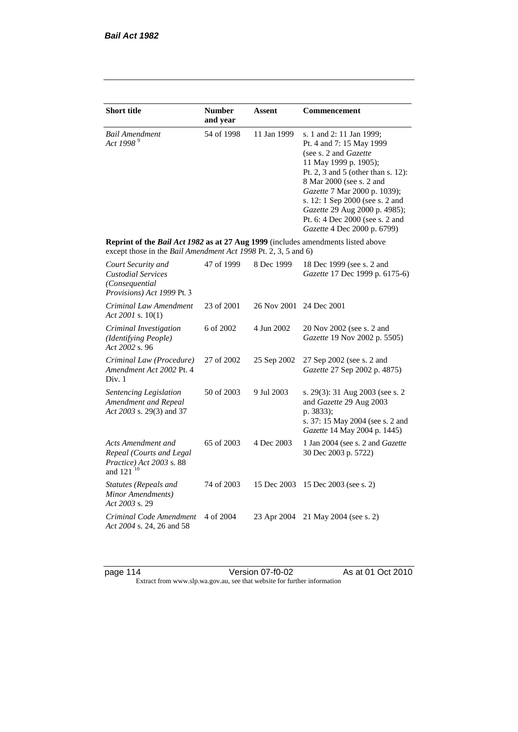| <b>Short title</b>                                                                                                                                 | <b>Number</b><br>and year | Assent      | Commencement                                                                                                                                                                                                                                                                                                                                            |
|----------------------------------------------------------------------------------------------------------------------------------------------------|---------------------------|-------------|---------------------------------------------------------------------------------------------------------------------------------------------------------------------------------------------------------------------------------------------------------------------------------------------------------------------------------------------------------|
| <b>Bail Amendment</b><br>Act 1998 <sup>9</sup>                                                                                                     | 54 of 1998                | 11 Jan 1999 | s. 1 and 2: 11 Jan 1999;<br>Pt. 4 and 7: 15 May 1999<br>(see s. 2 and <i>Gazette</i> )<br>11 May 1999 p. 1905);<br>Pt. 2, 3 and 5 (other than s. 12):<br>8 Mar 2000 (see s. 2 and<br>Gazette 7 Mar 2000 p. 1039);<br>s. 12: 1 Sep 2000 (see s. 2 and<br>Gazette 29 Aug 2000 p. 4985);<br>Pt. 6: 4 Dec 2000 (see s. 2 and<br>Gazette 4 Dec 2000 p. 6799) |
| Reprint of the Bail Act 1982 as at 27 Aug 1999 (includes amendments listed above<br>except those in the Bail Amendment Act 1998 Pt. 2, 3, 5 and 6) |                           |             |                                                                                                                                                                                                                                                                                                                                                         |
| Court Security and<br><b>Custodial Services</b><br>(Consequential<br>Provisions) Act 1999 Pt. 3                                                    | 47 of 1999                | 8 Dec 1999  | 18 Dec 1999 (see s. 2 and<br>Gazette 17 Dec 1999 p. 6175-6)                                                                                                                                                                                                                                                                                             |
| Criminal Law Amendment<br>Act 2001 s. $10(1)$                                                                                                      | 23 of 2001                | 26 Nov 2001 | 24 Dec 2001                                                                                                                                                                                                                                                                                                                                             |
| Criminal Investigation<br>(Identifying People)<br>Act 2002 s. 96                                                                                   | 6 of 2002                 | 4 Jun 2002  | 20 Nov 2002 (see s. 2 and<br>Gazette 19 Nov 2002 p. 5505)                                                                                                                                                                                                                                                                                               |
| Criminal Law (Procedure)<br>Amendment Act 2002 Pt. 4<br>Div. 1                                                                                     | 27 of 2002                | 25 Sep 2002 | 27 Sep 2002 (see s. 2 and<br>Gazette 27 Sep 2002 p. 4875)                                                                                                                                                                                                                                                                                               |
| Sentencing Legislation<br>Amendment and Repeal<br>Act 2003 s. 29(3) and 37                                                                         | 50 of 2003                | 9 Jul 2003  | s. 29(3): 31 Aug 2003 (see s. 2)<br>and Gazette 29 Aug 2003<br>p. 3833);<br>s. 37: 15 May 2004 (see s. 2 and<br>Gazette 14 May 2004 p. 1445)                                                                                                                                                                                                            |
| Acts Amendment and<br>Repeal (Courts and Legal<br>Practice) Act 2003 s. 88<br>and 121 <sup>10</sup>                                                | 65 of 2003                | 4 Dec 2003  | 1 Jan 2004 (see s. 2 and Gazette<br>30 Dec 2003 p. 5722)                                                                                                                                                                                                                                                                                                |
| <b>Statutes (Repeals and</b><br>Minor Amendments)<br>Act 2003 s. 29                                                                                | 74 of 2003                | 15 Dec 2003 | 15 Dec 2003 (see s. 2)                                                                                                                                                                                                                                                                                                                                  |
| Criminal Code Amendment<br>Act 2004 s. 24, 26 and 58                                                                                               | 4 of 2004                 | 23 Apr 2004 | 21 May 2004 (see s. 2)                                                                                                                                                                                                                                                                                                                                  |

page 114 Version 07-f0-02 As at 01 Oct 2010 Extract from www.slp.wa.gov.au, see that website for further information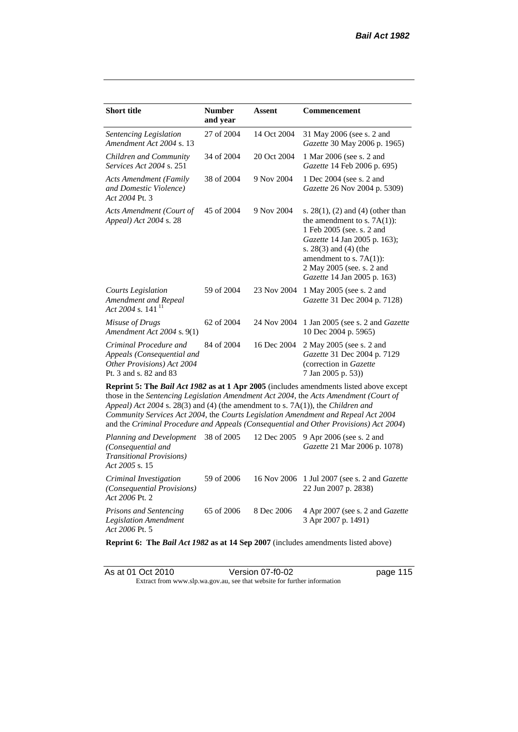| <b>Short title</b>                                                                                                                                                                                                                                                                                                                                                                                                                                     | <b>Number</b><br>and year | <b>Assent</b> | Commencement                                                                                                                                                                                                                                             |  |
|--------------------------------------------------------------------------------------------------------------------------------------------------------------------------------------------------------------------------------------------------------------------------------------------------------------------------------------------------------------------------------------------------------------------------------------------------------|---------------------------|---------------|----------------------------------------------------------------------------------------------------------------------------------------------------------------------------------------------------------------------------------------------------------|--|
| Sentencing Legislation<br>Amendment Act 2004 s. 13                                                                                                                                                                                                                                                                                                                                                                                                     | 27 of 2004                | 14 Oct 2004   | 31 May 2006 (see s. 2 and<br>Gazette 30 May 2006 p. 1965)                                                                                                                                                                                                |  |
| Children and Community<br>Services Act 2004 s. 251                                                                                                                                                                                                                                                                                                                                                                                                     | 34 of 2004                | 20 Oct 2004   | 1 Mar 2006 (see s. 2 and<br>Gazette 14 Feb 2006 p. 695)                                                                                                                                                                                                  |  |
| <b>Acts Amendment (Family</b><br>and Domestic Violence)<br>Act 2004 Pt. 3                                                                                                                                                                                                                                                                                                                                                                              | 38 of 2004                | 9 Nov 2004    | 1 Dec 2004 (see s. 2 and<br>Gazette 26 Nov 2004 p. 5309)                                                                                                                                                                                                 |  |
| Acts Amendment (Court of<br>Appeal) Act 2004 s. 28                                                                                                                                                                                                                                                                                                                                                                                                     | 45 of 2004                | 9 Nov 2004    | s. $28(1)$ , (2) and (4) (other than<br>the amendment to s. $7A(1)$ :<br>1 Feb 2005 (see. s. 2 and<br>Gazette 14 Jan 2005 p. 163);<br>s. $28(3)$ and $(4)$ (the<br>amendment to s. $7A(1)$ :<br>2 May 2005 (see. s. 2 and<br>Gazette 14 Jan 2005 p. 163) |  |
| <b>Courts Legislation</b><br>Amendment and Repeal<br>Act 2004 s. 141 $^{11}$                                                                                                                                                                                                                                                                                                                                                                           | 59 of 2004                | 23 Nov 2004   | 1 May 2005 (see s. 2 and<br>Gazette 31 Dec 2004 p. 7128)                                                                                                                                                                                                 |  |
| Misuse of Drugs<br>Amendment Act 2004 s. 9(1)                                                                                                                                                                                                                                                                                                                                                                                                          | 62 of 2004                | 24 Nov 2004   | 1 Jan 2005 (see s. 2 and <i>Gazette</i><br>10 Dec 2004 p. 5965)                                                                                                                                                                                          |  |
| Criminal Procedure and<br>Appeals (Consequential and<br>Other Provisions) Act 2004<br>Pt. 3 and s. 82 and 83                                                                                                                                                                                                                                                                                                                                           | 84 of 2004                | 16 Dec 2004   | 2 May 2005 (see s. 2 and<br>Gazette 31 Dec 2004 p. 7129<br>(correction in Gazette<br>7 Jan 2005 p. 53))                                                                                                                                                  |  |
| <b>Reprint 5: The Bail Act 1982 as at 1 Apr 2005</b> (includes amendments listed above except<br>those in the Sentencing Legislation Amendment Act 2004, the Acts Amendment (Court of<br>Appeal) Act 2004 s. 28(3) and (4) (the amendment to s. 7A(1)), the Children and<br>Community Services Act 2004, the Courts Legislation Amendment and Repeal Act 2004<br>and the Criminal Procedure and Appeals (Consequential and Other Provisions) Act 2004) |                           |               |                                                                                                                                                                                                                                                          |  |

| Planning and Development<br>(Consequential and<br><b>Transitional Provisions</b> )<br>Act 2005 s. 15 | 38 of 2005 |            | 12 Dec 2005 9 Apr 2006 (see s. 2 and<br><i>Gazette</i> 21 Mar 2006 p. 1078) |
|------------------------------------------------------------------------------------------------------|------------|------------|-----------------------------------------------------------------------------|
| Criminal Investigation<br>(Consequential Provisions)<br>Act 2006 Pt. 2                               | 59 of 2006 |            | 16 Nov 2006 1 Jul 2007 (see s. 2 and <i>Gazette</i><br>22 Jun 2007 p. 2838) |
| <b>Prisons and Sentencing</b><br><b>Legislation Amendment</b><br>Act 2006 Pt. 5                      | 65 of 2006 | 8 Dec 2006 | 4 Apr 2007 (see s. 2 and Gazette<br>3 Apr 2007 p. 1491)                     |

**Reprint 6: The** *Bail Act 1982* **as at 14 Sep 2007** (includes amendments listed above)

| As at 01 Oct 2010 | Version 07-f0-02                                                         | page 115 |
|-------------------|--------------------------------------------------------------------------|----------|
|                   | Extract from www.slp.wa.gov.au, see that website for further information |          |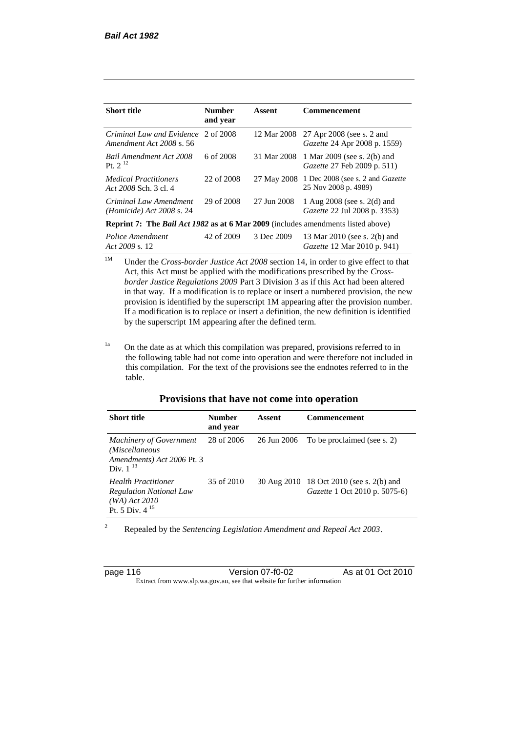| <b>Short title</b>                                                               | <b>Number</b><br>and year | Assent      | <b>Commencement</b>                                                    |
|----------------------------------------------------------------------------------|---------------------------|-------------|------------------------------------------------------------------------|
| Criminal Law and Evidence 2 of 2008<br>Amendment Act 2008 s. 56                  |                           | 12 Mar 2008 | 27 Apr 2008 (see s. 2 and<br>Gazette 24 Apr 2008 p. 1559)              |
| Bail Amendment Act 2008<br>Pt. $2^{12}$                                          | 6 of 2008                 | 31 Mar 2008 | 1 Mar 2009 (see s. 2(b) and<br><i>Gazette</i> 27 Feb 2009 p. 511)      |
| <b>Medical Practitioners</b><br>Act 2008 Sch. 3 cl. 4                            | 22 of 2008                |             | 27 May 2008 1 Dec 2008 (see s. 2 and Gazette<br>25 Nov 2008 p. 4989)   |
| Criminal Law Amendment<br><i>(Homicide)</i> Act 2008 s. 24                       | 29 of 2008                | 27 Jun 2008 | 1 Aug $2008$ (see s. $2(d)$ and<br><i>Gazette</i> 22 Jul 2008 p. 3353) |
| Reprint 7: The Bail Act 1982 as at 6 Mar 2009 (includes amendments listed above) |                           |             |                                                                        |
| Police Amendment<br>Act 2009 s. 12                                               | 42 of 2009                | 3 Dec 2009  | 13 Mar 2010 (see s. 2(b) and<br><i>Gazette</i> 12 Mar 2010 p. 941)     |

<sup>1M</sup> Under the *Cross-border Justice Act 2008* section 14, in order to give effect to that Act, this Act must be applied with the modifications prescribed by the *Crossborder Justice Regulations 2009* Part 3 Division 3 as if this Act had been altered in that way. If a modification is to replace or insert a numbered provision, the new provision is identified by the superscript 1M appearing after the provision number. If a modification is to replace or insert a definition, the new definition is identified by the superscript 1M appearing after the defined term.

<sup>1a</sup> On the date as at which this compilation was prepared, provisions referred to in the following table had not come into operation and were therefore not included in this compilation. For the text of the provisions see the endnotes referred to in the table.

#### **Provisions that have not come into operation**

| <b>Short title</b>                                                                                     | <b>Number</b><br>and year | Assent      | <b>Commencement</b>                                                       |
|--------------------------------------------------------------------------------------------------------|---------------------------|-------------|---------------------------------------------------------------------------|
| <b>Machinery of Government</b><br>(Miscellaneous<br>Amendments) Act 2006 Pt. 3<br>Div. $1^{13}$        | 28 of 2006                | 26 Jun 2006 | To be proclaimed (see s. 2)                                               |
| <b>Health Practitioner</b><br><b>Regulation National Law</b><br>$(WA)$ Act 2010<br>Pt. 5 Div. $4^{15}$ | 35 of 2010                |             | 30 Aug 2010 18 Oct 2010 (see s. 2(b) and<br>Gazette 1 Oct 2010 p. 5075-6) |

<sup>2</sup> Repealed by the *Sentencing Legislation Amendment and Repeal Act 2003*.

| page 116 |  |  |
|----------|--|--|
|          |  |  |

Version 07-f0-02 As at 01 Oct 2010 Extract from www.slp.wa.gov.au, see that website for further information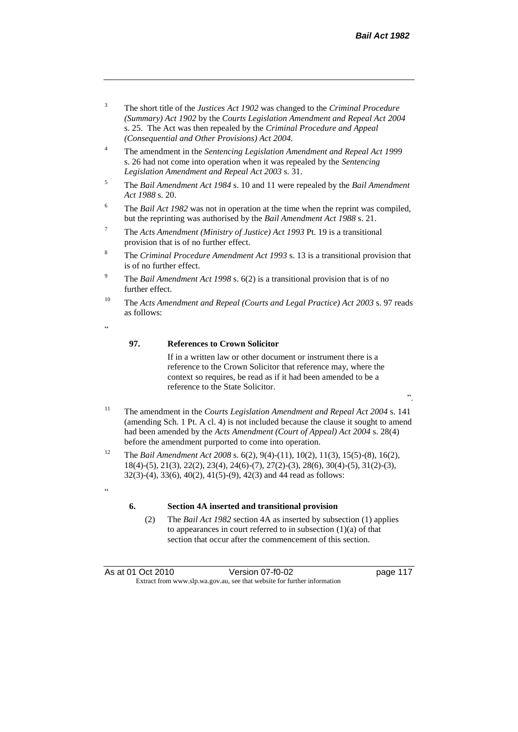".

- <sup>3</sup> The short title of the *Justices Act 1902* was changed to the *Criminal Procedure (Summary) Act 1902* by the *Courts Legislation Amendment and Repeal Act 2004*  s. 25. The Act was then repealed by the *Criminal Procedure and Appeal (Consequential and Other Provisions) Act 2004.*
- <sup>4</sup> The amendment in the *Sentencing Legislation Amendment and Repeal Act 1999* s. 26 had not come into operation when it was repealed by the *Sentencing Legislation Amendment and Repeal Act 2003* s. 31.
- <sup>5</sup> The *Bail Amendment Act 1984* s. 10 and 11 were repealed by the *Bail Amendment Act 1988* s. 20.
- <sup>6</sup> The *Bail Act 1982* was not in operation at the time when the reprint was compiled, but the reprinting was authorised by the *Bail Amendment Act 1988* s. 21.
- <sup>7</sup> The *Acts Amendment (Ministry of Justice) Act 1993* Pt. 19 is a transitional provision that is of no further effect.
- <sup>8</sup> The *Criminal Procedure Amendment Act 1993* s. 13 is a transitional provision that is of no further effect.
- <sup>9</sup> The *Bail Amendment Act 1998* s. 6(2) is a transitional provision that is of no further effect.
- <sup>10</sup> The *Acts Amendment and Repeal (Courts and Legal Practice) Act 2003* s. 97 reads as follows:
- .<br>د د

.<br>cc

#### **97. References to Crown Solicitor**

If in a written law or other document or instrument there is a reference to the Crown Solicitor that reference may, where the context so requires, be read as if it had been amended to be a reference to the State Solicitor.

- <sup>11</sup> The amendment in the *Courts Legislation Amendment and Repeal Act 2004* s. 141 (amending Sch. 1 Pt. A cl. 4) is not included because the clause it sought to amend had been amended by the *Acts Amendment (Court of Appeal) Act 2004* s. 28(4) before the amendment purported to come into operation.
- <sup>12</sup> The *Bail Amendment Act 2008* s. 6(2), 9(4)-(11), 10(2), 11(3), 15(5)-(8), 16(2), 18(4)-(5), 21(3), 22(2), 23(4), 24(6)-(7), 27(2)-(3), 28(6), 30(4)-(5), 31(2)-(3), 32(3)-(4), 33(6), 40(2), 41(5)-(9), 42(3) and 44 read as follows:

#### **6. Section 4A inserted and transitional provision**

(2) The *Bail Act 1982* section 4A as inserted by subsection (1) applies to appearances in court referred to in subsection (1)(a) of that section that occur after the commencement of this section.

As at 01 Oct 2010 **Version 07-f0-02** page 117 Extract from www.slp.wa.gov.au, see that website for further information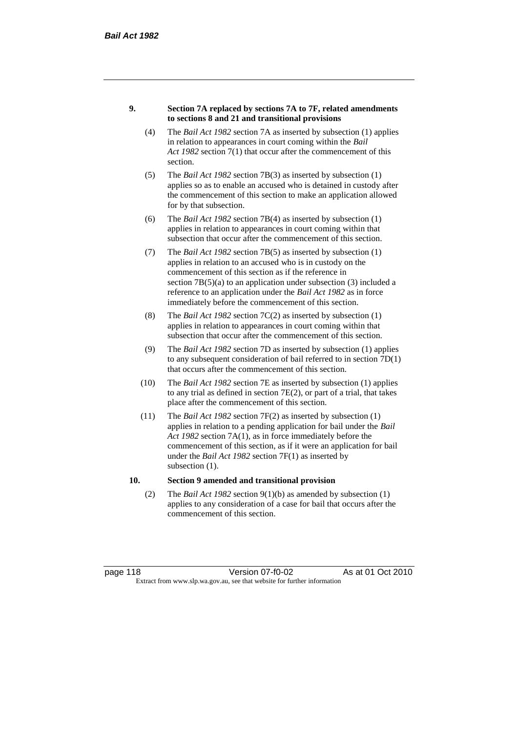#### **9. Section 7A replaced by sections 7A to 7F, related amendments to sections 8 and 21 and transitional provisions**

- (4) The *Bail Act 1982* section 7A as inserted by subsection (1) applies in relation to appearances in court coming within the *Bail Act 1982* section 7(1) that occur after the commencement of this section.
- (5) The *Bail Act 1982* section 7B(3) as inserted by subsection (1) applies so as to enable an accused who is detained in custody after the commencement of this section to make an application allowed for by that subsection.
- (6) The *Bail Act 1982* section 7B(4) as inserted by subsection (1) applies in relation to appearances in court coming within that subsection that occur after the commencement of this section.
- (7) The *Bail Act 1982* section 7B(5) as inserted by subsection (1) applies in relation to an accused who is in custody on the commencement of this section as if the reference in section  $7B(5)(a)$  to an application under subsection (3) included a reference to an application under the *Bail Act 1982* as in force immediately before the commencement of this section.
- (8) The *Bail Act 1982* section 7C(2) as inserted by subsection (1) applies in relation to appearances in court coming within that subsection that occur after the commencement of this section.
- (9) The *Bail Act 1982* section 7D as inserted by subsection (1) applies to any subsequent consideration of bail referred to in section 7D(1) that occurs after the commencement of this section.
- (10) The *Bail Act 1982* section 7E as inserted by subsection (1) applies to any trial as defined in section 7E(2), or part of a trial, that takes place after the commencement of this section.
- (11) The *Bail Act 1982* section 7F(2) as inserted by subsection (1) applies in relation to a pending application for bail under the *Bail Act 1982* section 7A(1), as in force immediately before the commencement of this section, as if it were an application for bail under the *Bail Act 1982* section 7F(1) as inserted by subsection  $(1)$ .

#### **10. Section 9 amended and transitional provision**

(2) The *Bail Act 1982* section 9(1)(b) as amended by subsection (1) applies to any consideration of a case for bail that occurs after the commencement of this section.

page 118 Version 07-f0-02 As at 01 Oct 2010 Extract from www.slp.wa.gov.au, see that website for further information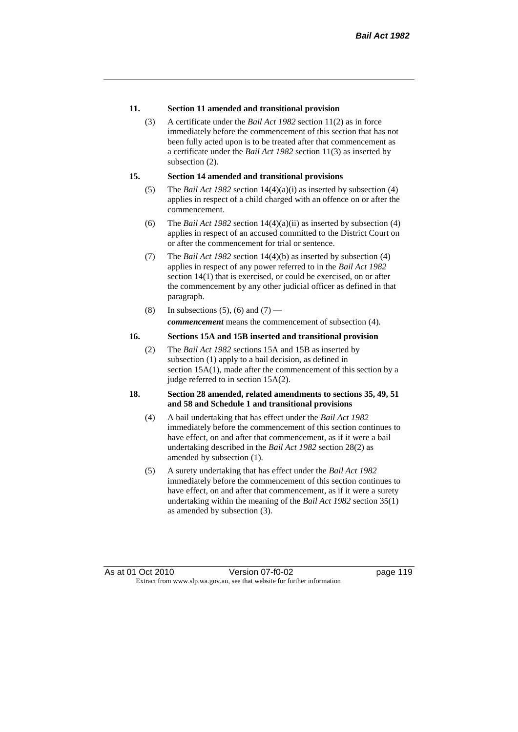#### **11. Section 11 amended and transitional provision**

(3) A certificate under the *Bail Act 1982* section 11(2) as in force immediately before the commencement of this section that has not been fully acted upon is to be treated after that commencement as a certificate under the *Bail Act 1982* section 11(3) as inserted by subsection  $(2)$ .

#### **15. Section 14 amended and transitional provisions**

- (5) The *Bail Act 1982* section 14(4)(a)(i) as inserted by subsection (4) applies in respect of a child charged with an offence on or after the commencement.
- (6) The *Bail Act 1982* section 14(4)(a)(ii) as inserted by subsection (4) applies in respect of an accused committed to the District Court on or after the commencement for trial or sentence.
- (7) The *Bail Act 1982* section 14(4)(b) as inserted by subsection (4) applies in respect of any power referred to in the *Bail Act 1982* section 14(1) that is exercised, or could be exercised, on or after the commencement by any other judicial officer as defined in that paragraph.
- (8) In subsections (5), (6) and (7) *commencement* means the commencement of subsection (4).

#### **16. Sections 15A and 15B inserted and transitional provision**

(2) The *Bail Act 1982* sections 15A and 15B as inserted by subsection (1) apply to a bail decision, as defined in section 15A(1), made after the commencement of this section by a judge referred to in section 15A(2).

#### **18. Section 28 amended, related amendments to sections 35, 49, 51 and 58 and Schedule 1 and transitional provisions**

- (4) A bail undertaking that has effect under the *Bail Act 1982* immediately before the commencement of this section continues to have effect, on and after that commencement, as if it were a bail undertaking described in the *Bail Act 1982* section 28(2) as amended by subsection (1).
- (5) A surety undertaking that has effect under the *Bail Act 1982* immediately before the commencement of this section continues to have effect, on and after that commencement, as if it were a surety undertaking within the meaning of the *Bail Act 1982* section 35(1) as amended by subsection (3).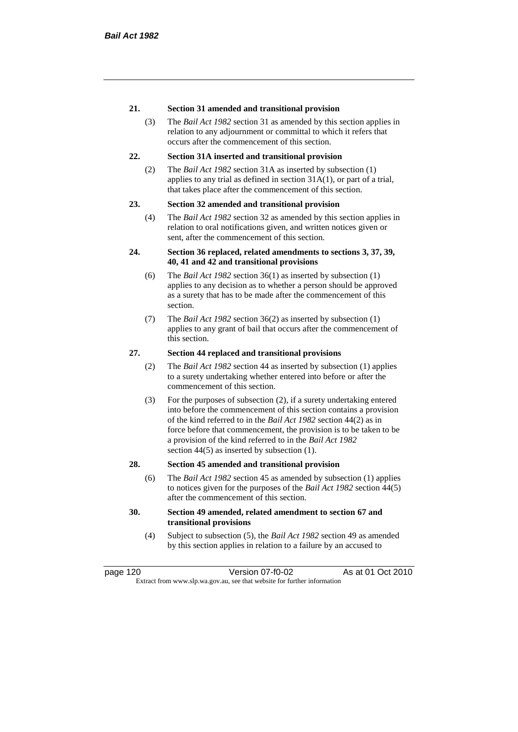#### **21. Section 31 amended and transitional provision**

(3) The *Bail Act 1982* section 31 as amended by this section applies in relation to any adjournment or committal to which it refers that occurs after the commencement of this section.

#### **22. Section 31A inserted and transitional provision**

(2) The *Bail Act 1982* section 31A as inserted by subsection (1) applies to any trial as defined in section 31A(1), or part of a trial, that takes place after the commencement of this section.

#### **23. Section 32 amended and transitional provision**

(4) The *Bail Act 1982* section 32 as amended by this section applies in relation to oral notifications given, and written notices given or sent, after the commencement of this section.

#### **24. Section 36 replaced, related amendments to sections 3, 37, 39, 40, 41 and 42 and transitional provisions**

- (6) The *Bail Act 1982* section 36(1) as inserted by subsection (1) applies to any decision as to whether a person should be approved as a surety that has to be made after the commencement of this section.
- (7) The *Bail Act 1982* section 36(2) as inserted by subsection (1) applies to any grant of bail that occurs after the commencement of this section.

#### **27. Section 44 replaced and transitional provisions**

- (2) The *Bail Act 1982* section 44 as inserted by subsection (1) applies to a surety undertaking whether entered into before or after the commencement of this section.
- (3) For the purposes of subsection (2), if a surety undertaking entered into before the commencement of this section contains a provision of the kind referred to in the *Bail Act 1982* section 44(2) as in force before that commencement, the provision is to be taken to be a provision of the kind referred to in the *Bail Act 1982*  section 44(5) as inserted by subsection (1).

#### **28. Section 45 amended and transitional provision**

(6) The *Bail Act 1982* section 45 as amended by subsection (1) applies to notices given for the purposes of the *Bail Act 1982* section 44(5) after the commencement of this section.

#### **30. Section 49 amended, related amendment to section 67 and transitional provisions**

(4) Subject to subsection (5), the *Bail Act 1982* section 49 as amended by this section applies in relation to a failure by an accused to

page 120 Version 07-f0-02 As at 01 Oct 2010 Extract from www.slp.wa.gov.au, see that website for further information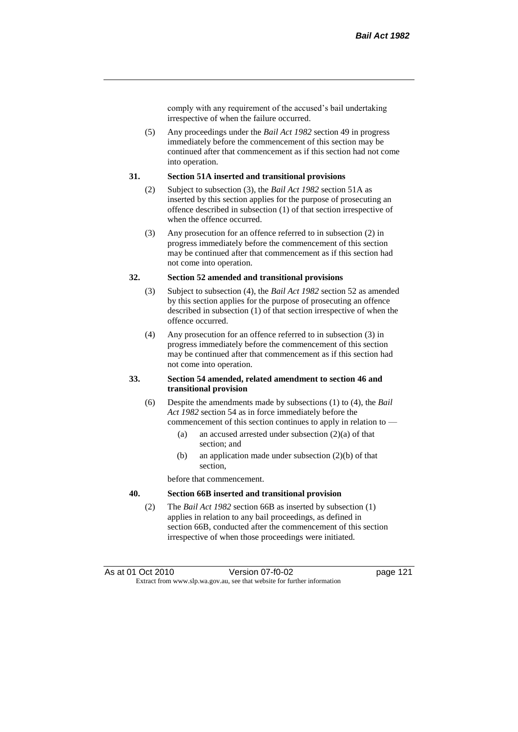comply with any requirement of the accused's bail undertaking irrespective of when the failure occurred.

(5) Any proceedings under the *Bail Act 1982* section 49 in progress immediately before the commencement of this section may be continued after that commencement as if this section had not come into operation.

#### **31. Section 51A inserted and transitional provisions**

- (2) Subject to subsection (3), the *Bail Act 1982* section 51A as inserted by this section applies for the purpose of prosecuting an offence described in subsection (1) of that section irrespective of when the offence occurred.
- (3) Any prosecution for an offence referred to in subsection (2) in progress immediately before the commencement of this section may be continued after that commencement as if this section had not come into operation.

#### **32. Section 52 amended and transitional provisions**

- (3) Subject to subsection (4), the *Bail Act 1982* section 52 as amended by this section applies for the purpose of prosecuting an offence described in subsection (1) of that section irrespective of when the offence occurred.
- (4) Any prosecution for an offence referred to in subsection (3) in progress immediately before the commencement of this section may be continued after that commencement as if this section had not come into operation.

#### **33. Section 54 amended, related amendment to section 46 and transitional provision**

- (6) Despite the amendments made by subsections (1) to (4), the *Bail Act 1982* section 54 as in force immediately before the commencement of this section continues to apply in relation to —
	- (a) an accused arrested under subsection (2)(a) of that section; and
	- (b) an application made under subsection (2)(b) of that section,

before that commencement.

#### **40. Section 66B inserted and transitional provision**

(2) The *Bail Act 1982* section 66B as inserted by subsection (1) applies in relation to any bail proceedings, as defined in section 66B, conducted after the commencement of this section irrespective of when those proceedings were initiated.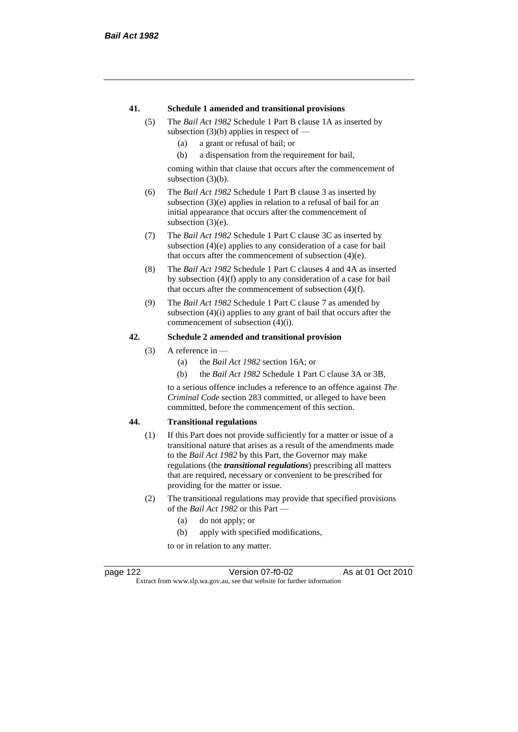#### **41. Schedule 1 amended and transitional provisions**

- (5) The *Bail Act 1982* Schedule 1 Part B clause 1A as inserted by subsection  $(3)(b)$  applies in respect of —
	- (a) a grant or refusal of bail; or
	- (b) a dispensation from the requirement for bail,

coming within that clause that occurs after the commencement of subsection (3)(b).

- (6) The *Bail Act 1982* Schedule 1 Part B clause 3 as inserted by subsection (3)(e) applies in relation to a refusal of bail for an initial appearance that occurs after the commencement of subsection  $(3)(e)$ .
- (7) The *Bail Act 1982* Schedule 1 Part C clause 3C as inserted by subsection (4)(e) applies to any consideration of a case for bail that occurs after the commencement of subsection (4)(e).
- (8) The *Bail Act 1982* Schedule 1 Part C clauses 4 and 4A as inserted by subsection (4)(f) apply to any consideration of a case for bail that occurs after the commencement of subsection (4)(f).
- (9) The *Bail Act 1982* Schedule 1 Part C clause 7 as amended by subsection (4)(i) applies to any grant of bail that occurs after the commencement of subsection (4)(i).

#### **42. Schedule 2 amended and transitional provision**

- (3) A reference in
	- (a) the *Bail Act 1982* section 16A; or
	- (b) the *Bail Act 1982* Schedule 1 Part C clause 3A or 3B,

to a serious offence includes a reference to an offence against *The Criminal Code* section 283 committed, or alleged to have been committed, before the commencement of this section.

#### **44. Transitional regulations**

- (1) If this Part does not provide sufficiently for a matter or issue of a transitional nature that arises as a result of the amendments made to the *Bail Act 1982* by this Part, the Governor may make regulations (the *transitional regulations*) prescribing all matters that are required, necessary or convenient to be prescribed for providing for the matter or issue.
- (2) The transitional regulations may provide that specified provisions of the *Bail Act 1982* or this Part —
	- (a) do not apply; or
	- (b) apply with specified modifications,

to or in relation to any matter.

page 122 Version 07-f0-02 As at 01 Oct 2010 Extract from www.slp.wa.gov.au, see that website for further information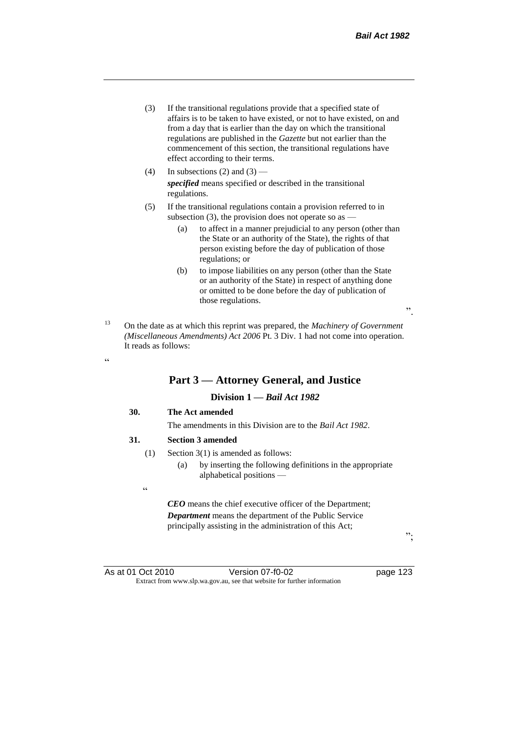- (3) If the transitional regulations provide that a specified state of affairs is to be taken to have existed, or not to have existed, on and from a day that is earlier than the day on which the transitional regulations are published in the *Gazette* but not earlier than the commencement of this section, the transitional regulations have effect according to their terms.
- (4) In subsections (2) and (3) *specified* means specified or described in the transitional regulations.
- (5) If the transitional regulations contain a provision referred to in subsection (3), the provision does not operate so as —
	- (a) to affect in a manner prejudicial to any person (other than the State or an authority of the State), the rights of that person existing before the day of publication of those regulations; or
	- (b) to impose liabilities on any person (other than the State or an authority of the State) in respect of anything done or omitted to be done before the day of publication of those regulations.
- <sup>13</sup> On the date as at which this reprint was prepared, the *Machinery of Government (Miscellaneous Amendments) Act 2006* Pt. 3 Div. 1 had not come into operation. It reads as follows:

# **Part 3 — Attorney General, and Justice**

### **Division 1 —** *Bail Act 1982*

#### **30. The Act amended**

The amendments in this Division are to the *Bail Act 1982*.

#### **31. Section 3 amended**

- (1) Section 3(1) is amended as follows:
	- (a) by inserting the following definitions in the appropriate alphabetical positions —
- .<br>"

<u>، د</u>

*CEO* means the chief executive officer of the Department; *Department* means the department of the Public Service principally assisting in the administration of this Act;

";

".

As at 01 Oct 2010 Version 07-f0-02 page 123 Extract from www.slp.wa.gov.au, see that website for further information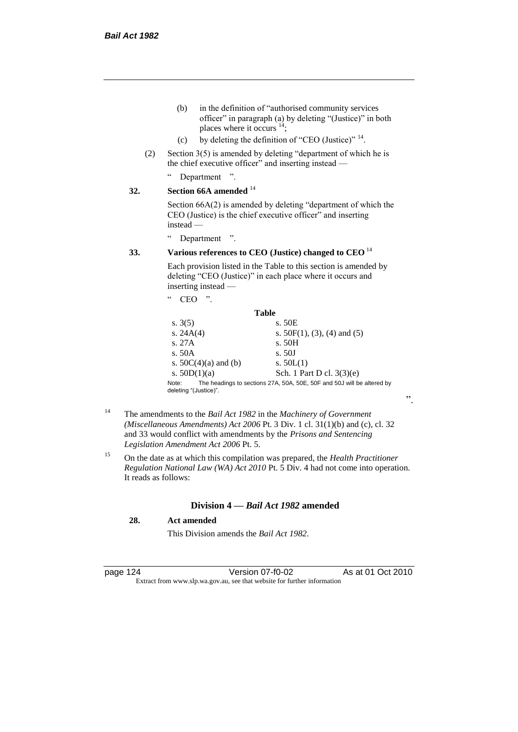- (b) in the definition of "authorised community services officer" in paragraph (a) by deleting "(Justice)" in both places where it occurs  $14$ ;
- (c) by deleting the definition of "CEO (Justice)"  $14$ .
- (2) Section 3(5) is amended by deleting "department of which he is the chief executive officer" and inserting instead —
	- " Department ".

#### **32. Section 66A amended** <sup>14</sup>

Section 66A(2) is amended by deleting "department of which the CEO (Justice) is the chief executive officer" and inserting instead —

" Department ".

### **33. Various references to CEO (Justice) changed to CEO** <sup>14</sup>

Each provision listed in the Table to this section is amended by deleting "CEO (Justice)" in each place where it occurs and inserting instead —

| ,,<br>cc<br>CEC                |                                                                        |
|--------------------------------|------------------------------------------------------------------------|
|                                | Table                                                                  |
| s. $3(5)$                      | s. 50E                                                                 |
| s. $24A(4)$                    | s. $50F(1)$ , (3), (4) and (5)                                         |
| s. 27A                         | s.50H                                                                  |
| s. $50A$                       | s. 50J                                                                 |
| s. $50C(4)(a)$ and (b)         | s. $50L(1)$                                                            |
| s. $50D(1)(a)$                 | Sch. 1 Part D cl. $3(3)(e)$                                            |
| Note:<br>deleting "(Justice)". | The headings to sections 27A, 50A, 50E, 50F and 50J will be altered by |

- <sup>14</sup> The amendments to the *Bail Act 1982* in the *Machinery of Government (Miscellaneous Amendments) Act 2006* Pt. 3 Div. 1 cl. 31(1)(b) and (c), cl. 32 and 33 would conflict with amendments by the *Prisons and Sentencing Legislation Amendment Act 2006* Pt. 5.
- <sup>15</sup> On the date as at which this compilation was prepared, the *Health Practitioner Regulation National Law (WA) Act 2010* Pt. 5 Div. 4 had not come into operation. It reads as follows:

#### **Division 4 —** *Bail Act 1982* **amended**

### **28. Act amended**

This Division amends the *Bail Act 1982*.

page 124 Version 07-f0-02 As at 01 Oct 2010 Extract from www.slp.wa.gov.au, see that website for further information

".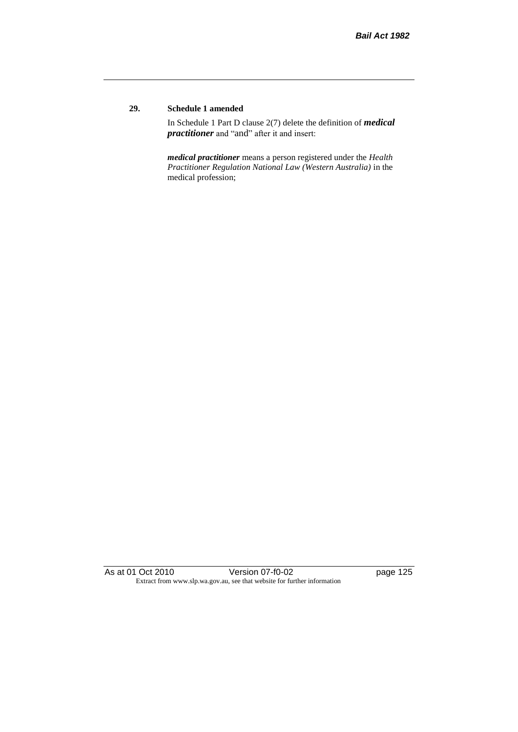### **29. Schedule 1 amended**

In Schedule 1 Part D clause 2(7) delete the definition of *medical practitioner* and "and" after it and insert:

*medical practitioner* means a person registered under the *Health Practitioner Regulation National Law (Western Australia)* in the medical profession;

As at 01 Oct 2010 Version 07-f0-02 page 125 Extract from www.slp.wa.gov.au, see that website for further information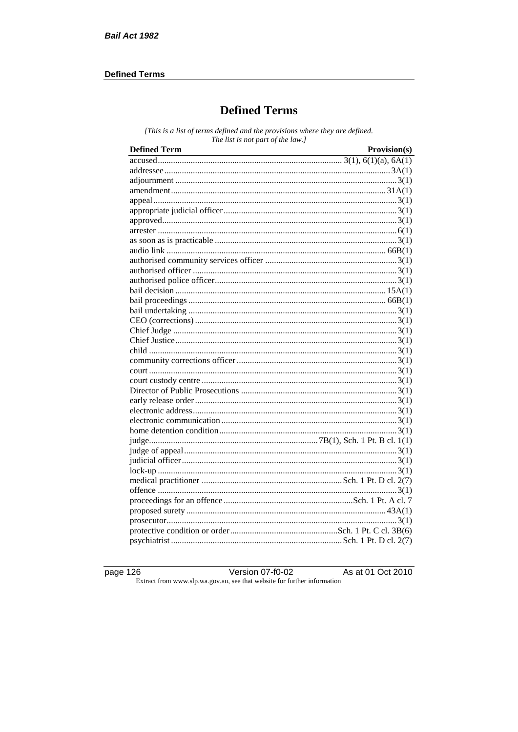### **Defined Terms**

# **Defined Terms**

[This is a list of terms defined and the provisions where they are defined. The list is not part of the law.]

| <b>Defined Term</b> | Provision(s) |
|---------------------|--------------|
|                     |              |
|                     |              |
|                     |              |
|                     |              |
|                     |              |
|                     |              |
|                     |              |
|                     |              |
|                     |              |
|                     |              |
|                     |              |
|                     |              |
|                     |              |
|                     |              |
|                     |              |
|                     |              |
|                     |              |
|                     |              |
|                     |              |
|                     |              |
|                     |              |
|                     |              |
|                     |              |
|                     |              |
|                     |              |
|                     |              |
|                     |              |
|                     |              |
|                     |              |
|                     |              |
|                     |              |
|                     |              |
|                     |              |
|                     |              |
|                     |              |
|                     |              |
|                     |              |
|                     |              |
|                     |              |

page  $126$ 

Version  $07 - 10 - 02$ Extract from www.slp.wa.gov.au, see that website for further information

As at 01 Oct 2010